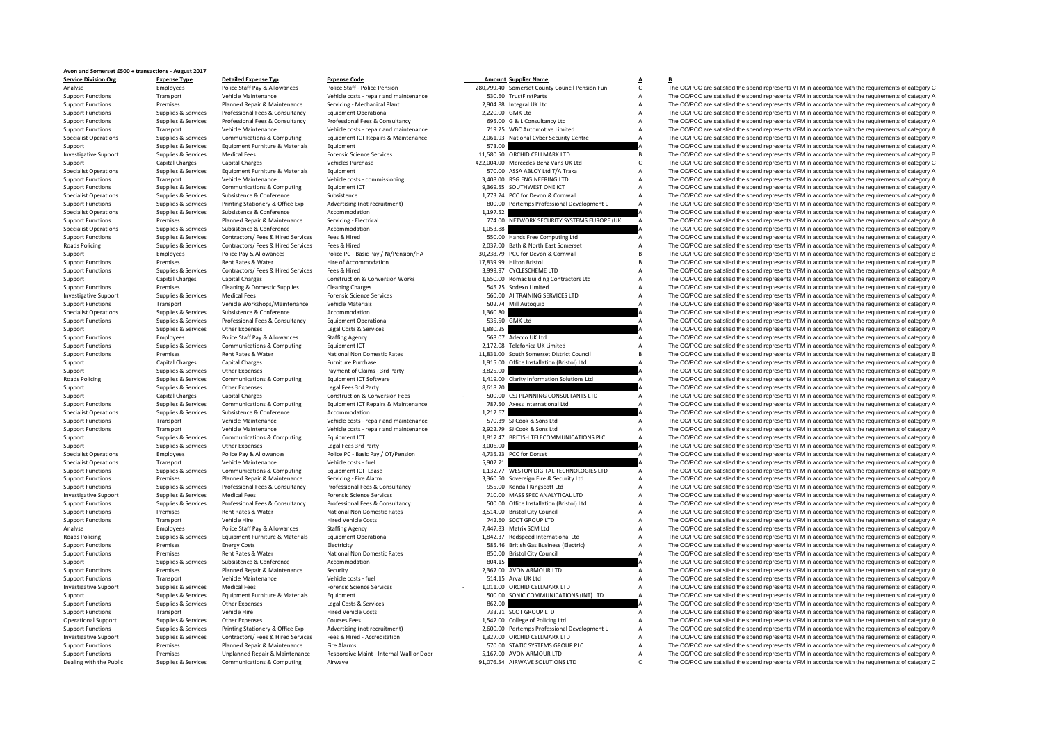## **Avon and Somerset £500 <sup>+</sup> transactions ‐ August 2017**

| <b>Service Division Org</b>  | <b>Expense Type</b>    | <b>Detailed Expense Typ</b>        | <b>Expense Code</b>                        |          | <b>Amount Supplier Name</b>                    | A              | в                                                                                                   |
|------------------------------|------------------------|------------------------------------|--------------------------------------------|----------|------------------------------------------------|----------------|-----------------------------------------------------------------------------------------------------|
| Analyse                      | Employees              | Police Staff Pay & Allowances      | Police Staff - Police Pension              |          | 280,799.40 Somerset County Council Pension Fun | c              | The CC/PCC are satisfied the spend represents VFM in accordance with the requirements of category C |
| <b>Support Functions</b>     | Transport              | Vehicle Maintenance                | Vehicle costs - repair and maintenance     |          | 530.60 TrustFirstParts                         | A              | The CC/PCC are satisfied the spend represents VFM in accordance with the requirements of category A |
| <b>Support Functions</b>     | Premises               | Planned Repair & Maintenance       | Servicing - Mechanical Plant               |          | 2,904.88 Integral UK Ltd                       |                | The CC/PCC are satisfied the spend represents VFM in accordance with the requirements of category A |
| <b>Support Functions</b>     | Supplies & Services    | Professional Fees & Consultancy    | <b>Equipment Operational</b>               |          | 2,220.00 GMK Ltd                               |                | The CC/PCC are satisfied the spend represents VFM in accordance with the requirements of category A |
| <b>Support Functions</b>     | Supplies & Services    | Professional Fees & Consultancy    | Professional Fees & Consultancy            |          | 695.00 G & L Consultancy Ltd                   | A              | The CC/PCC are satisfied the spend represents VFM in accordance with the requirements of category A |
| <b>Support Functions</b>     | Transport              | Vehicle Maintenance                | Vehicle costs - repair and maintenance     |          | 719.25 WBC Automotive Limited                  | A              | The CC/PCC are satisfied the spend represents VFM in accordance with the requirements of category A |
| <b>Specialist Operations</b> | Supplies & Services    | Communications & Computing         | Equipment ICT Repairs & Maintenance        |          | 2,061.93 National Cyber Security Centre        |                | The CC/PCC are satisfied the spend represents VFM in accordance with the requirements of category A |
|                              |                        |                                    |                                            |          |                                                |                |                                                                                                     |
| Support                      | Supplies & Services    | Equipment Furniture & Materials    | Equipment                                  | 573.00   |                                                |                | The CC/PCC are satisfied the spend represents VFM in accordance with the requirements of category A |
| <b>Investigative Support</b> | Supplies & Services    | <b>Medical Fees</b>                | <b>Forensic Science Services</b>           |          | 11,580.50 ORCHID CELLMARK LTD                  |                | The CC/PCC are satisfied the spend represents VFM in accordance with the requirements of category B |
| Support                      | Capital Charges        | <b>Capital Charges</b>             | <b>Vehicles Purchase</b>                   |          | 422,004.00 Mercedes-Benz Vans UK Ltd           | C              | The CC/PCC are satisfied the spend represents VFM in accordance with the requirements of category C |
| <b>Specialist Operations</b> | Supplies & Services    | Equipment Furniture & Materials    | Equipment                                  |          | 570.00 ASSA ABLOY Ltd T/A Traka                | A              | The CC/PCC are satisfied the spend represents VFM in accordance with the requirements of category A |
| <b>Support Functions</b>     | Transport              | Vehicle Maintenance                | Vehicle costs - commissioning              |          | 3,408.00 RSG ENGINEERING LTD                   | A              | The CC/PCC are satisfied the spend represents VFM in accordance with the requirements of category A |
| <b>Support Functions</b>     | Supplies & Services    | Communications & Computing         | Equipment ICT                              |          | 9,369.55 SOUTHWEST ONE ICT                     | Δ              | The CC/PCC are satisfied the spend represents VFM in accordance with the requirements of category A |
| <b>Specialist Operations</b> | Supplies & Services    | Subsistence & Conference           | Subsistence                                |          | 1,773.24 PCC for Devon & Cornwall              | A              | The CC/PCC are satisfied the spend represents VFM in accordance with the requirements of category A |
| <b>Support Functions</b>     | Supplies & Services    | Printing Stationery & Office Exp   | Advertising (not recruitment)              |          | 800.00 Pertemps Professional Development L     |                | The CC/PCC are satisfied the spend represents VFM in accordance with the requirements of category A |
| <b>Specialist Operations</b> | Supplies & Services    | Subsistence & Conference           | Accommodation                              | 1,197.52 |                                                |                | The CC/PCC are satisfied the spend represents VFM in accordance with the requirements of category A |
| <b>Support Functions</b>     | Premises               | Planned Repair & Maintenance       | Servicing - Electrical                     |          | 774.00 NETWORK SECURITY SYSTEMS EUROPE (UK     | $\overline{A}$ | The CC/PCC are satisfied the spend represents VFM in accordance with the requirements of category A |
| <b>Specialist Operations</b> | Supplies & Services    | Subsistence & Conference           | Accommodation                              | 1,053.88 |                                                |                | The CC/PCC are satisfied the spend represents VFM in accordance with the requirements of category A |
|                              |                        |                                    |                                            |          |                                                |                |                                                                                                     |
| <b>Support Functions</b>     | Supplies & Services    | Contractors/ Fees & Hired Services | Fees & Hired                               |          | 550.00 Hands Free Computing Ltd                | A              | The CC/PCC are satisfied the spend represents VFM in accordance with the requirements of category A |
| Roads Policing               | Supplies & Services    | Contractors/ Fees & Hired Services | Fees & Hired                               |          | 2,037.00 Bath & North East Somerset            | A              | The CC/PCC are satisfied the spend represents VFM in accordance with the requirements of category A |
| Support                      | Employees              | Police Pay & Allowances            | Police PC - Basic Pay / Ni/Pension/HA      |          | 30.238.79 PCC for Devon & Cornwall             | R              | The CC/PCC are satisfied the spend represents VFM in accordance with the requirements of category B |
| <b>Support Functions</b>     | Premises               | Rent Rates & Water                 | Hire of Accommodation                      |          | 17,839.99 Hilton Bristol                       |                | The CC/PCC are satisfied the spend represents VFM in accordance with the requirements of category B |
| <b>Support Functions</b>     | Supplies & Services    | Contractors/ Fees & Hired Services | Fees & Hired                               |          | 3,999.97 CYCLESCHEME LTD                       | A              | The CC/PCC are satisfied the spend represents VFM in accordance with the requirements of category A |
| Support                      | <b>Capital Charges</b> | <b>Capital Charges</b>             | <b>Construction &amp; Conversion Works</b> |          | 1,650.00 Romac Building Contractors Ltd        |                | The CC/PCC are satisfied the spend represents VFM in accordance with the requirements of category A |
| <b>Support Functions</b>     | Premises               | Cleaning & Domestic Supplies       | <b>Cleaning Charges</b>                    |          | 545.75 Sodexo Limited                          | $\overline{A}$ | The CC/PCC are satisfied the spend represents VFM in accordance with the requirements of category A |
| <b>Investigative Support</b> | Supplies & Services    | <b>Medical Fees</b>                | <b>Forensic Science Services</b>           |          | 560.00 AI TRAINING SERVICES LTD                | A              | The CC/PCC are satisfied the spend represents VFM in accordance with the requirements of category A |
| <b>Support Functions</b>     | Transport              | Vehicle Workshops/Maintenance      | <b>Vehicle Materials</b>                   |          | 502.74 Mill Autoquip                           |                | The CC/PCC are satisfied the spend represents VFM in accordance with the requirements of category A |
|                              |                        |                                    |                                            |          |                                                |                |                                                                                                     |
| <b>Specialist Operations</b> | Supplies & Services    | Subsistence & Conference           | Accommodation                              | 1,360.80 |                                                |                | The CC/PCC are satisfied the spend represents VFM in accordance with the requirements of category A |
| <b>Support Functions</b>     | Supplies & Services    | Professional Fees & Consultancy    | <b>Equipment Operational</b>               |          | 535.50 GMK Ltd                                 | $\mathsf{A}$   | The CC/PCC are satisfied the spend represents VFM in accordance with the requirements of category A |
| Support                      | Supplies & Services    | Other Expenses                     | Legal Costs & Services                     | 1,880.25 |                                                |                | The CC/PCC are satisfied the spend represents VFM in accordance with the requirements of category A |
| <b>Support Functions</b>     | Employees              | Police Staff Pay & Allowances      | <b>Staffing Agency</b>                     |          | 568.07 Adecco UK Ltd                           |                | The CC/PCC are satisfied the spend represents VFM in accordance with the requirements of category A |
| <b>Support Functions</b>     | Supplies & Services    | Communications & Computing         | Equipment ICT                              |          | 2,172.08 Telefonica UK Limited                 | A              | The CC/PCC are satisfied the spend represents VFM in accordance with the requirements of category A |
| <b>Support Functions</b>     | Premises               | Rent Rates & Water                 | National Non Domestic Rates                |          | 11,831.00 South Somerset District Council      | <sub>R</sub>   | The CC/PCC are satisfied the spend represents VFM in accordance with the requirements of category B |
| Support                      | Capital Charges        | <b>Capital Charges</b>             | Furniture Purchase                         |          | 1,915.00 Office Installation (Bristol) Ltd     | A              | The CC/PCC are satisfied the spend represents VFM in accordance with the requirements of category A |
| Support                      | Supplies & Services    | Other Expenses                     | Payment of Claims - 3rd Party              | 3,825.00 |                                                |                | The CC/PCC are satisfied the spend represents VFM in accordance with the requirements of category A |
| <b>Roads Policing</b>        | Supplies & Services    | Communications & Computing         | Equipment ICT Software                     |          | 1,419.00 Clarity Information Solutions Ltd     |                | The CC/PCC are satisfied the spend represents VFM in accordance with the requirements of category A |
|                              | Supplies & Services    | Other Expenses                     | Legal Fees 3rd Party                       | 8,618.20 |                                                |                | The CC/PCC are satisfied the spend represents VFM in accordance with the requirements of category A |
| Support                      |                        |                                    |                                            |          |                                                |                |                                                                                                     |
| Support                      | Capital Charges        | <b>Capital Charges</b>             | Construction & Conversion Fees             |          | 500.00 CSJ PLANNING CONSULTANTS LTD            | A              | The CC/PCC are satisfied the spend represents VFM in accordance with the requirements of category A |
| <b>Support Functions</b>     | Supplies & Services    | Communications & Computing         | Equipment ICT Repairs & Maintenance        |          | 787.50 Axess International Ltd                 | Δ              | The CC/PCC are satisfied the spend represents VFM in accordance with the requirements of category A |
| <b>Specialist Operations</b> | Supplies & Services    | Subsistence & Conference           | Accommodation                              | 1,212.67 |                                                |                | The CC/PCC are satisfied the spend represents VFM in accordance with the requirements of category A |
| <b>Support Functions</b>     | Transport              | Vehicle Maintenance                | Vehicle costs - repair and maintenance     |          | 570.39 SJ Cook & Sons Ltd                      |                | The CC/PCC are satisfied the spend represents VFM in accordance with the requirements of category A |
| <b>Support Functions</b>     | Transport              | Vehicle Maintenance                | Vehicle costs - repair and maintenance     |          | 2.922.79 SJ Cook & Sons Ltd                    | A              | The CC/PCC are satisfied the spend represents VFM in accordance with the requirements of category A |
| Support                      | Supplies & Services    | Communications & Computing         | Equipment ICT                              |          | 1,817.47 BRITISH TELECOMMUNICATIONS PLC        |                | The CC/PCC are satisfied the spend represents VFM in accordance with the requirements of category A |
| Support                      | Supplies & Services    | Other Expenses                     | Legal Fees 3rd Party                       | 3,006.00 |                                                |                | The CC/PCC are satisfied the spend represents VFM in accordance with the requirements of category A |
| <b>Specialist Operations</b> | Employees              | Police Pay & Allowances            | Police PC - Basic Pay / OT/Pension         |          | 4,735.23 PCC for Dorset                        |                | The CC/PCC are satisfied the spend represents VFM in accordance with the requirements of category A |
| <b>Specialist Operations</b> | Transport              | Vehicle Maintenance                | Vehicle costs - fuel                       | 5.902.71 |                                                |                | The CC/PCC are satisfied the spend represents VFM in accordance with the requirements of category A |
|                              |                        |                                    |                                            |          | 1,132.77 WESTON DIGITAL TECHNOLOGIES LTD       |                | The CC/PCC are satisfied the spend represents VFM in accordance with the requirements of category A |
| <b>Support Functions</b>     | Supplies & Services    | Communications & Computing         | Equipment ICT Lease                        |          |                                                |                |                                                                                                     |
| <b>Support Functions</b>     | Premises               | Planned Repair & Maintenance       | Servicing - Fire Alarm                     |          | 3,360.50 Sovereign Fire & Security Ltd         | A              | The CC/PCC are satisfied the spend represents VFM in accordance with the requirements of category A |
| <b>Support Functions</b>     | Supplies & Services    | Professional Fees & Consultancy    | Professional Fees & Consultancy            |          | 955.00 Kendall Kingscott Ltd                   | A              | The CC/PCC are satisfied the spend represents VFM in accordance with the requirements of category A |
| <b>Investigative Support</b> | Supplies & Services    | <b>Medical Fees</b>                | <b>Forensic Science Services</b>           |          | 710.00 MASS SPEC ANALYTICAL LTD                | A              | The CC/PCC are satisfied the spend represents VFM in accordance with the requirements of category A |
| <b>Support Functions</b>     | Supplies & Services    | Professional Fees & Consultancy    | Professional Fees & Consultancy            |          | 500.00 Office Installation (Bristol) Ltd       | A              | The CC/PCC are satisfied the spend represents VFM in accordance with the requirements of category A |
| <b>Support Functions</b>     | Premises               | Rent Rates & Water                 | National Non Domestic Rates                |          | 3,514.00 Bristol City Council                  | A              | The CC/PCC are satisfied the spend represents VFM in accordance with the requirements of category A |
| <b>Support Functions</b>     | Transport              | Vehicle Hire                       | <b>Hired Vehicle Costs</b>                 |          | 742.60 SCOT GROUP LTD                          | A              | The CC/PCC are satisfied the spend represents VFM in accordance with the requirements of category A |
| Analyse                      | Employees              | Police Staff Pay & Allowances      | <b>Staffing Agency</b>                     |          | 7,447.83 Matrix SCM Ltd                        | A              | The CC/PCC are satisfied the spend represents VFM in accordance with the requirements of category A |
| <b>Roads Policing</b>        | Supplies & Services    | Equipment Furniture & Materials    | <b>Equipment Operational</b>               |          | 1,842.37 Redspeed International Ltd            | A              | The CC/PCC are satisfied the spend represents VFM in accordance with the requirements of category A |
| <b>Support Functions</b>     | Premises               | <b>Energy Costs</b>                | Electricity                                |          | 585.46 British Gas Business (Electric)         | A              | The CC/PCC are satisfied the spend represents VFM in accordance with the requirements of category A |
|                              |                        |                                    |                                            |          |                                                |                |                                                                                                     |
| <b>Support Functions</b>     | Premises               | Rent Rates & Water                 | National Non Domestic Rates                |          | 850.00 Bristol City Council                    |                | The CC/PCC are satisfied the spend represents VFM in accordance with the requirements of category A |
| Support                      | Supplies & Services    | Subsistence & Conference           | Accommodation                              | 804.15   |                                                |                | The CC/PCC are satisfied the spend represents VFM in accordance with the requirements of category A |
| <b>Support Functions</b>     | Premises               | Planned Repair & Maintenance       | Security                                   |          | 2,367.00 AVON ARMOUR LTD                       |                | The CC/PCC are satisfied the spend represents VFM in accordance with the requirements of category A |
| <b>Support Functions</b>     | Transport              | Vehicle Maintenance                | Vehicle costs - fuel                       |          | 514.15 Arval UK Ltd                            | A              | The CC/PCC are satisfied the spend represents VFM in accordance with the requirements of category A |
| <b>Investigative Support</b> | Supplies & Services    | <b>Medical Fees</b>                | <b>Forensic Science Services</b>           |          | 1,011.00 ORCHID CELLMARK LTD                   | A              | The CC/PCC are satisfied the spend represents VFM in accordance with the requirements of category A |
| Support                      | Supplies & Services    | Equipment Furniture & Materials    | Equipment                                  |          | 500.00 SONIC COMMUNICATIONS (INT) LTD          | $\overline{A}$ | The CC/PCC are satisfied the spend represents VFM in accordance with the requirements of category A |
| <b>Support Functions</b>     | Supplies & Services    | Other Expenses                     | Legal Costs & Services                     | 862.00   |                                                |                | The CC/PCC are satisfied the spend represents VFM in accordance with the requirements of category A |
| <b>Support Functions</b>     | Transport              | Vehicle Hire                       | <b>Hired Vehicle Costs</b>                 |          | 733.21 SCOT GROUP LTD                          | А              | The CC/PCC are satisfied the spend represents VFM in accordance with the requirements of category A |
| <b>Operational Support</b>   | Supplies & Services    | Other Expenses                     | <b>Courses Fees</b>                        |          | 1,542.00 College of Policing Ltd               | А              | The CC/PCC are satisfied the spend represents VFM in accordance with the requirements of category A |
|                              |                        |                                    |                                            |          |                                                |                |                                                                                                     |
| <b>Support Functions</b>     | Supplies & Services    | Printing Stationery & Office Exp   | Advertising (not recruitment)              |          | 2,600.00 Pertemps Professional Development L   | A              | The CC/PCC are satisfied the spend represents VFM in accordance with the requirements of category A |
| <b>Investigative Support</b> | Supplies & Services    | Contractors/ Fees & Hired Services | Fees & Hired - Accreditation               |          | 1.327.00 ORCHID CELLMARK LTD                   |                | The CC/PCC are satisfied the spend represents VFM in accordance with the requirements of category A |
| <b>Support Functions</b>     | Premises               | Planned Repair & Maintenance       | <b>Fire Alarms</b>                         |          | 570.00 STATIC SYSTEMS GROUP PLC                |                | The CC/PCC are satisfied the spend represents VFM in accordance with the requirements of category A |
| <b>Support Functions</b>     | Premises               | Unplanned Repair & Maintenance     | Responsive Maint - Internal Wall or Door   |          | 5,167.00 AVON ARMOUR LTD                       |                | The CC/PCC are satisfied the spend represents VFM in accordance with the requirements of category A |
| Dealing with the Public      | Supplies & Services    | Communications & Computing         | Airwave                                    |          | 91,076.54 AIRWAVE SOLUTIONS LTD                |                | The CC/PCC are satisfied the spend represents VFM in accordance with the requirements of category C |

## The CCPCC are satisfied the spend represents VFM in accordance with the requirements of category C-<br>
Transport Members of Vehicle Maintenance Vehicle Costs - repair and maintenance 1997/99.40 Somerset County Council Pensio Vehicle costs - repair and maintenance Transport Costs Functions Concernsive Costs are a Support Functions Costs Functions Costs A The CC/PCC are satisfied the spend represents VFM in accordance with the requirements of ca Support Functions Premises Planned Repair & Maintenance Servicing - Mechanical Plant 2,904.88 Integral UK Ltd A The CC/PCC are satisfied the spend represents VFM in accordance with the requirements of category A Support Fu Support Functions Supplies & Services Professional Fees & Consultancy Equipment Operational Equipment Operational 2,220.00 GMK Ltd A The CC/PCC are satisfied the spend represents VFM in accordance with the requirements of Support Functions Supplies & Services Professional Fees & Consultancy Professional Fees & Consultancy Professional Fees & Consultancy Consultancy (SUSD) and the COPCC are satisfied the spend represents VFM in accordance wi Support Functions Transport Vehicle Maintenance Vehicle costs - repair and maintenance 719.25 WBC Automotive Limited A The CC/PCC are satisfied the spend represents VFM in accordance with the requirements of category A<br>Sup The CC/PCC are satisfied the spend represents VFM in accordance with the requirements of category A Support Supplies & Services Equipment Furniture & Materials Equipment Equipment Equipment Equipment Equipment Equipment Equipment Stategory A The CC/PCC are satisfied the spend represents VFM in accordance with the require Investigative Support Supplies & Services Medical Fees Forensic Science Services Forensic Science Services 11,580.50 ORCHID CELLMARK LTD B The CC/PCC are satisfied the spend represents VFM in accordance with the requiremen Support Capital Charges Capital Charges And Charges Vehicles Purchase 422,004.00 Mercedes-Benz Vans UK Ltd C The CC/PCC are satisfied the spend represents VFM in accordance with the requirements of category C Specialist Operations Supplies & Services Equipment Furniture & Materials Equipment 50 Equipment 570.00 ASSA ABLOY Ltd T/A Traka A The CC/PCC are satisfied the spend represents VFM in accordance with the requirements of ca Support Functions Transport Vehicle Maintenance Vehicle costs – commissioning Vehicle costs – commissioning Vehicle costs – commissioning Vehicle costs – commissioning vehicle costs – commissioning vehicle costs – commissi Support Functions Supplies & Services Communications & Computing Equipment ICT 9,369.55 SOUTHWEST ONE ICT A The CC/PCC are satisfied the spend represents VFM in accordance with the requirements of category A Specialist Operations Supplies & Services Subsistence Subsistence Subsistence Subsistence Subsistence Subsistence Subsistence Subsistence Subsistence Subsistence Subsistence Subsistence Subsistence Subsistence and the requ Supplies Supplies & Services Printing Stationery & Office Exp Advertising (not recruitment)<br>
Supplies Agencia is a supplies and the conference of category Accommodation and accordance with the requirements of category Acco Specialist Operations Subsistence Subsistence Accommodation 1,19752<br>Specialist Operations Subsistence Subsistence Conference Accommodation 1,19752 Support Functions Premises Planned Repair & Maintenance Servicing - Electrical 774.00 NETWORK SECURITY SYSTEMS EUROPE (UK A The CC/PCC are satisfied the spend represents VFM in accordance with the requirements of category The CC/PCC are satisfied the spend represents VFM in accordance with the requirements of category A Support Functions Supplies & Services Contractors/ Fees & Hired Services Fees & Hired Services Fees & Hired Services Fees & Hired Services Fees & Hired Services Fees & Hired 2037.00 Hands Free Computing Ltd A The CC/PCC ar Policing Supplies & Services Contractors/ Fees & Hired Fees & Hired The Contractors/ Fees & Hired Services Fees & Hired Policing Devil and The COPC are satisfied the spend represents VFM in accordance with the requirements Support Employees Police Pay & Allowances Police PC - Basic Pay / Ni/Pension/HA 30,238.79 PCC for Devon & Cornwall B The CC/PCC are satisfied the spend represents VFM in accordance with the requirements of category B Dire Support Functions Premises Premises Rent Rates & Water Hire of Accommodation Hire of Accommodation 17,839.99 Hilton Bristol B The CC/PCC are satisfied the spend represents VFM in accordance with the requirements of categor The CC/PCC are satisfied the spend represents VFM in accordance with the requirements of category A Support Capital Charges Capital Charges Capital Charges Construction & Conversion Works 1,650.00 Romac Building Contractors Ltd A The CC/PCC are satisfied the spend represents VFM in accordance with the requirements of cat Support Functions Premises Cleaning & Domestic Supplies Cleaning Charges Cleaning Charges Cleaning Charges Cleaning Charges Cleaning Charges Section and the spend represents of the spend represents VFM in accordance with t Investigative Support Supplies & Services Medical Fees Forencic Science Services 560.00 AI TRAINING SERVICES ITD A The CC/PCC are satisfied the spend represents VFM in accordance with the requirements of category A Support Functions Transport Vehicle Workshops/Maintenance Vehicle Materials 502.74 Mill Autoquip 502.74 Mill Autoquip A The CC/PCC are satisfied the spend represents VFM in accordance with the requirements of category A Sp The CC/PCC are satisfied the spend represents VFM in accordance with the requirements of category A Support Functions Supplies & Services Professional Fees & Consultancy Foundment Operational 535.50 GMK Ltd A The CC/PCC are satisfied the spend represents VFM in accordance with the requirements of category A Support Supplies & Services Other Expenses Legal Costs & Services Legal Costs & Services Legal Costs & Services 1,880.25 A The CC/PCC are satisfied the spend represents VFM in accordance with the requirements of category A Support Functions Functions Employees Police Staff Pay & Allowances Staffing Agency 568.07 Adecco UK Ltd A The CC/PCC are satisfied the spend represents VFM in accordance with the requirements of category A Support Functions Supplies & Services Communications & Computing Equipment ICT Equipment ICT 2,172.08 Telefonica UK Limited A The CC/PCC are satisfied the spend represents VFM in accordance with the requirements of categor Premises Rent Rates & Water National Non Domestic Rates 11,831.00 South Somerset District Council B The CC/PCC are satisfied the spend represents VFM in accordance with the requirements of category B Support Capital Charges Capital Charges Furniture Purchase Furniture Purchase 1,915.00 Office Installation (Bristol) Ltd A The CC/PCC are satisfied the spend represents VFM in accordance with the requirements of category A Support Supplies & Services Other Expenses Payment of Claims – 3rd Party 3,825.00 3,825.00 A The CC/PCC are satisfied the spend represents VFM in accordance with the requirements of category A<br>Branch Party Support of the S The CC/PCC are satisfied the spend represents VFM in accordance with the requirements of category  $R$ Support Supplies & Services Other Expenses Legal Fees 3rd Party Construction & Conversion Fees 2009 and a Secure 2,618.20 A The CC/PCC are satisfied the spend represents VFM in accordance with the requirements of category Capital Charges Capital Charges Capital Charges Capital Charges Construction & Construction & Conversion Fees<br>
Sunoner Functions Sunoner Sunonies & Services Communications & Computing Equipment ICT Regairs & Maintenance 78 Support Functions Supplies & Services Communications & Computing Equipment ICT Repairs & Maintenance 787.50 Axess International Ltd A The CC/PCC are satisfied the spend represents VFM in accordance with the requirements of Specialist Operations Supplies & Services Subsistence Subsistence Accommodation Accommodation 1,212.67 A The CC/PCC are satisfied the spend represents VFM in accordance with the requirements of category Accommodation Support Functions Transport Vehicle Maintenance Vehicle costs • repair and maintenance 570.39 SJ Cook & Sons Ltd A The CC/PCC are satisfied the spend represents VFM in accordance with the requirements of category A Support Functions Transport Vehicle Maintenance Vehicle costs - repair and maintenance 2,922.79 SJ Cook & Sons Ltd A The CC/PCC are satisfied the spend represents VFM in accordance with the requirements of category A Support Supplies & Services Communications & Computing Equipment ICT COMPUTE COMMUNICATIONS PLC A The CC/PCC are satisfied the spend represents VFM in accordance with the requirements of category A<br>Support Supplies & Servi Support Supplies & Services Other Expenses Legal Fees 3rd Party Legal Fees 3rd Party 3,006.00 A The CC/PCC are satisfied the spend represents VFM in accordance with the requirements of category A Specialist Operations Employees Police Pay & Allowances Police PC ‐ Basic Pay / OT/Pension 4,735.23 PCC for Dorset A The CC/PCC are satisfied the spend represents VFM in accordance with the requirements of category A Specialist Operations Transport Vehicle Maintenance Vehicle costs – fuel vehicle costs – fuel vehicle costs – fuel vehicle costs – fuel vehicle costs – fuel vehicle costs – fuel vehicle costs – fuel vehicle costs – fuel ve Sunnert Functions Sunning Communications & Communications & Communications & Communications & Communications & Communications & Communications & Communications & Communications & Communications & Communications & Communica Support Functions Premises Planned Repair & Maintenance Servicing - Fire Alarm 3,360.50 Sovereign Fire & Security Ltd A The CC/PCC are satisfied the spend represents VFM in accordance with the requirements of category A<br>Su The CC/PCC are satisfied the spend represents VFM in accordance with the requirements of category A Investigative Support Supplies & Services Medical Fees Forensic Science Services 710.00 MASS SPEC ANALYTICAL LTD A The CC/PCC are actisfied the spend represents VFM in accordance with the requirements of category A Supplies Supplies & Services Professional Fees & Consultancy Professional Fees & Consultancy Professional Fees & Consultancy Professional Fees & Consultancy Professional Fees & Consultancy Professional Fees & Consultancy P Support Functions Premises Rent Rates & Water National Non Domestic Rates 3,514.00 Bristol City Council A The CC/PCC are satisfied the spend represents VFM in accordance with the requirements of category A Support Functions Transport Vehicle Hire Hire Hire Hired Vehicle Costs Transport Hired Vehicle Costs and the Hired Vehicle Costs and the Marke are are a marked and the COVIC are satisfied the spend represents VFM in accord Analyse Employees Police Staff Pay & Allowances Staffing Agency 7,447.83 Matrix SCM Ltd A The CC/PCC are satisfied the spend represents VFM in accordance with the requirements of category A Policing Supplies & Services Equipment Furniture & Materials Equipment Operational 1,842.37 Redspeed International Ltd A The CC/PCC are satisfied the spend represents VFM in accordance with the requirements of category A Support Functions Premises Energy Costs Electricity Electricity Electricity 585.46 British Gas Business (Electric) A The CC/PCC are satisfied the spend represents VFM in accordance with the requirements of category A<br>Suppo Support Functions Premises Rent Rates & Water Mational Non Domestic Rates 850.00 Bristol City Council A The CC/PCC are satisfied the spend represents VFM in accordance with the requirements of category A Support Support Su Support Supplies & Services Subsistence Subsistence Accommodation and accommodation and the Support and the CC/PCC are satisfied the spend represents VFM in accordance with the requirements of category A<br>Support Functions Premises Planned Repair & Maintenance Security 2,367.00 AVON ARMOUR LTD A The CC/PCC are satisfied the spend represents VFM in accordance with the requirements of category A Support Functions Transport Vehicle Maintenance Vehicle costs - fuel 514.15 Arval UK Ltd A The CC/PCC are satisfied the spend represents VFM in accordance with the requirements of category A Investigative Support Supplies & Services Medical Fees Forensic Science Services 1,011.00 ‐ ORCHID CELLMARK LTD A The CC/PCC are satisfied the spend represents VFM in accordance with the requirements of category A Support Supplies & Services Equipment Furniture & Materials Equipment Equipment Equipment Support Support Support Support Support Turn and The CC/PCC are satisfied the spend represents VFM in accordance with the requiremen Support Functions Supplies & Services Other Expenses And Legal Costs & Services Legal Costs Costs And Costs 862.00 BE COP CONTENT CORPORT A The CC/PCC are satisfied the spend represents VFM in accordance with the requireme The CC/PCC are satisfied the spend represents VFM in accordance with the requirements of category A Operational Support Supplies & Services Other Expenses Courses Fees Courses Fees Courses Fees 1,542.00 College of Policing Ltd A The CC/PCC are satisfied the spend represents VFM in accordance with the requirements of cate Support Functions Supplies & Services Printing Stationery & Office Exp Advertising (not recruitment) 2,600.00 Pertemps Professional Development L A The CC/PCC are satisfied the spend represents VFM in accordance with the r Investigative Sunnert Sunning & Services Contractors/ Fees & Hired Services Fees & Hired - Accreditation 137700 ORCHID CELLMARK LTD A The CC/PCC are satisfied the spend represents VEM in accordance with the requirements of Support Functions Premises Planned Repair & Maintenance Fire Alarms Fire Alarms 570.00 STATIC SYSTEMS GROUP PLC A The CC/PCC are satisfied the spend represents VFM in accordance with the requirements of category A<br>Support Support Functions Premises Unplanned Repair & Maintenance Responsive Maint - Internal Wall or Door 5,167.00 AVON ARMOUR LTD A The CC/PCC are satisfied the spend represents VFM in accordance with the requirements of categor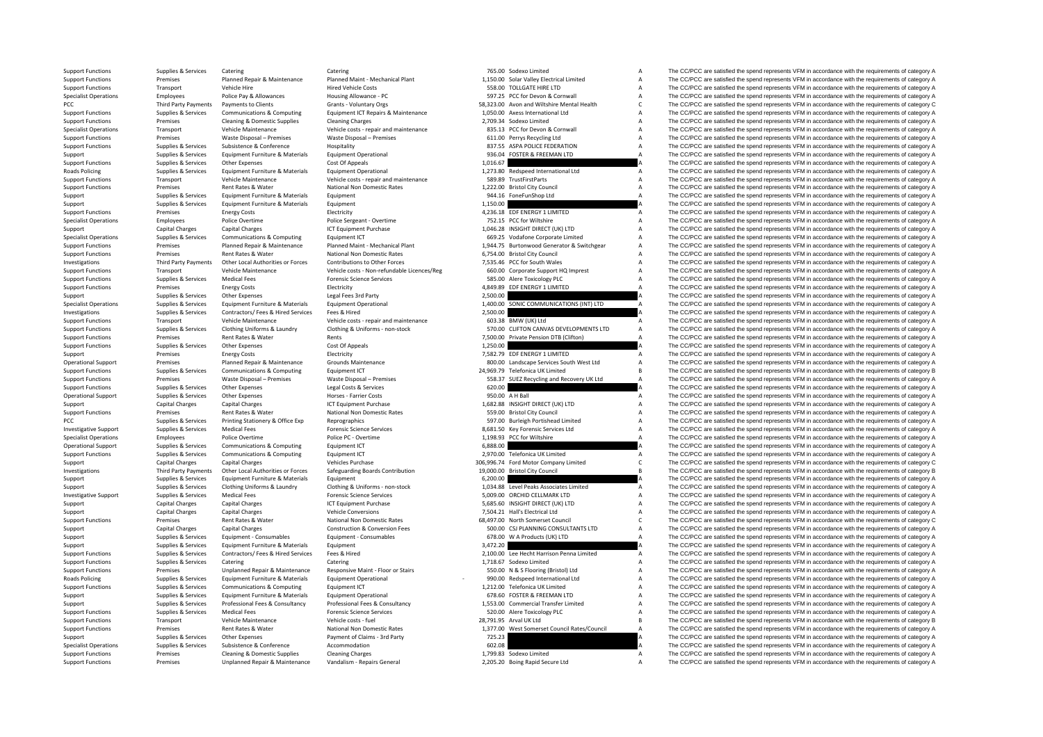**PCC** Third Party Payments **Roads Policing Roads Policing** 

|            | 765.00 Sodexo Limited                               | A      |
|------------|-----------------------------------------------------|--------|
|            | 1,150.00 Solar Valley Electrical Limited            | A      |
|            | 558.00 TOLLGATE HIRE LTD                            | A      |
|            | 597.25 PCC for Devon & Cornwall                     | A      |
|            | 58,323.00 Avon and Wiltshire Mental Health          | C      |
|            | 1,050.00 Axess International Ltd                    | A      |
| 2,709.34   | Sodexo Limited                                      | A      |
|            | 835.13 PCC for Devon & Cornwall                     | A      |
|            | 611.00 Perrys Recycling Ltd                         | A      |
| 837.55     | ASPA POLICE FEDERATION                              | A      |
| 936.04     | <b>FOSTER &amp; FREEMAN LTD</b>                     | A      |
| 1,016.67   |                                                     | A      |
|            | 1,273.80 Redspeed International Ltd                 | A      |
| 589.89     | TrustFirstParts                                     | A      |
|            | 1,222.00 Bristol City Council                       | A      |
| 944.16     | FoneFunShop Ltd                                     | A      |
| 1.150.00   |                                                     | A      |
|            | 4,236.18 EDF ENERGY 1 LIMITED                       | A      |
|            | 752.15 PCC for Wiltshire                            | A      |
|            | 1,046.28 INSIGHT DIRECT (UK) LTD                    | A      |
| 669.25     | Vodafone Corporate Limited                          | A      |
| 1,944.75   | Burtonwood Generator & Switchgear                   | A      |
|            | 6,754.00 Bristol City Council                       | A      |
|            | 7,535.46 PCC for South Wales                        | A      |
|            | 660.00 Corporate Support HQ Imprest                 | A      |
|            |                                                     | A      |
| 4,849.89   | 585.00 Alere Toxicology PLC<br>EDF ENERGY 1 LIMITED | A      |
| 2,500.00   |                                                     |        |
|            | SONIC COMMUNICATIONS (INT) LTD                      | Δ      |
| 1,400.00   |                                                     |        |
| 2,500.00   |                                                     |        |
| 603.38     | BMW (UK) Ltd                                        | A<br>A |
| 570.00     | CLIFTON CANVAS DEVELOPMENTS LTD                     |        |
| 7,500.00   | Private Pension DTB (Clifton)                       | A      |
| 1,250.00   |                                                     | A      |
| 7,582.79   | EDF ENERGY 1 LIMITED                                | A      |
|            | 800.00 Landscape Services South West Ltd            | A      |
|            |                                                     |        |
| 24,969.79  | Telefonica UK Limited                               | B      |
|            | 558.37 SUEZ Recycling and Recovery UK Ltd           | A      |
| 620.00     |                                                     | A      |
|            | 950.00 A H Ball                                     | A      |
|            | 1,682.88 INSIGHT DIRECT (UK) LTD                    | A      |
|            | 559.00 Bristol City Council                         | A      |
|            | 597.00 Burleigh Portishead Limited                  | A      |
| 8.681.50   | Key Forensic Services Ltd                           | A      |
| 1,198.93   | PCC for Wiltshire                                   | A      |
| 6,888.00   |                                                     |        |
| 2.970.00   | Telefonica UK Limited                               | A      |
| 306,996.74 | Ford Motor Company Limited                          | C      |
| 19,000.00  | <b>Bristol City Council</b>                         | B      |
| 6,200.00   |                                                     | A      |
|            | 1,034.88 Level Peaks Associates Limited             | A      |
|            | 5,009.00 ORCHID CELLMARK LTD                        | A      |
|            | 5,685.60 INSIGHT DIRECT (UK) LTD                    | A      |
| 7,504.21   | Hall's Electrical Ltd                               | A      |
| 68,497.00  | North Somerset Council                              | C      |
| 500.00     | CSJ PLANNING CONSULTANTS LTD                        | A      |
| 678.00     | W A Products (UK) LTD                               | A      |
| 3,472.20   |                                                     | A      |
| 2,100.00   | Lee Hecht Harrison Penna Limited                    | A      |
|            | 1,718.67 Sodexo Limited                             | Δ      |
|            | 550.00 N & S Flooring (Bristol) Ltd                 | A      |
|            | 990.00 Redspeed International Ltd                   | A      |
|            | 1,212.00 Telefonica UK Limited                      | A      |
|            | 678.60 FOSTER & FREEMAN LTD                         | A      |
|            | 1,553.00 Commercial Transfer Limited                | A      |
| 520.00     | Alere Toxicology PLC                                | A      |
| 28,791.95  | Arval UK Ltd                                        | B      |
| 1,377.00   | West Somerset Council Rates/Council                 | A      |
| 725.23     |                                                     | A      |
| 602.08     |                                                     | A      |
| 1,799.83   | Sodexo Limited                                      | A      |

Support Functions Supplies & Services Catering Catering Catering Catering Catering Catering Catering Catering Phannel Maint-Mechanical Plant 765.00 Sodexo Limited A The CC/PCC are satisfied the spend represents VFM in acco Support Functions Premises Planned Repair & Maintenance Planned Maint - Mechanical Plant 1,150.00 Solar Valley Electrical Limited A The CC/PCC are satisfied the spend represents VFM in accordance with the requirements of c Support Functions Transport Vehicle Hire Vehicle Hire Hired Vehicle Costs Hire Hired Vehicle Costs 558.00 TOLLGATE HIRE LTD A The CC/PCC are satisfied the spend represents VFM in accordance with the requirements of categor Specialist Operations Cornwall A The CC/PCC are satisfied the spend represents VFM in accordance with the requirements of category A The CC/PCC are satisfied the spend represents VFM in accordance with the requirements of Payments to Clients Collents Computing Grants - Voluntary Orgs 58,323.00 Avon and Wiltshire Mental Health C The CC/PCC are satisfied the spend represents VFM in accordance with the requirements of category A Communications Supplies Supplies & Services Communications & Computing Equipment ICT Repairs & Maintenance 1,050.00 Axess International Ltd a The CC/PCC are satisfied the spend represents VFM in accordance with the requirements of catego Support Functions Premises Cleaning & Domestic Supplies Cleaning Charges Cleaning Charges 2,709.34 Sodexo Limited A The CC/PCC are satisfied the spend represents VFM in accordance with the requirements of category A Specialist Operations Transport Vehicle Maintenance Vehicle costs - repair and maintenance 835.13 PCC for Devon & Cornwall A The CC/PCC are satisfied the spend represents VFM in accordance with the requirements of category Premises Waste Disposal – Premises Waste Disposal – Premises 611.00 Perrys Recycling Ltd A The CC/PCC are satisfied the spend represents VFM in accordance with the requirements of category A Support Functions Supplies & Services Subsistence & Conference Hospitality Hospitality Busheldt Base Hospitality 837.55 ASPA POLICE FEDERATION A The CC/PCC are satisfied the spend represents VFM in accordance with the requ Supplies & Services Equipment Furniture & Materials Equipment Operational 936.04 FOSTER & FREEMAN LTD A The CC/PCC are satisfied the spend represents VFM in accordance with the requirements of category A Support Functions Supplies & Services Other Expenses Cost Of Appeals Cost Of Appeals 1,016.67 A The CC/PCC are satisfied the spend represents VFM in accordance with the requirements of category A Supplies & Services Equipment Furniture & Materials Equipment Operational 1,199 A The CC/PCC are satisfied the spend represents VFM in accordance with the requirements of category A Support Functions Transport Vehicle Maintenance Vehicle costs ‐ repair and maintenance 589.89 TrustFirstParts A The CC/PCC are satisfied the spend represents VFM in accordance with the requirements of category A Support Fu Premises Rent Rates & Water National Non Domestic Rates 1,222.00 Bristol City Council A The CC/PCC are satisfied the spend represents VFM in accordance with the requirements of category A Supplies Supplies & Services Equipment Furniture & Materials Equipment Equipment 944.16 FoneFunShop Ltd A The CC/PCC are satisfied the spend represents VFM in accordance with the requirements of category A<br>Support Support Supplies & Supplies & Services Equipment Furniture & Materials Equipment 1,150.00 A The CC/PCC are satisfied the spend represents VFM in accordance with the requirements of category A Support Functions Premiers Energy Costs Electricity and Electricity 4,236.18 EDE ENERGY 1 LIMITED A The CC/PCC are satisfied the spend represents VFM in accordance with the requirements of category A Specialist Operations Specialist Operations Police Overtime Police Sergeant - Overtime Police Sergeant - Overtime 752.15 PCC for Willshire POSTAGE A The CC/PCC are satisfied the spend represents VFM in accordance with the Support Capital Charges Capital Charges Capital Charges ICT Equipment Purchase 1,046.28 INSIGHT DIRECT (UK) LTD A The CC/PCC are satisfied the spend represents VFM in accordance with the requirements of category A Specialist Operations Supplies & Services Communications & Computing Equipment ICT 669.25 Vodafone Corporate Limited A The CC/PCC are satisfied the spend represents VFM in accordance with the requirements of category A Sup Support Functions of the COPCC are satisfied the spend represents VFM in accordance with the requirements of category Panned Research Providence Planned Research Providence Planned Maint-Mechanical Plant<br>Support Eurotions Premises Rent Rates & Water National Non Domestic Rates 6,754.00 Bristol City Council A The CC/PCC are satisfied the spend represents VFM in accordance with the requirements of category A The CC/PCC are satisfied the spend Investigations Third Party Payments Other Local Authorities or Forces Contributions to Other Forces Contributions to Other Forces 7,535.46 PCC for South Wales and The CC/PCC are satisfied the spend represents VFM in accord Transport Vehicle Maintenance Wehicle costs - Non-refundable Licences/Reg 660.00 Corporate Support HQ Imprest A The CC/PCC are satisfied the spend represents VFM in accordance with the requirements of category A Support Functions Supplies & Services Medical Fees Forensic Science Services Forensic Science Services 585.00 Alere Toxicology PLC A The CC/PCC are satisfied the spend represents VFM in accordance with the requirements of Support Functions Premises Energy Costs Electricity Electricity **Electricity** Electricity and the spend to the spend represents VFM in accordance with the requirements of category A<br>Support Functions Agricultus A Service C Supplies Support Support Contract Contract Contract Contract Contract Contract Contract Contract Contract Contract Contract Contract Contract Contract Contract Contract Contract Contract Contract Contract Contract Contract Supplies & Supplies & Supplies & Supplies Barvices Equipment Furniture & Materials Equipment Operational Equipment Operational and the material of the COPC are satisfied the spend represents VFM in accordance with the requ Investigations Supplies & Services Contractors/ Fees & Hired Services Fees & Hired Presents and maintenance and a median CC/PCC are satisfied the spend represents VFM in accordance with the requirements of category A The C Support Functions Transport Vehicle Maintenance Vehicle costs ‐ repair and maintenance 603.38 BMW (UK) Ltd A The CC/PCC are satisfied the spend represents VFM in accordance with the requirements of category A Support Funct Supplies Supplies & Services Clothing Uniforms & Laundry Clothing & Uniforms non-stock 570.00 CLIFTON CANVAS DEVELOPMENTS LTD A The CC/PCC are satisfied the spend represents VFM in accordance with the requirements of categ Support Functions Premises Rent Rates & Water Rents Rents Rents Rents Rents Rents 2,500.00 Private Pension DTB (Clifton) A The CC/PCC are satisfied the spend represents VFM in accordance with the requirements of category A Support Functions Supplies & Services Other Expenses Cost Of Appeals Cost Of Appeals Cost Of Appeals Cost Of Appeals 1,250.00 A The CC/PCC are satisfied the spend represents VFM in accordance with the requirements of categ Support Premises Energy Costs Energy Costs Electricity Electricity **Electricity** Premises Energy Costs Electricity Electricity **A** The CC/PCC are satisfied the spend represents VFM in accordance with the requirements of ca Operational Support Premises Planned Repair & Maintenance Grounds Maintenance South Message Services South West Ltd A The CC/PCC are satisfied the spend represents VFM in accordance with the requirements of category A Supp Support Functions Supplies & Services Communications & Computing Equipment ICT 24,969.79 Telefonica UK Limited B The CC/PCC are satisfied the spend represents VFM in accordance with the requirements of category B Vactor Ma SUPPORT FUNCTIONS PREMISES Waster Disposal – Premises SERIMATE CONTRACT CONTRACT CONTRACT CONTRACT CONTRACT CONTRACT CONTRACT A THE CC/PCC are satisfied the spend represents VFM in accordance with the requirements of categ Support Functions Supplies & Services Other Expenses And Legal Costs & Services Costs 620.00 A The CC/PCC are satisfied the spend represents VFM in accordance with the requirements of category A Corea Costs are the spend r The CC/PCC are satisfied the spend represents VFM in accordance with the requirements of category A Support Capital Charges Capital Charges Capital Charges Capital Charges ICT Equipment Purchase 1,682.88 INSIGHT DIRECT (UK) LTD A The CC/PCC are satisfied the spend represents VFM in accordance with the requirements of cat Premises Rent Rates & Water National Non Domestic Rates 559.00 Bristol City Council A The CC/PCC are satisfied the spend represents VFM in accordance with the requirements of category A PCC Supplies & Services Printing Stationery & Office Exp Reprographics 597.00 Burleigh Portishead Limited A The CC/PCC are satisfied the spend reprographs VFM in accordance with the requirements of category A Investigative Support Supplies & Services Medical Fees Forensic Science Services Medical Fees Forensic Science Services A S681.50 Key Forensic Services Ltd A The CC/PCC are satisfied the spend represents VFM in accordance Specialist Operations Employees Police Overtime Police PC - Overtime Police PC - Overtime Police PC - Overtime<br>
A The CC/PCC are satisfied the spend represents VFM in accordance with the requirements of category A Computin Operational Support Supplies & Services Communications & Computing Equipment ICT 6,888.00 6,888.00 A The CC/PCC are satisfied the spend represents VFM in accordance with the requirements of category A Support Functions Supplies & Services Communications & Computing Foulinment ICT 2,970.00 Telefonica UK Limited A The CC/PCC are satisfied the spend represents VFM in accordance with the requirements of category A Support Capital Charges Capital Charges Capital Charges Vehicles Purchase Vehicles Purchase 306,996.74 Ford Motor Company Limited C The CC/PCC are satisfied the spend represents VFM in accordance with the requirements of c Third Party Payments Other Local Authorities or Forces Safeguarding Boards Contribution 19,000.00 Bristol City Council Control B The CC/PCC are satisfied the spend represents VFM in accordance with the requirements of cate Support Supplies & Services Equipment Furniture & Materials Equipment Equipment Equipment Equipment Equipment Equipment Equipment Equipment and Support and the CC/PCC are satisfied the spend represents VFM in accordance wi Supplies & Services Clothing Uniforms & Laundry Clothing & Uniforms - non-stock 1,034.88 Level Peaks Associates Limited A The CC/PCC are satisfied the spend represents VFM in accordance with the requirements of category A Investigative Support Support Support Services Medical Fees Forensic Science Services 5,009.00 ORCHID CELLMARK LTD A The CC/PCC are satisfied the spend represents VFM in accordance with the requirements of category A Support Capital Charges Capital Charges Capital Charges ICT Equipment Purchase ICT Companies Capital Charges ICT Equipment Purchase 5,685.60 INSIGHT DIRECT (UK) LTD A The CC/PCC are satisfied the spend represents VFM in ac support Capital Charges Capital Charges Capital Charges Vehicle Conversions 7,504.21 Hall's Electrical Ltd A The CC/PCC are satisfied the spend represents VFM in accordance with the requirements of category A Vehicle Conve Support Functions Premises Rent Rates & Water National Non Domestic Rates 68,497.00 North Somerset Council Council C The CC/PCC are satisfied the spend represents VFM in accordance with the requirements of category C C C C Support Capital Charges Capital Charges Construction & Conversion Fees 500.00 CSJ PLANNING CONSULTANTS LTD A The CC/PCC are satisfied the spend represents VFM in accordance with the requirements of category A Support Supplies & Services Equipment - Consumables Equipment - Consumables Equipment - Consumables Equipment - Consumables Equipment - Consumables and the Support A The CC/PCC are satisfied the spend represents VFM in acc Support Supplies & Services Equipment Eurative & Materials Equipment and the support and the services and the spend represents VFM in accordance with the requirements of category A<br>Support Functions Supplies & Services Con Sunnort Functions Sunning & Services Contractors/ Fees & Hired Sunning Capacity Contractors/ Fees & Hired 201000 1ee Herbt Harrison Penna Limited The CC/PCC are satisfied the spend represents VFM in accordance with the req Support Functions Supplies & Services Catering Catering Catering Catering Catering Catering Catering Catering Catering Catering Catering Catering Catering Catering Support Functions A The CC/PCC are satisfied the spend rep Premises Unplanned Repair & Maintenance Responsive Maint - Floor or Stairs 550.00 N & S Flooring (Bristol) Ltd A The CC/PCC are satisfied the spend represents VFM in accordance with the requirements of category A Supplies & Services Equipment Furniture & Materials Equipment Operational example the services of category A and the CC/PCC are satisfied the spend represents VFM in accordance with the requirements of category A and the S Support Functions Supplies & Services Communications & Computing Equipment ICT Equipment ICT 1,212.00 Telefonica UK Limited A The CC/PCC are satisfied the spend represents VFM in accordance with the requirements of categor Support Support Support Services Equipment Furniture & Materials Equipment Operational 678.60 FOSTER & FREEMAN LTD A The CC/PCC are satisfied the spend represents VFM in accordance with the requirements of category A Supplies & Services Professional Fees & Consultancy Professional Fees & Consultancy Professional Fees & Consultancy Professional Fees & Consultancy 1,553.00 Commercial Transfer Limited Maynet The CC/PCC are satisfied the s The CC/PCC are satisfied the spend represents VFM in accordance with the requirements of category A Support Functions Transport Vehicle Maintenance Vehicle costs - fuel Vehicle costs - fuel 28,791.95 Arval UK Ltd B The CC/PCC are satisfied the spend represents VFM in accordance with the requirements of category B Support Functions Premises Rent Rates & Water National Non Domestic Rates 1,377.00 West Somerset Council Rates/Council A The CC/PCC are satisfied the spend represents VFM in accordance with the requirements of category A P Support Supplies & Services Other Expenses Payment of Claims - 3rd Party 725.23 725.23 A The CC/PCC are satisfied the spend represents VFM in accordance with the requirements of category A<br>Support Support Support Support S Specialist Operations Supplies & Services Subsistence Subsistence Accommodation Accommodation Accommodation accommodation 602.08 A The CC/PCC are satisfied the spend represents VFM in accordance with the requirements of ca Premises Cleaning & Domestic Supplies Cleaning Charges 1,799.83 Sodexo Limited A The CC/PCC are satisfied the spend represents VFM in accordance with the requirements of category A Support Functions Premises Unplanned Repair & Maintenance Vandalism ‐ Repairs General 2,205.20 Boing Rapid Secure Ltd A The CC/PCC are satisfied the spend represents VFM in accordance with the requirements of category A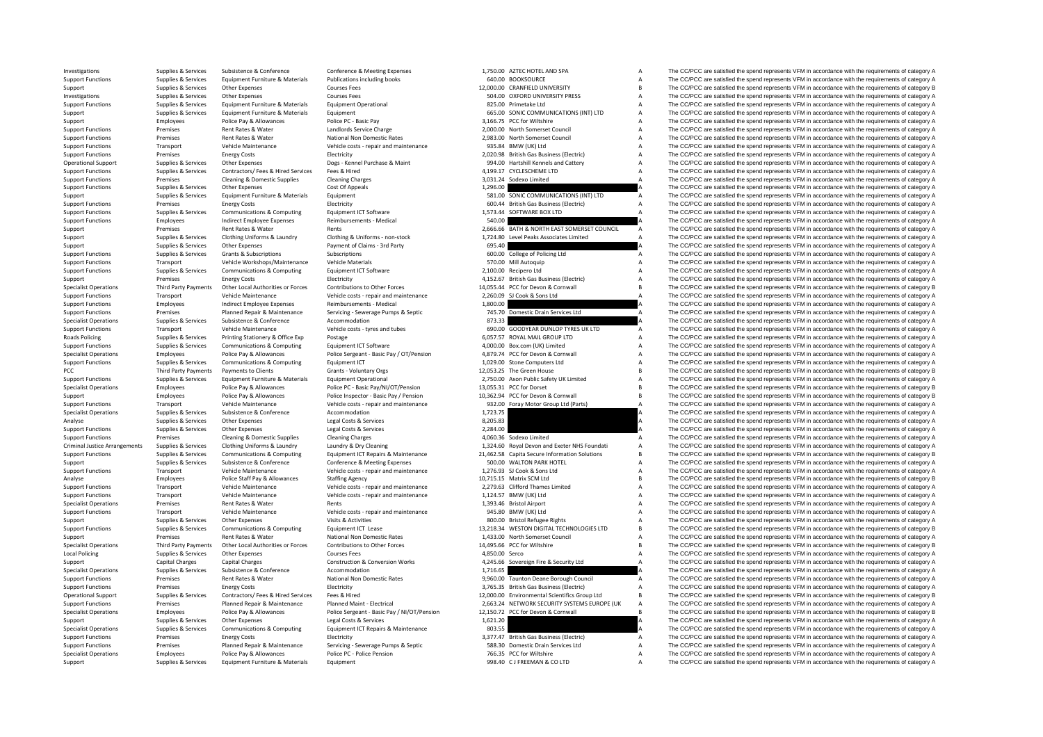Roads Policing PCC Third Party Payments Criminal Justice**Local Policing** 

|                | 1,750.00 AZTEC HOTEL AND SPA                  | Α |
|----------------|-----------------------------------------------|---|
|                | 640.00 BOOKSOURCE                             | A |
|                | 12,000.00 CRANFIELD UNIVERSITY                | B |
|                | 504.00 OXFORD UNIVERSITY PRESS                | A |
|                | 825.00 Primetake Ltd                          | A |
|                | 665.00 SONIC COMMUNICATIONS (INT) LTD         | A |
|                | 3,166.75 PCC for Wiltshire                    | A |
|                | 2,000.00 North Somerset Council               | A |
|                | 2,983.00 North Somerset Council               | A |
|                | 935.84 BMW (UK) Ltd                           | A |
|                |                                               |   |
|                | 2,020.98 British Gas Business (Electric)      | A |
|                | 994.00 Hartshill Kennels and Cattery          | A |
|                | 4,199.17 CYCLESCHEME LTD                      | A |
| 3,031.24       | Sodexo Limited                                | A |
| 1,296.00       |                                               | A |
|                | 581.00 SONIC COMMUNICATIONS (INT) LTD         | A |
|                | 600.44 British Gas Business (Electric)        | A |
|                | 1,573.44 SOFTWARE BOX LTD                     | A |
| 540.00         |                                               | A |
|                | 2,666.66 BATH & NORTH EAST SOMERSET COUNCIL   | A |
|                | 1,724.80 Level Peaks Associates Limited       | A |
| 695.40         |                                               | A |
|                | 600.00 College of Policing Ltd                | А |
|                | 570.00 Mill Autoquip                          | A |
|                | 2,100.00 Recipero Ltd                         | A |
|                | 4,152.67 British Gas Business (Electric)      | A |
|                | 14,055.44 PCC for Devon & Cornwall            | R |
|                |                                               | A |
|                | 2,260.09 SJ Cook & Sons Ltd                   |   |
| 1,800.00       |                                               | A |
| 745.70         | Domestic Drain Services Ltd                   | A |
| 873.33         |                                               | A |
|                | 690.00 GOODYEAR DUNLOP TYRES UK LTD           | A |
|                | 6,057.57 ROYAL MAIL GROUP LTD                 | A |
|                | 4,000.00 Box.com (UK) Limited                 | A |
|                | 4,879.74 PCC for Devon & Cornwall             | A |
|                | 1,029.00 Stone Computers Ltd                  | A |
| 12,053.25      | The Green House                               | R |
|                | 2,750.00 Axon Public Safety UK Limited        | A |
|                | 13,055.31 PCC for Dorset                      | R |
|                | 10,362.94 PCC for Devon & Cornwall            | R |
|                | 932.00 Foray Motor Group Ltd (Parts)          | A |
| 1,723.75       |                                               | A |
| 8,205.83       |                                               | A |
| 2,284.00       |                                               | Δ |
|                | 4,060.36 Sodexo Limited                       | Δ |
|                | 1,324.60 Royal Devon and Exeter NHS Foundati  | A |
|                | 21,462.58 Capita Secure Information Solutions | B |
|                | 500.00 WALTON PARK HOTEL                      | A |
|                | 1,276.93 SJ Cook & Sons Ltd                   | A |
|                | 10,715.15 Matrix SCM Ltd                      | R |
|                | 2,279.63 Clifford Thames Limited              | А |
|                | 1,124.57 BMW (UK) Ltd                         | A |
|                | 1,393.46 Bristol Airport                      | A |
|                |                                               |   |
|                | 945.80 BMW (UK) Ltd                           | A |
|                | 800.00 Bristol Refugee Rights                 | A |
|                | 13,218.34 WESTON DIGITAL TECHNOLOGIES LTD     | R |
|                | 1,433.00 North Somerset Council               | A |
| 14,495.66      | PCC for Wiltshire                             | B |
| 4,850.00 Serco |                                               | A |
|                | 4,245.66 Sovereign Fire & Security Ltd        | A |
| 1,716.65       |                                               | A |
|                | 9,960.00 Taunton Deane Borough Council        | A |
|                | 3,765.35 British Gas Business (Electric)      | A |
|                | 12,000.00 Environmental Scientifics Group Ltd | B |
|                | 2,663.24 NETWORK SECURITY SYSTEMS EUROPE (UK  | A |
|                | 12,150.72 PCC for Devon & Cornwall            | B |
| 1,621.20       |                                               | A |
| 803.55         |                                               | A |
| 3,377.47       | <b>British Gas Business (Electric)</b>        | A |
|                | 588.30 Domestic Drain Services Ltd            | A |
|                | 766.35 PCC for Wiltshire                      | A |
|                | 998.40 CJ FREEMAN & COLTD                     | A |
|                |                                               |   |

Investigations Supplies & Services Subsistence & Conference Conference Conference & Meeting Expenses 1,750.00 AZTEC HOTEL AND SPA A The CC/PCC are satisfied the spend represents VFM in accordance with the requirements of c Support Functions Supplies & Services Equipment Furniture & Materials Publications including books 640.00 BOOKSOURCE A The CC/PCC are satisfied the spend represents VFM in accordance with the requirements of category A Support Supplies & Services Other Expenses Courses Fees Courses Fees 12,000.00 CRANFIELD UNIVERSITY ARES The CC/PCC are satisfied the spend represents VFM in accordance with the requirements of category B<br>Investigations Su The CC/PCC are satisfied the spend represents VFM in accordance with the requirements of category A Support Functions Supplies & Services Equipment Furniture & Materials Equipment Operational Equipment Operational 825.00 Primetake Ltd Basisfied the CC/PCC are satisfied the spend represents VFM in accordance with the requ Support Supplies & Services Equipment Furniture & Materials Equipment Equipment Equipment Equipment Equipment Equipment and the Support and the CC/PCC are satisfied the spend represents VFM in accordance with the requireme Support Employees Police Pay & Allowances Police PC - Basic Pay 3,166.75 PCC for Wiltshire A The CC/PCC are satisfied the spend represents VFM in accordance with the requirements of category A Support Functions Premises Rent Rates & Water Mandlords Service Charge 2,000.00 North Somerset Council A The CC/PCC are satisfied the spend represents VFM in accordance with the requirements of category A<br>A Support Functio Premises Rent Rates & Water Mational Non Domestic Rates 2,983.00 North Somerset Council A The CC/PCC are satisfied the spend represents VFM in accordance with the requirements of category A Support Functions Transport Vehicle Maintenance Vehicle Costs ‐ repair and maintenance 935.84 BMW (UK) Ltd A The CC/PCC are satisfied the spend represents VFM in accordance with the requirements of category A Support Functions Premises Energy Costs Electricity Electricity **Electricity** 2,020.98 British Gas Business (Electric) A The CC/PCC are satisfied the spend represents VFM in accordance with the requirements of category A Operational Support Supplies & Services Other Expenses Dogs - Kennel Purchase & Maint 994.00 Hartshill Kennels and Cattery A The CC/PCC are satisfied the spend represents VFM in accordance with the requirements of category Support Functions Supplies & Services Contractors/ Fees & Hired Services Fees & Hired Services Fees & Hired 4,199.17 CYCLESCHEME LTD A The CC/PCC are satisfied the spend represents VFM in accordance with the requirements o Support Functions Premises Cleaning & Domestic Supplies Cleaning Charges Cleaning Charges Cleaning Charges Cleaning Charges Cleaning Charges 3,031.24 Sodexo Limited A The CC/PCC are satisfied the spend represents VFM in ac Support Functions Supplies Accordance Other Expenses Cost Of Appeals Cost Of Appeals Cost Of Appeals Cost Of Appeals 1,296.00 A The CC/PCC are satisfied the spend represents VFM in accordance with the requirements of categ Support Support Support Services Equipment Europeant Support Fund to the Services Equipment 581.00 SONIC COMMUNICATIONS (INT) TD A The CC/PCC are satisfied the spend represents VFM in accordance with the requirements of ca Support Functions Premises Energy Costs Electricity Electricity Electricity Electricity Electricity Electricity and the spend represents of the CC/PCC are satisfied the spend represents VFM in accordance with the requireme Support Functions Communications Support Functions of Computing Computing Computing Computing Computing Computing Equipment ICT Software 1,573.44 SOFTWARE BOX LTD A The CC/PCC are satisfied the spend represents VFM in acco Support Functions Employees and incited Employee Expenses Reimbursements - Medical 540.00 540.00 A The CC/PCC are satisfied the spend represents VFM in accordance with the requirements of category A<br>Support Permises Rent R Support Premises Rent Rates & Water Rents Rents Rents Rents Rents Rents 2,666.66 BATH & NORTH EAST SOMERSET COUNCIL A The CC/PCC are satisfied the spend represents VFM in accordance with the requirements of category A<br>Supp Supplies & Services Clothing Uniforms & Laundry Clothing & Uniforms - non-stock 1.774.80 Level Peaks Associates Limited A The CC/PCC are satisfied the spend represents VFM in accordance with the requirements of category A Support Supplies & Services Other Expenses Payment of Claims - 3rd Party 695.40 **A** The CC/PCC are satisfied the spend represents VFM in accordance with the requirements of category A Support Support Support Support Suppor Support Functions Supplies & Services Grants & Subscriptions Subscriptions Subscriptions Subscriptions Subscriptions Subscriptions Subscriptions Subscriptions (Subscriptions Subscriptions of College of Policing Ltd A The C Support Functions Transport Vehicle Workshops/Maintenance Vehicle Materials Vehicle Materials STO.00 Mill Autoquip STO.00 Mill Autoquip A The CC/PCC are satisfied the spend represents VFM in accordance with the requirement The CC/PCC are satisfied the spend represents VFM in accordance with the requirements of category A Support Premises Energy Costs Electricity Electricity Electricity Electricity Electricity entergy and the electricity and the spend represents VFM in accordance with the requirements of category A Contributions to other Fo Specialist Operations Third Party Payments Other Local Authorities or Forces Contributions to Other Forces contributions to Other Forces 14,055.44 PCC for Devon & Connwall Bearing The CC/PCC are satisfied the spend represe Support Transport Vehicle Maintenance Vehicle Costs repair and maintenance 2,260.09 SUCook & Sons Ltd A The CC/PCC are satisfied the spend represents VFM in accordance with the requirements of category A The CC/PCC are sat Support Functions Employees and incited Employee Expenses Reimbursements - Medical 1,800.00 A The CC/PCC are satisfied the spend represents VFM in accordance with the requirements of category A<br>
Support Functions Functions Premises Planned Repair & Maintenance Servicing Sewerage Pumps & Septic 745.70 Domestic Drain Services Ltd A The CC/PCC are satisfied the spend represents VFM in accordance with the requirements of category A Specialist Operations Supplies & Services Subsistence  $\alpha$  Accommodation Accommodation 873.33 A The CC/PCC are satisfied the spend represents VFM in accordance with the requirements of category A Support Functions Transport Vehicle Maintenance Vehicle costs – tyres and tubes 690.00 GOODYEAR DUNLOP TYRES UK LTD A The CC/PCC are satisfied the spend represents VFM in accordance with the requirements of category A Real Supplies & Services Printing Stationery & Office Exp Postage Postage Principal CTS oftware 6,057.57 ROYAL MAIL GROUP LTD A The CC/PCC are satisfied the spend represents VFM in accordance with the requirements of category A Support Functions Supplies & Services Communications & Computing Equipment ICT Software A A 4,000.00 Box.com (UK) Limited A The CC/PCC are satisfied the spend represents VFM in accordance with the requirements of category Employees Police Pay & Allowances Police Pay & Allowances Police Sergeant - Basic Pay / OT/Pension 4,879.74 PCC for Devon & Cornwall A The CC/PCC are satisfied the spend represents VFM in accordance with the requirements o Support Functions Supplies & Services Communications & Computing Equipment ICT 1,029.00 Stone Computers Ltd A The CC/PCC are satisfied the spend represents VFM in accordance with the requirements of category A Payments to Clients Clients Grants - Voluntary Orgs 12,053.25 The Green House B The CC/PCC are satisfied the spend represents VFM in accordance with the requirements of category B<br>Payment Furniture & Materials Followers of Sunnort Eurorions Sunning & Services Fruitoment Eurorities & Materials Fruitoment Operational 2750.00 Axon Public Safety UK Limited Material The CC/PCC are satisfied the spend represents VFM in accordance with the requirem Specialist Operations Employees Police Pay & Allowances Police PC - Basic Pay/NI/OT/Pension 13,055.31 PCC for Dorset B The CC/PCC are satisfied the spend represents VFM in accordance with the requirements of category B<br>Sup Support Employees Police Pay & Allowances Police Inspector - Basic Pay / Pension 10,362.94 PCC for Devon & Cornwall B The CC/PCC are satisfied the spend represents VFM in accordance with the requirements of category B Transport Vehicle Maintenance Vehicle costs - repair and maintenance 332.00 Foray Motor Group Ltd (Parts) A The CC/PCC are satisfied the spend represents VFM in accordance with the requirements of category A<br>Supplies the S Specialist Operations Supplies & Services Subsistence Subsistence Accommodation Accommodation 1,723.75 A The CC/PCC are satisfied the spend represents VFM in accordance with the requirements of category A Analyse Supplies & Services Other Expenses Legal Costs & Services 8,205.83 A The CC/PCC are satisfied the spend represents VFM in accordance with the requirements of category A Support Functions Supplies & Services Other Expenses Legal Costs & Services 2,284.00 A The CC/PCC are satisfied the spend represents VFM in accordance with the requirements of category A Support Functions Premises Cleaning & Domestic Supplies Cleaning Charges Cleaning Charges Cleaning Charges Cleaning Charges Cleaning Charges A 4,060.36 Sodexo Limited A The CC/PCC are satisfied the spend represents VFM in Clothing Uniforms & Laundry Manuforms and the CONCE are additional to the CONCE are satisfied the spend represents VFM in accordance with the requirements of category A<br>Communications & Communications of Continuum Equipmen Supplies & Services Communications & Compution Communications & Computing Foujionment ICT Repairs & Maintenance 21.462.58 Capita Service Information Solutions B The CC/PCC are satisfied the spend represents VFM in accordan Support Supplies & Services Subsistence Subsistence Conference Conference Conference Conference Conference Conference Conference Conference Conference and the spend represents and the conference of the spend represents of Support Functions Transport Vehicle Maintenance Vehicle costs repair and maintenance 1,276.93 SJ Cook & Sons Ltd A The CC/PCC are satisfied the spend repair and maintenance of category A The CC/PCC are satisfied the spend Analyse Employees Police Staff Pay & Allowances Staffing Agency Staffing Agency 10,715.15 Matrix SCM Ltd B The CC/PCC are satisfied the spend represents VFM in accordance with the requirements of category B<br>Support Functio Transport Vehicle Maintenance Vehicle costs ‐ repair and maintenance 2,279.63 Clifford Thames Limited A The CC/PCC are satisfied the spend represents VFM in accordance with the requirements of category A Support Functions Transport Vehicle Maintenance Vehicle costs canaix and maintenance 1,124.57 BMW (UK) Ltd A The CC/PCC are satisfied the spend represents VFM in accordance with the requirements of category A The CC/PCC ar Specialist Operations Premises Rent Rates & Water Rents Rents Rents Rents Rents Rents Rents Rents Rents Rents Rents Rents Rents Rents and the Special America A The CC/PCC are satisfied the spend represents VFM in accordanc Support Functions and Transport Vehicle Maintenance Vehicle costs repair and maintenance 945.80 BMW (UK) Ltd A The CC/PCC are satisfied the spend represents VFM in accordance with the requirements of category A Support Supplies & Services Other Expenses Visits & Activities Visits & Activities 800.00 Bristol Refugee Rights A The CC/PCC are satisfied the spend represents VFM in accordance with the requirements of category A Support The CC/PCC are satisfied the spend represents VFM in accordance with the requirements of category B Support Premises Rent Rates & Water National Non Domestic Rates 1,433.00 North Somerset Council A The CC/PCC are satisfied the spend represents VFM in accordance with the requirements of category A Specialist Operations Third Party Payments Other Local Authorities or Forces Contributions to Other Forces 14,495.66 PCC for Willthire 15,000 B The CC/PCC are satisfied the spend represents VFM in accordance with the requi Policing Supplies & Services Other Expenses Courses Fees Courses Fees A,850.00 Serco A The CC/PCC are satisfied the spend represents VFM in accordance with the requirements of category A Capital Charges Capital Charges Cap Support Capital Charges Capital Charges Capital Charges Capital Charges Capital Charges Capital Charges Capital Charges Capital Charges Construction & Conversion Works 4,245.66 Sovereign Fire & Security Ltd A The CC/PCC ar Supplies & Subsistence & Conference Accommodation A CONFERENCE ACCOMMON A The CC/PCC are satisfied the spend represents VFM in accordance with the requirements of category A The C. PCC are satisfied the spend represents VF Support Functions Premises Rent Rates & Water National Non Domestic Rates 9,960.00 Taunton Deane Borough Council A The CC/PCC are satisfied the spend represents VFM in accordance with the requirements of category A Support Functions Premises Energy Costs Electricity Electricity and the Support Electricity and the Support Electricity and the CC/PCC are satisfied the spend represents VFM in accordance with the requirements of category Onerational Sunnort Sunniles & Services Contractors/ Fees & Hired Sunnies Creates Hired Sunnies of Sunnies Associates Contractors/ Fees & Hired Sunnies Contractors (Fees & Hired 12000 Contractors Contractors Contractors Fe Vermises Premises Product Planned Repair & Maintenance Planned Maint - Electrical 2,663.24 NETWORK SECURITY SYSTEMS EUROPE (UK A The CC/PCC are satisfied the spend represents VFM in accordance with the requirements of cate The CC/PCC are satisfied the spend represents VFM in accordance with the requirements of category B Support Supplies & Services Other Expenses Legal Costs & Services Legal Costs & Services Legal Costs & Services 1,621.20 A The CC/PCC are satisfied the spend represents VFM in accordance with the requirements of category A Specialist Operations Supplies & Services Communications & Computing Equipment ICT Repairs & Maintenance 803.55 A The CC/PCC are satisfied the spend represents VFM in accordance with the requirements of category A Support Functions Premises Energy Costs Electricity Electricity Support Electricity 3,377.47 British Gas Business (Electricity A The CC/PCC are satisfied the spend represents VFM in accordance with the requirements of cate Premises Planned Repair & Maintenance Servicing - Severage Pumps & Septic 588.30 Domestic Drain Services Ltd Services Ltd The CC/PCC are satisfied the spend represents VFM in accordance with the requirements of category A<br> Employees Police Pay & Allowances Police PC - Police Pension Police Pansion 766.35 PCC for Wiltshire A The CC/PCC are satisfied the spend represents VFM in accordance with the requirements of category A Support Supplies & Services Equipment Furniture & Materials Equipment Support Equipment A Support 998.40 C J FREEMAN & CO LTD A The CC/PCC are satisfied the spend represents VFM in accordance with the requirements of categ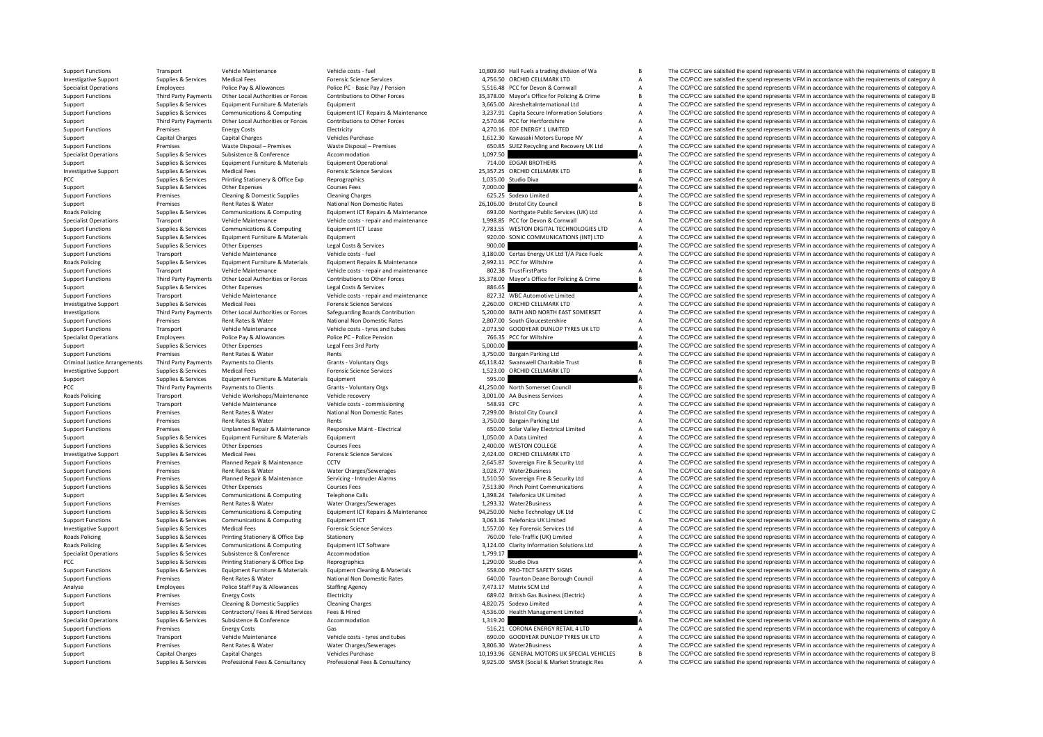Roads Policing **Roads Policing** Criminal JusticePCC Third Party Payments **Roads Policing Roads Policing Roads Policing** 

|            | 10,809.60 Hall Fuels a trading division of Wa                     | B      |
|------------|-------------------------------------------------------------------|--------|
|            | 4,756.50 ORCHID CELLMARK LTD                                      | A      |
|            | 5,516.48 PCC for Devon & Cornwall                                 | A      |
|            | 35,378.00 Mayor's Office for Policing & Crime                     | B      |
|            | 3,665.00 AiresheltaInternational Ltd                              | A      |
|            | 3,237.91 Capita Secure Information Solutions                      | A      |
|            | 2,570.66 PCC for Hertfordshire                                    | A      |
|            | 4,270.16 EDF ENERGY 1 LIMITED                                     | A      |
|            | 1,612.30 Kawasaki Motors Europe NV                                | A      |
| 650.85     | SUEZ Recycling and Recovery UK Ltd                                | A      |
| 1,097.50   |                                                                   | A      |
|            | 714.00 EDGAR BROTHERS                                             | A      |
|            | 25,357.25 ORCHID CELLMARK LTD                                     | B      |
| 1,035.00   | Studio Diva                                                       | A      |
| 7,000.00   |                                                                   | A      |
|            | 625.25 Sodexo Limited                                             | A      |
|            | 26,106.00 Bristol City Council                                    | B      |
|            | 693.00 Northgate Public Services (UK) Ltd                         | A      |
|            | 1,998.85 PCC for Devon & Cornwall                                 | A      |
|            | 7,783.55 WESTON DIGITAL TECHNOLOGIES LTD                          | A      |
|            | 920.00 SONIC COMMUNICATIONS (INT) LTD                             | A      |
| 900.00     |                                                                   | A      |
|            | 3,180.00 Certas Energy UK Ltd T/A Pace Fuelc                      | A      |
|            |                                                                   | A      |
|            | 2,992.11 PCC for Wiltshire                                        |        |
|            | 802.38 TrustFirstParts                                            | A      |
| 35,378.00  | Mayor's Office for Policing & Crime                               | B      |
| 886.65     |                                                                   | A      |
| 827.32     | <b>WBC Automotive Limited</b>                                     | A      |
|            | 2,260.00 ORCHID CELLMARK LTD                                      | A      |
|            | 5,200.00 BATH AND NORTH EAST SOMERSET                             | A      |
|            | 2,807.00 South Gloucestershire                                    | A      |
|            | 2,073.50 GOODYEAR DUNLOP TYRES UK LTD                             | A      |
| 766.35     | PCC for Wiltshire                                                 | A      |
| 5,000.00   |                                                                   | A      |
| 3,750.00   | Bargain Parking Ltd                                               | Α      |
|            | 46,118.42 Swanswell Charitable Trust                              | B      |
|            |                                                                   |        |
| 1,523.00   | ORCHID CELLMARK LTD                                               | A      |
| 595.00     |                                                                   | A      |
|            | 41,250.00 North Somerset Council                                  | R      |
|            | 3,001.00 AA Business Services                                     | A      |
| 548.93 CPC |                                                                   | A      |
|            | 7,299.00 Bristol City Council                                     | A      |
|            | 3,750.00 Bargain Parking Ltd                                      | A      |
|            |                                                                   | A      |
|            | 650.00 Solar Valley Electrical Limited<br>1,050.00 A Data Limited | A      |
|            | 2,400.00 WESTON COLLEGE                                           | A      |
|            | 2,424.00 ORCHID CELLMARK LTD                                      | A      |
| 2,645.87   |                                                                   | A      |
|            | Sovereign Fire & Security Ltd                                     |        |
| 3,028.77   | Water2Business                                                    | A      |
| 1,510.50   | Sovereign Fire & Security Ltd                                     | A<br>A |
|            | 7,513.80 Pinch Point Communications                               |        |
|            | 1,398.24 Telefonica UK Limited                                    | A      |
|            | 1,293.32 Water2Business                                           | A      |
|            | 94,250.00 Niche Technology UK Ltd                                 | c      |
|            | 3,063.16 Telefonica UK Limited                                    | A      |
|            | 1,557.00 Key Forensic Services Ltd                                | A      |
|            | 760.00 Tele-Traffic (UK) Limited                                  | A      |
|            | 3,124.00 Clarity Information Solutions Ltd                        | A      |
| 1,799.17   |                                                                   | A      |
| 1,290.00   | Studio Diva                                                       | A      |
|            | 558.00 PRO-TECT SAFETY SIGNS                                      | A      |
| 640.00     | Taunton Deane Borough Council                                     | A      |
| 7,473.17   | Matrix SCM Ltd                                                    | A      |
|            | 689.02 British Gas Business (Electric)                            | A      |
|            | 4,820.75 Sodexo Limited                                           | A      |
| 4,536.00   | Health Management Limited                                         | A      |
| 1,319.20   |                                                                   | A      |
|            | 516.21 CORONA ENERGY RETAIL 4 LTD                                 | A      |
|            | 690.00 GOODYEAR DUNLOP TYRES UK LTD                               | A      |
|            | 3.806.30 Water2Business                                           | A      |
|            | 10,193.96 GENERAL MOTORS UK SPECIAL VEHICLES                      | B      |
|            | 9,925.00 SMSR (Social & Market Strategic Res                      | A      |

Support Functions Transport Vehicle Maintenance Vehicle costs – fuel Vehicle costs – fuel Vehicle costs – fuel Vehicle costs – fuel Vehicle costs – fuel 10,809.60 Hall Fuels a trading division of Wa B The CC/PCC are satisf Investigative Support Support Support Services Medical Fees Forensic Science Services and A 756.50 ORCHID CELLMARK LTD A The CC/PCC are satisfied the spend represents VFM in accordance with the requirements of category A Specialist Operations Employees Police Pay & Allowances Police PC - Basic Pay / Pension 5,516.48 PCC for Devon & Cornwall A The CC/PCC are satisfied the spend represents VFM in accordance with the requirements of category The CC/PCC are satisfied the spend represents VFM in accordance with the requirements of category B Support Supplies & Services Equipment Furniture & Materials Equipment Equipment Equipment Equipment and Equipment Equipment and the Support A The CC/PCC are satisfied the spend represents VFM in accordance with the require Supplies & Services Communications & Computing Equipment ICT Repairs & Maintenance 3,237.91 Capita Secure Information Solutions A The CC/PCC are satisfied the spend represents VFM in accordance with the requirements of cat Third Party Payments Other Local Authorities or Forces Contributions to Other Forces 2,570.66 PCC for Hertfordshire ACC/PCC are satisfied the spend represents VFM in accordance with the requirements of category ACC/PCC are Support Functions Premises Energy Costs Electricity Electricity And the Electricity Electricity A Category A The CC/PCC are satisfied the spend represents VFM in accordance with the requirements of category A Support Capit Support Capital Charges Capital Charges Vehicles Purchase Vehicles Purchase 1,612.30 Kawasaki Motors Europe NV A The CC/PCC are satisfied the spend represents VFM in accordance with the requirements of category A Support Functions Premises Waste Disposal – Premises Waste Disposal – Premises Waste Disposal – Premises Waste Disposal – Premises Waste Disposal – Premises Waste Disposal – Premises 650.85 SUEZ Recycling and Recovery UK L Specialist Operations Supplies & Services Subsistence Subsistence Accommodation Accommodation 1,097.50 A The CC/PCC are satisfied the spend represents VFM in accordance with the requirements of category A Support Supplies & Services Equipment Furniture & Materials Equipment Operational 714.00 EDGAR BROTHERS A The CC/PCC are satisfied the spend represents VFM in accordance with the requirements of category A Investigative Support Supplies & Services Medical Fees Forensic Science Services Forensic Science Services 25,357.25 ORCHID CELLMARK LTD B The CC/PCC are satisfied the spend represents VFM in accordance with the requiremen PCC Supplies & Services Printing Stationery & Office Exp Reprographics Reprographics 1,035.00 Studio Diva A The CC/PCC are satisfied the spend represents VFM in accordance with the requirements of category A Supplies & Services Other Expenses Courses Fees Courses Fees 7,000.00 A The CC/PCC are satisfied the spend represents VFM in accordance with the requirements of category A Support Functions Premises Cleaning & Domestic Supplies Cleaning Charges Cleaning Charges Cleaning Charges Cleaning Charges Cleaning Charges 625.25 Sodexo Limited A The CC/PCC are satisfied the spend represents VFM in acco Support Premises Rent Rates & Water National Non Domestic Rates 26,106.00 Bristol City Council B The CC/PCC are satisfied the spend represents VFM in accordance with the requirements of category B<br>Bands Policing Support Co The CC/PCC are satisfied the spend represents VEM in accordance with the requirements of category & Specialist Operations Transport Vehicle Maintenance Vehicle Costs - repair and maintenance 1,998.85 PCC for Devon & Cornwall Annual The CC/PCC are satisfied the spend represents VFM in accordance with the requirements of c The CC/PCC are satisfied the spend represents VFM in accordance with the requirements of category A Support Functions Supplies & Services Equipment Furniture & Materials Equipment Equipment equipment equipment equipment equipment equipment of category A The CC/PCC are satisfied the spend represents VFM in accordance with Support Functions Supplies & Services Other Expenses Legal Costs & Services Legal Costs & Services Legal Costs & Services 900.00 A The CC/PCC are satisfied the spend represents VFM in accordance with the requirements of ca Support Functions Transport Vehicle Maintenance Vehicle costs fuel 3,180.00 Certas Energy UK Ltd T/A Pace Fuelc A The CC/PCC are satisfied the spend represents VFM in accordance with the requirements of category A The CC/P Policing Supplies & Services Equipment Furniture & Materials Equipment Repairs & Maintenance 2,992.11 PCC for Wiltshire A The CC/PCC are satisfied the spend represents VFM in accordance with the requirements of category A Transport Vehicle Maintenance Vehicle costs - repair and maintenance a BO2.38 TrustFirstParts A The CC/PCC are satisfied the spend represents VFM in accordance with the requirements of category A Support Functions Third Party Payments Other Local Authorities or Forces Contributions to Other Forces Space of the Contributions of Other Forces 35,378.00 Mayor's Office for Policing & Crime B The CC/PCC are satisfied the Supplies & Services Other Expenses Legal Costs & Services 886.65 A The CC/PCC are satisfied the spend represents VFM in accordance with the requirements of category A Support Functions Transport Vehicle Maintenance Vehicle costs and maintenance 827.32 WBC Automotive Limited A The CC/PCC are satisfied the spend represents VFM in accordance with the requirements of category A The CC/PCC a Investigative Support Supplies & Services Medical Fees Forensic Science Services Forensic Science Services 2,260.00 ORCHID CELLMARK LTD A The CC/PCC are satisfied the spend represents VFM in accordance with the requirement The CC/PCC are satisfied the spend represents VFM in accordance with the requirements of category A Support Functions Premises Rent Rates & Water National Non Domestic Rates 2,807.00 South Gloucestershire A The CC/PCC are satisfied the spend represents VFM in accordance with the requirements of category A Support Functions Transport Vehicle Maintenance Vehicle costs – tyres and tubes 2,073.50 GOODYEAR DUNLOP TYRES UK LTD A The CC/PCC are satisfied the spend represents VFM in accordance with the requirements of category A De Specialist Operations Employees Police Pay & Allowances Police Pro-Delice Pension 766.35 PC for Wiltshire A The CC/PCC are satisfied the spend represents VFM in accordance with the requirements of category A Support Supplies & Services Other Expenses Legal Fees 3rd Party Care Support Support The CO/PCC are satisfied the spend represents VFM in accordance with the requirements of category A<br>Support Functions Functions of the sp Premises Rent Rates & Water Rents Rents Rents and Rents 3,750.00 Bargain Parking Ltd A The CC/PCC are satisfied the spend represents VFM in accordance with the requirements of category A Third Party Payments Third Payments Third Party Payments Clients Grants of category B annes of category B annes of category B annes are are assument of category B annes of category B annes are are assuments of category B a Investigative Support Supplies & Services Medical Fees Forensic Science Services Forensic Science Services 1,523.00 ORCHID CELLMARK LTD A The CC/PCC are satisfied the spend represents VFM in accordance with the requirement Support Support Support Services Equipment Furniture & Materials Equipment 595.00 SQS 00 A The CC/PCC are satisfied the spend represents VFM in accordance with the requirements of category A Payments to Clients Clients Crants - Voluntary Orgs and Crants Crants Council All and the CC/PCC are satisfied the spend represents VFM in accordance with the requirements of category B and the Spend represents VFM in acco Transport Vehicle Workshops/Maintenance Vehicle recovery 3,001.00 AA Business Services A The CC/PCC are satisfied the spend represents VFM in accordance with the requirements of category A Support Functions Transport Vehicle Maintenance Vehicle costs ‐ commissioning 548.93 CPC A The CC/PCC are satisfied the spend represents VFM in accordance with the requirements of category A Support Functions Premises Rent Rates & Water National Non Domestic Rates 7,299.00 Bristol City Council A The CC/PCC are satisfied the spend represents VFM in accordance with the requirements of category A Support Functions Premises Rent Rates & Water Rents 3,750.00 Bargain Parking Ltd A The CC/PCC are satisfied the spend represents VFM in accordance with the requirements of category A Support Functions Premises Unplanned Repair & Maintenance Responsive Maint - Electrical Support Besting and the Sectrical Limited Maintenance Accordance with the requirements of category A Support Supplies & Supplies & Services Equipment Furniture & Materials Equipment Equipment Equipment 1,050.00 A Data Limited A The CC/PCC are satisfied the spend represents VFM in accordance with the requirements of catego Supplies & Services Other Expenses Courses Fees Courses Fees 2,400.00 WESTON COLLEGE A The CC/PCC are satisfied the spend represents VFM in accordance with the requirements of category A Investigative Support Support Support Services Medical Fees Forensic Science Services 2,424.00 ORCHID CELLMARK LTD A The CC/PCC are satisfied the spend represents VFM in accordance with the requirements of category A Support Functions Premises Planned Repair & Maintenance CCTV 2,645.87 Sovereign Fire & Security Ltd A The CC/PCC are satisfied the spend represents VFM in accordance with the requirements of category A Support Functions an Support Functions Rent Rates Rent Rates Rent Rates Rent Rates Rent Rates Rent Rates and the COLOGIES Rent Rent Rates and the condense with the requirements of category A The CC/PCC are satisfied the spend represents VFM in Support Functions Premises Planned Repair & Maintenance Servicing - Intruder Alarms 1,510.50 Sovereign Fire & Security Ltd A The CC/PCC are satisfied the spend represents VFM in accordance with the requirements of category Support Functions Courses Fees Courses Fees and the Supplier Functions The COLOGIC are satisfied the spend represents VFM in accordance with the requirements of category A The COLOGIC are satisfied the spend represents VFM Support Supplies & Services Communications & Computing Telephone Calls 1,000 Telefonica UK Limited A The CC/PCC are satisfied the spend represents VFM in accordance with the requirements of category A Telefonica UK Limited Support Functions Premises Rent Rates & Water Water Charges/Sewerages 1,293.32 Water2Business A The CC/PCC are satisfied the spend represents VFM in accordance with the requirements of category A Support Functions A Comput Sunnlies & Services Communications & Computing Foundment CT Repairs & Maintenance 94.250.00 Niche Technology UK Ltd C. The CC/PCC are satisfied the spend represents VEM in accordance with the requirements of category C. Support Functions Supplies & Services Communications & Computing Equipment ICT Equipment ICT 3,063.16 Telefonica UK Limited A The CC/PCC are satisfied the spend represents VFM in accordance with the requirements of categor Investigative Support Supplies & Services Medical Fees Medical Fees Forensic Science Services 1,557.00 Key Forensic Services Ltd A The CC/PCC are satisfied the spend represents VFM in accordance with the requirements of ca Policing Supplies & Services Printing Stationery & Office Exp Stationery Stationery Stationery 160.00 Tele-Traffic (UK) Limited A The CC/PCC are satisfied the spend represents VFM in accordance with the requirements of cat Policy Supplies & Services Communications & Computing Equipment ICT Software 3,124.00 Clarity Information Solutions Ltd A The CC/PCC are satisfied the spend represents VFM in accordance with the requirements of category A Specialist Operations Subsistence Subsistence Subsistence Accommodation 1,799.17 1,179.17 A The CC/PCC are satisfied the spend represents VFM in accordance with the requirements of category A PCC Supplies Agencies Printing Stationery & Office Exp Reprographics Reprographics and the spendial principal of the CC/PCC are satisfied the spend represents VFM in accordance with the requirements of category A Supplies Supplies & Services Equipment Furniture & Materials Equipment Cleaning & Materials Equipment Cleaning & Materials 558.00 PRO-TECT SAFETY SIGNS A The CC/PCC are satisfied the spend represents VFM in accordance with the requ Support Functions Premises Rent Rates & Water National Non Domestic Rates 640.00 Taunton Deane Borough Council A The CC/PCC are satisfied the spend represents VFM in accordance with the requirements of category A Analyse Employees Police Staff Pay & Allowances Staffing Agency 7,473.17 Matrix SCM Ltd A The CC/PCC are satisfied the spend represents VFM in accordance with the requirements of category A Support Functions Premises Energy Costs Electricity Electricity 689.02 British Gas Business (Electricity A The CC/PCC are satisfied the spend represents VFM in accordance with the requirements of category A Support Premises Cleaning & Domestic Supplies Cleaning Charges Cleaning Charges Cleaning Charges Cleaning Charges Cleaning Charges A The CC/PCC are satisfied the spend represents VFM in accordance with the requirements of The CC/PCC are satisfied the spend represents VFM in accordance with the requirements of category A Specialist Operations Supplies & Services Subsistence  $\alpha$  Accommodation Accommodation 1,319.20 A The CC/PCC are satisfied the spend represents VFM in accordance with the requirements of category A Support Functions Premises Energy Costs Galegory A Gas Gas 516.21 CORONA ENERGY RETAIL 4 LTD A The CC/PCC are satisfied the spend represents VFM in accordance with the requirements of category A Gas stream of the presents Support Functions Transport Vehicle Maintenance Vehicle costs - tyres and tubes 690.00 GOODYEAR DUNLOP TYRES UK TD A The CC/PCC are satisfied the spend represents VFM in accordance with the requirements of category A Support Functions Premises Rent Rates & Water Water Charges/Sewerages and a media and a support Charges/Sewerages A The CC/PCC are satisfied the spend represents VFM in accordance with the requirements of category A Vehicl Support Capital Charges Capital Charges Vehicles Purchase 10,193.96 GENERAL MOTORS UK SPECIAL VEHICLES B The CC/PCC are satisfied the spend represents VFM in accordance with the requirements of category B Support Functions Supplies & Services Professional Fees & Consultancy Professional Fees & Consultancy Professional Fees & Consultancy Professional Fees & Consultancy Professional Fees & Consultancy Professional Fees & Cons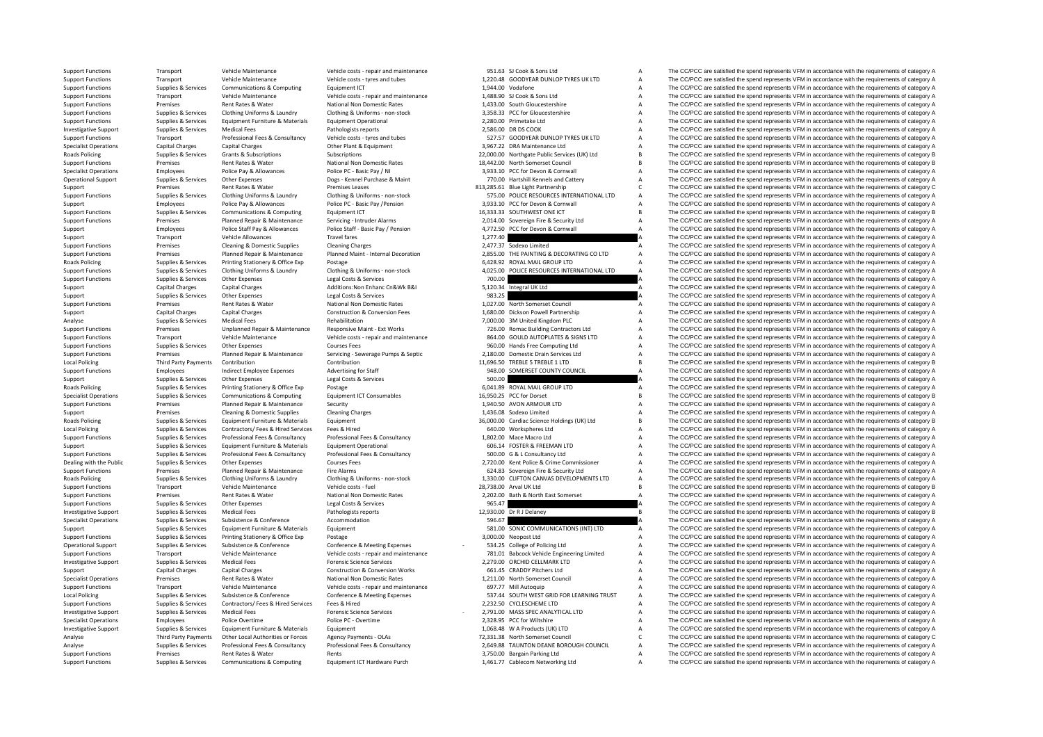Roads**Roads Policing Local Policing Roads Policing Roads Policing Local Policing Roads Policing Local Policing** 

Support Functions Transport Vehicle Maintenance Vehicle costs ‐ repair and maintenance 951.63 SJ Cook & Sons Ltd A The CC/PCC are satisfied the spend represents VFM in accordance with the requirements of category A Vehicle Support Functions Transport Vehicle Maintenance Vehicle costs ‐ tyres and tubes 1,220.48 GOODYEAR DUNLOP TYRES UK LTD A The CC/PCC are satisfied the spend represents VFM in accordance with the requirements of category A Support Functions Supplies & Services Communications & Computing Equipment ICT Equipment ICT 1,944.00 Vodafone<br>
Support Functions Support Functions Transport Vehicle Maintenance Vehicle costs repair and maintenance Vehicle The CC/PCC are satisfied the spend represents VFM in accordance with the requirements of category A Support Functions Premises Premises Rent Rates & Water National Non Domestic Rates National Non Domestic Rates 1,433.00 South Gloucestershire A The CC/PCC are satisfied the spend represents VFM in accordance with the requi Supplies Supplies & Services Clothing Uniforms & Laundry Clothing & Uniforms - non-stock 3,358.33 PCC for Gloucestershire and The CC/PCC are satisfied the spend represents VFM in accordance with the requirements of categor Support Functions Supplies & Services Equipment Furniture & Materials Equipment Operational Equipment Operational 2,280.00 Primetake Ltd A The CC/PCC are satisfied the spend represents VFM in accordance with the requiremen Investigative Support Supplies & Services Medical Fees Pathologists reports Pathologists reports Pathologists reports 2,586.00 DR DS COOK A The CC/PCC are satisfied the spend represents VFM in accordance with the requireme Transport Professional Fees & Consultancy Vehicle costs - tyres and tubes and thes states and the ST.57 GOODYEAR DUNLOP TYRES UK LTD A The CC/PCC are satisfied the spend represents VFM in accordance with the requirements o Specialist Operations Capital Charges Capital Charges Capital Charges Capital Charges Capital Charges Capital Charges Other Plant & Equipment Charges Capital Charges Other Plant & Equipment 3,967.22 DRA Maintenance Ltd A T Subscriptions Cubscriptions Subscriptions 22,000.00 Northgate Public Services (UK) Ltd B The CC/PCC are satisfied the spend represents VFM in accordance with the requirements of category B Support Functions Premises Rent Rates & Water National Non Domestic Rates 18,442.00 North Somerset Council B The CC/PCC are satisfied the spend represents VFM in accordance with the requirements of category B Specialist Operations Employees Police Pay & Allowances Police PC - Basic Pay / NI 3,933.10 PCC for Devon & Cornwall A The CC/PCC are satisfied the spend represents VFM in accordance with the requirements of category A Operational Support Supplies & Services Other Expenses Dogs - Kennel Purchase & Maint 770.00 Hartshill Kennels and Cattery A The CC/PCC are satisfied the spend represents VFM in accordance with the requirements of category Support Premises Rent Rates & Water Premises Leases 813,285.61 Blue Light Partnership C The CC/PCC are satisfied the spend represents VFM in accordance with the requirements of category C Supplies & Services Clothing Uniforms & Laundry Clothing & Uniforms Clothing Allendry Clothing Allendry Clothing Allendry Clothing Allendry Clothing Allendry Clothing Allendry Clothing Allendry and the ST5.00 POLICE RESOUR Support Employees Police Pay & Allowances Police PC - Basic Pay /Pension 3,933.10 PCC for Devon & Cornwall A The CC/PCC are satisfied the spend represents VFM in accordance with the requirements of category A Support Emplo Functions Supplies Communications Supplies Communications Supplies Computing Computing Equipment ICT 16,333.33 SOUTHWEST ONE ICT B The CC/PCC are satisfied the spend represents VFM in accordance with the requirements of ca Support Functions Premises Planned Repair & Maintenance Servicing - Intruder Alarms 2,014.00 Sovereign Fire & Security Ltd A The CC/PCC are satisfied the spend represents VFM in accordance with the requirements of category Support Employees Police Staff Pay & Allowances Police Staff - Basic Pay / Pension 4,772.50 PCC for Devon & Cornwall A The CC/PCC are satisfied the spend represents VFM in accordance with the requirements of category A Sup Support Transport Vehicle Allowances Travel fares Travel fares 1,277.40 A The CC/PCC are satisfied the spend represents VFM in accordance with the requirements of category A<br>Support Functions Functions and the requirements Support Functions Premises Cleaning & Domestic Supplies Cleaning Charges Cleaning Charges Cleaning Charges Cleaning Charges Cleaning Charges 2,477.37 Sodexo Limited A The CC/PCC are satisfied the spend represents VFM in ac on the property of the property of the control of the control of the control of the control of the control of the control of the control of the control of the control of the control of the control of the control of the con Roads Policing Supplies & Supplies & Services Printing Stationery & Office Exp Postage Postage and Destage Althoms - non-stock Supplies Accordation Category A The CC/PCC are satisfied the spend represents VFM in accordance The CC/PCC are satisfied the spend represents VFM in accordance with the requirements of category A Support Functions Supplies & Services Other Expenses Legal Costs & Services 2001 A The CC/PCC are satisfied the spend represents VFM in accordance with the requirements of category A Capital Charges Capital Charges Capital Support Capital Charges Capital Charges Capital Charges Additions:Non Enhanc Cn&Wk B&I 5,120.34 Integral UK Ltd A The CC/PCC are satisfied the spend represents VFM in accordance with the requirements of category A Support Support Support Support Other Expenses Costs and Costs & Services 983.25 A The CC/PCC are satisfied the spend represents VFM in accordance with the requirements of category A Support Functions Premises Rent Rates & Water National Non Domestic Rates 1,027.00 North Somerset Council A The CC/PCC are satisfied the spend represents VFM in accordance with the requirements of category A<br>Support Capita Support Capital Charges Capital Charges Construction & Conversion Fees 1,680.00 Dickson Powell Partnership A The CC/PCC are satisfied the spend represents VFM in accordance with the requirements of category A Analyse Supplies Analyse Services Medical Fees Rehabilitation Rehabilitation Rehabilitation 7,000.00 3M United Kingdom PLC A The CC/PCC are satisfied the spend represents VFM in accordance with the requirements of category Transport Permises Support Permises and Unplanned Repair & Maintenance Responsive Maint- Ext Works 726.00 Romac Building Contractors Ltd Maintenance According Contractors Ltd A The CC/PCC are satisfied the spend represents Support Functions Transport Vehicle Maintenance Vehicle costs ‐ repair and maintenance 864.00 GOULD AUTOPLATES & SIGNS LTD A The CC/PCC are satisfied the spend represents VFM in accordance with the requirements of category Support Functions Supplies & Services Other Expenses Courses Fees Courses Fees 960.00 Hands Free Computing Ltd A The CC/PCC are satisfied the spend represents VFM in accordance with the requirements of category A Support F Planned Repair & Maintenance Servicing - Servicing Severage Pumps & Septic 2,180.00 Domestic Drain Services Ltd A The CC/PCC are satisfied the spend represents VFM in accordance with the requirements of category A The CC/P Third Party Payments Contribution Contribution Contribution Contribution Contribution Contribution Contribution Contribution 11,696.50 TREBLE 5 TREBLE 1 LTD B The CC/PCC are satisfied the spend represents VFM in accordance Support Functions Employees Indirect Employee Expenses Advertising for Staff 948.00 SOMERSET COUNTY COUNCIL A The CC/PCC are satisfied the spend represents VFM in accordance with the requirements of category A Support Term Support Support Support Other Expenses Legal Costs & Services 500.00 A The CC/PCC are satisfied the spend represents VFM in accordance with the requirements of category A Roads Policing Supplies & Supplies & Services Printing Stationery & Office Exp Postage Postage 6,041.89 ROYAL MAIL GROUP LTD A The CC/PCC are satisfied the spend represents VFM in accordance with the requirements of catego The CC/PCC are satisfied the spend represents VFM in accordance with the requirements of category B Support Functions Premises Planned Repair & Maintenance Security Support 1,940.50 AVON ARMOUR LTD A The CC/PCC are satisfied the spend represents VFM in accordance with the requirements of category A Support Premises Cleaning & Domestic Supplies Cleaning Charges Cleaning Charges 1,436.08 Sodexo Limited A The CC/PCC are satisfied the spend represents VFM in accordance with the requirements of category A Policing Supplies & Services Equipment Furniture & Materials Equipment 36,000.00 Cardiac Science Holdings (UK) Ltd B The CC/PCC are satisfied the spend represents VFM in accordance with the requirements of category B Supplies & Services Contractors/ Fees & Hired Services Fees & Hired Services Fees & Hired Services Fees & Hired Services A Services A The CC/PCC are satisfied the spend represents VFM in accordance with the requirements of Supplies & Supples & Services Professional Fees & Consultancy Professional Fees & Consultancy Professional Fees & Consultancy Professional Fees & Consultancy Professional Fees & Consultancy 1,802.00 Mace Macro Ltd A The CC Support Supplies & Services Equipment Furniture & Materials Equipment Operational 606.14 FOSTER & FREEMAN LTD A The CC/PCC are satisfied the spend represents VFM in accordance with the requirements of category A Supplies & Services Professional Fees & Consultancy Professional Fees & Consultancy Consultancy Professional Fees & Consultancy Consultancy 500.00 G & L Consultancy Ltd The CC/PCC are satisfied the spend represents VFM in Dealing with the Public Supplies & Services Other Expenses Courses Fees Courses Fees 2,720.00 Kent Police & Crime Commissioner A The CC/PCC are satisfied the spend represents VFM in accordance with the requirements of cate Support Functions Premiers Planned Repair & Maintenance Fire Alarms Fire Alarms 62.83 Sovereign Fire & Security Ltd A The CC/PCC are satisfied the spend represents VFM in accordance with the requirements of category A The Roads Policing Supplies & Supplies & Services Clothing Uniforms & Laundry Clothing & Uniforms - non-stock 1,330.00 CLIFTON CANVAS DEVELOPMENTS LTD A The CC/PCC are satisfied the spend represents VFM in accordance with the Transport Vehicle Maintenance (Vehicle costs - fuel Vehicle costs - fuel 28,738.00 Arval UK Ltd B The CC/PCC are satisfied the spend represents VFM in accordance with the requirements of category B<br>Premises Rent Rates & Wa Support Functions Premises Rent Rates & Water National Non Domestic Rates 2,202.00 Bath & North East Somerset A The CC/PCC are satisfied the spend represents VFM in accordance with the requirements of category A Cup in the Support Functions Supplies & Services Other Expenses Legal Costs & Services 965.47 965.47 A The CC/PCC are satisfied the spend represents VFM in accordance with the requirements of category A Determination of the spend rep Investigative Support Supplies & Services Medical Fees Pathologists reports Pathologists reports and the content of category B The CC/PCC are satisfied the spend represents VFM in accordance with the requirements of catego Specialist Operations Supplies & Services Subsistence & Conference Accommodation Accommodation 596.67 A The CC/PCC are satisfied the spend represents VFM in accordance with the requirements of category Accommodation 59.00 Support Supplies & Services Equipment Furniture & Materials Equipment Equipment 581.00 SONIC COMMUNICATIONS (INT) LTD A The CC/PCC are satisfied the spend represents VFM in accordance with the requirements of category A Support Functions Supplies & Services Printing Stationery & Office Exp Postage 3,000,00 Neopost Ltd A The CC/PCC are satisfied the spend represents VFM in accordance with the requirements of category A Operational Support Supplies & Services Subsistence & Conference Conference Conference Conference Conference Conference Conference Conference Conference Conference Conference Conference Conference Conference Bureauses and Support Functions Transport Webite Maintenance Webite Protect - renair and maintenance 781.01 Babcock Vebicle Francewing Limited a The CC/PCC are satisfied the spend represents VFM in accordance with the requirements of ca Investigative Support Supplies & Services Medical Fees Forensic Science Services Forensic Science Services Forensic Science Services and the medical Fees Forencis Critical Fees Forencis Category A The CC/PCC are satisfied Support Capital Charges Capital Charges Capital Charges Construction & Conversion Works 661.45 CRADDY Pitchers Ltd A The CC/PCC are satisfied the spend represents VFM in accordance with the requirements of category A Specialist Operations Premises Rent Rates & Water National Non Domestic Rates 1,211.00 North Somerset Council A The CC/PCC are satisfied the spend represents VFM in accordance with the requirements of category A Support Functions Transport Vehicle Maintenance Vehicle costs ‐ repair and maintenance Vehicle costs ‐ repair and maintenance 697.77 Mill Autoquip A The CC/PCC are satisfied the spend represents VFM in accordance with the Supplies & Services Subsistence & Conference Conference & Meeting Expenses Conference Subsisterice Subsisteric<br>Supplies & Services Contractors/ Fees & Hired Services Fees & Hired Provides Fees & Hired Provides Fees & Hired Support Functions Supplies & Services Contractors/ Fees & Hired Services Fees & Hired Services Fees & Hired 2,232.50 CYCLESCHEME LTD A The CC/PCC are satisfied the spend represents VFM in accordance with the requirements o Investigative Support Support Support Supporters Medical Fees Forensic Science Services Forensic Science Services Forensic Science Services Forensic Science Services 2.791.00 MASS SPEC ANALYTICAL LTD A The CC/PCC are satis Specialist Operations Specialist Operations Formulations Category A Police Overtime Police PC - Overtime Police PC - Overtime Police PC - Overtime 2,328.95 PCC for Willshire A The CC/PCC are satisfied the spend represents Investigative Support Supplies & Services Equipment Eurniture & Materials Equipment Equipment Equipment and Equipment Equipment Equipment and the Support 1,068.48 W A Products (UK) LTD A The CC/PCC are satisfied the spend Analyse Third Party Payments Other Local Authorities or Forces Agency Payments ‐ OLAs 72,331.38 North Somerset Council C The CC/PCC are satisfied the spend represents VFM in accordance with the requirements of category C Supplies & Services Professional Fees & Consultancy Professional Fees & Consultancy Professional Fees & Consultancy Consultancy 2,649.88 TAUNTON DEANE BOROUGH COUNCIL A The CC/PCC are satisfied the spend represents VFM in Premises Rent Rates & Water Rents Rents Rents and the Support Rent Rates and A The CC/PCC are satisfied the spend represents VFM in accordance with the requirements of category A Support Functions Supplies & Services Communications & Computing Equipment ICT Hardware Purch 1,461.77 Cablecom Networking Ltd A The CC/PCC are satisfied the spend represents VFM in accordance with the requirements of cate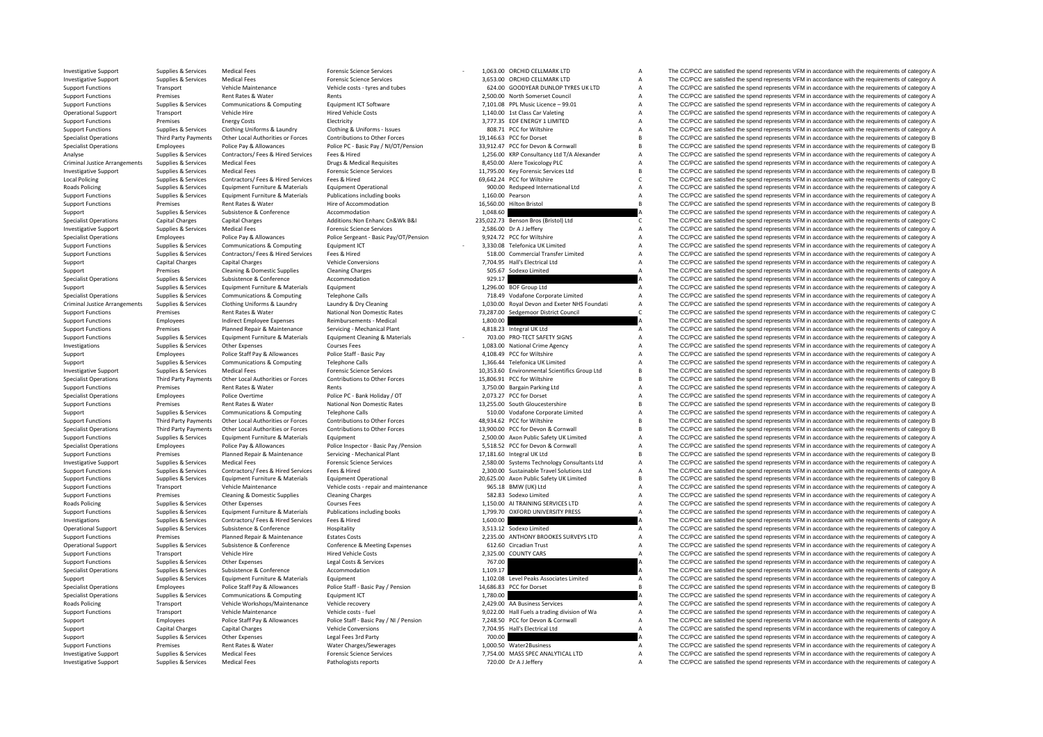Criminal JusticeLocal Policing **Roads Policing** Criminal JusticeRoads Policing **Roads Policing** 

| 1,063.00              | ORCHID CELLMARK LTD                           | A      |
|-----------------------|-----------------------------------------------|--------|
| 3,653.00              | ORCHID CELLMARK LTD                           | A      |
|                       | 624.00 GOODYEAR DUNLOP TYRES UK LTD           | A      |
|                       | 2,500.00 North Somerset Council               | A      |
|                       | 7,101.08 PPL Music Licence - 99.01            | A      |
|                       | 1,140.00 1st Class Car Valeting               | A      |
|                       | 3,777.35 EDF ENERGY 1 LIMITED                 | A      |
|                       | 808.71 PCC for Wiltshire                      | A      |
|                       | 19,146.63 PCC for Dorset                      | B      |
|                       | 33,912.47 PCC for Devon & Cornwall            | B      |
|                       | 1,256.00 KRP Consultancy Ltd T/A Alexander    | A      |
| 8,450.00              | Alere Toxicology PLC                          | A      |
|                       | 11,795.00 Key Forensic Services Ltd           | В      |
| 69.642.24             | PCC for Wiltshire                             | C      |
| 900.00                | Redspeed International Ltd                    | A      |
| 1.160.00              | Pearson                                       | A      |
| 16,560.00             | <b>Hilton Bristol</b>                         | B      |
| 1,048.60              |                                               | A      |
|                       | 235,022.73 Benson Bros (Bristol) Ltd          | C      |
|                       | 2,586.00 Dr A J Jeffery                       | A      |
|                       | 9,924.72 PCC for Wiltshire                    | A      |
|                       | 3,330.08 Telefonica UK Limited                | A<br>A |
|                       | 518.00 Commercial Transfer Limited            | A      |
|                       | 7,704.95 Hall's Electrical Ltd                | A      |
| 505.67                | Sodexo Limited                                | A      |
| 929.17<br>1,296.00    | <b>BOF Group Ltd</b>                          | A      |
| 718.49                | Vodafone Corporate Limited                    | A      |
| 1,030.00              | Royal Devon and Exeter NHS Foundati           | A      |
| 73,287.00             | Sedgemoor District Council                    | C      |
| 1,800.00              |                                               | A      |
| 4,818.23              | Integral UK Ltd                               | A      |
|                       | 703.00 PRO-TECT SAFETY SIGNS                  | A      |
|                       | 1,083.00 National Crime Agency                | A      |
|                       | 4,108.49 PCC for Wiltshire                    | A      |
|                       | 1,366.44 Telefonica UK Limited                | A      |
|                       | 10,353.60 Environmental Scientifics Group Ltd | B      |
|                       | 15,806.91 PCC for Wiltshire                   | B      |
| 3.750.00              | <b>Bargain Parking Ltd</b>                    | A      |
| 2,073.27              | PCC for Dorset                                | Δ      |
| 13,255.00             | South Gloucestershire                         | B      |
| 510.00                | Vodafone Corporate Limited                    | A      |
| 48,934.62             | PCC for Wiltshire                             | B      |
| 13,900.00             | PCC for Devon & Cornwall                      | B      |
| 2.500.00              | Axon Public Safety UK Limited                 | A      |
| 5,518.52              | PCC for Devon & Cornwall                      | A      |
| 17,181.60             | Integral UK Ltd                               | B      |
|                       | 2,580.00 Systems Technology Consultants Ltd   | A      |
|                       | 2,300.00 Sustainable Travel Solutions Ltd     | A      |
|                       | 20,625.00 Axon Public Safety UK Limited       | B      |
|                       | 965.18 BMW (UK) Ltd                           | A      |
|                       | 582.83 Sodexo Limited                         | A      |
| 1,150.00              | AI TRAINING SERVICES LTD                      | A      |
| 1,799.70              | OXFORD UNIVERSITY PRESS                       | A      |
| 1,600.00              |                                               | A      |
| 3,513.12              | Sodexo Limited                                | A      |
| 2,235.00              | ANTHONY BROOKES SURVEYS LTD                   | A      |
| 612.60                | <b>Circadian Trust</b>                        | A      |
| 2,325.00              | <b>COUNTY CARS</b>                            | A      |
| 767.00                |                                               | A<br>A |
| 1,109.17              | Level Peaks Associates Limited                | Δ      |
| 1,102.08              |                                               |        |
| 14,686.83<br>1,780.00 | PCC for Dorset                                | B<br>A |
|                       | 2,429.00 AA Business Services                 | A      |
|                       | 9,022.00 Hall Fuels a trading division of Wa  | A      |
|                       | 7,248.50 PCC for Devon & Cornwall             | A      |
| 7,704.95              | Hall's Electrical Ltd                         | A      |
| 700.00                |                                               | A      |
| 1,000.50              | Water2Business                                | A      |
| 7,754.00              | MASS SPEC ANALYTICAL LTD                      | A      |
|                       |                                               |        |
| 720.00                | Dr A J Jeffery                                | A      |

Investigative Support Supplies & Services Medical Fees Forensic Science Services Forensic Science Services Forensic Science Services - 1,063.00 ORCHID CELLMARK LTD A The CC/PCC are satisfied the spend represents VFM in acc Investigative Support Support Support Services Medical Fees Forensic Science Services 3,653.00 ORCHID CELLMARK LTD A The CC/PCC are satisfied the spend represents VFM in accordance with the requirements of category A Support Functions Transport Vehicle Maintenance Vehicle costs - tyres and tubes 624.00 GOODYEAR DUNLOP TYRES UK LTD A The CC/PCC are satisfied the spend represents VFM in accordance with the requirements of category A<br>Supp Support Functions Premises Rents 2,500.00 North Somerset Council A The CC/PCC are satisfied the spend represents VFM in accordance with the requirements of category A<br>For CC/PCC are satisfied the spend represents VFM in ac Support Functions Supplies & Services Communications & Computing Equipment ICT Software Equipment ICT Software 7,101.08 PPL Music Licence – 99.01 A The CC/PCC are satisfied the spend represents VFM in accordance with the r Operational Support Transport Vehicle Hire Hire Hired Vehicle Costs Hired Vehicle Costs 1,140.00 1st Class Car Valeting A The CC/PCC are satisfied the spend represents VFM in accordance with the requirements of category A Support Functions Premises Energy Costs Electricity Electricity and the support of the Support Functions and the spend represents VFM in accordance with the requirements of category A Support Functions Supplies & Services Clothing Uniforms & Laundry Clothing & Uniforms - Issues 808.71 PCC for Wiltshire A The CC/PCC are satisfied the spend represents VFM in accordance with the requirements of category A Contributions to Other Forces on the company of the Sample of the Sample of the Sample of the COPCC are satisfied the spend represents VFM in accordance with the requirements of category B<br>Police PC - Rasic Pay / NI/OT/Pen Specialist Operations Employees Employees Police Pay & Allowances Police PC - Basic Pay / N/OT/Pension 33,912.47 PCC for Devon & Cornwall Base of The CC/PCC are satisfied the spend represents VFM in accordance with the req Analyse Supplies & Services Contractors/ Fees & Hired Services Fees & Hired 1,256.00 KRP Consultancy Ltd T/A Alexander A The CC/PCC are satisfied the spend represents VFM in accordance with the requirements of category A Supplies & Services Medical Fees Drugs & Medical Requisites 8,450.00 Alere Toxicology PLC A The CC/PCC are satisfied the spend represents VFM in accordance with the requirements of category A Investigative Support Supplies & Services Medical Fees Forensic Science Services Forensic Science Services 11,795.00 Key Forensic Services Ltd B The CC/PCC are satisfied the spend represents VFM in accordance with the requ Policing Supplies & Services Contractors/ Fees & Hired Fees & Hired Services Fees & Hired Services Fees & Hired 69,642.24 PCC for Wiltshire COM CONTENT C The CC/PCC are satisfied the spend represents VFM in accordance with Policing Supplies Supplies Equipment Furniture & Materials Equipment Operational Proceeding and the Supplies A The CC/PCC are satisfied the spend represents VFM in accordance with the requirements of category A The CC/PCC Support Functions Supplies & Services Equipment Furniture & Materials Publications including books 1,160.00 Pearson A The CC/PCC are satisfied the spend represents VFM in accordance with the requirements of category A<br>Supp Support Functions Premises Rent Rates & Water Hire of Accommodation Hire of Accommodation Hire of Accommodation 16,560.00 Hilton Bristol B The CC/PCC are satisfied the spend represents VFM in accordance with the requiremen Support Supplies S. Services Subsistence S. Conference Accommodation 1,048.60 A The CC/PCC are satisfied the spend represents VFM in accordance with the requirements of category A Specialist Operations Capital Charges Capital Charges Capital Charges Additions:Non Enhanc Cn&Wk B&I 235,022.73 Benson Bros (Bristol) Ltd The CC/PCC are satisfied the spend represents VFM in accordance with the requirement The CC/PCC are satisfied the spend represents VFM in accordance with the requirements of category A Specialist Operations Employees Police Pay & Allowances Police Sergeant - Basic Pay/OT/Pension 9,924.72 PCC for Wiltshire A The CC/PCC are satisfied the spend represents VFM in accordance with the requirements of category Supplies Supplies & Services Communications & Computing Equipment ICT 3,330.08 Telefonica UK Limited Manuford A The CC/PCC are satisfied the spend represents VFM in accordance with the requirements of category A Supplies & Support Functions Supplies & Services Contractors/ Fees & Hired Services Fees & Hired Services Fees & Hired Services Fees A The CC/PCC are satisfied the spend represents VFM in accordance with the requirements of category Support Capital Charges Capital Charges Vehicle Conversions Vehicle Conversions 7,704.95 Hall's Electrical Ltd A The CC/PCC are satisfied the spend represents VFM in accordance with the requirements of category A<br>Support P Support Premises Cleaning & Domestic Supplies Cleaning Charges Cleaning Charges Cleaning Charges Cleaning Charges Cleaning Charges Cleaning Charges Cleaning Charges Cleaning Charges Cleaning Charges Stategory A The CC/PCC Specialist Operations Supplies & Services Subsistence & Conference Accommodation Accommodation 929.17 A The CC/PCC are satisfied the spend represents VFM in accordance with the requirements of category Accommodation Suppli Support Supplies & Services Equipment Furniture & Materials Equipment Equipment Equipment and the spend represent of the CC/PCC are satisfied the spend represents VFM in accordance with the requirements of category A Suppo Specialist Operations Supplies Services Communications Computing Telephone Calls 718.49 Vodafone Corporate Limited A The CC/PCC are satisfied the spend represents VFM in accordance with the requirements of category A The C Criminal Justice Arrangements Supplies & Services Clothing Uniforms & Laundry Laundry & Dry Cleaning Manufor Supplements of category A and the 1,030.00 Royal Devon and Exeter NHS Foundati A The CC/PCC are satisfied the spe The CC/PCC are satisfied the spend represents VFM in accordance with the requirements of category C Support Functions Employees and increase Indirect Employee Expenses Reimbursements - Medical 1,800.00 A The CC/PCC are satisfied the spend represents VFM in accordance with the requirements of category A Support Functions Support Functions Premises Planned Repair & Maintenance Servicing • Mechanical Plant 4,818.23 Integral UK Ltd A The CC/PCC are satisfied the spend represents VFM in accordance with the requirements of category A Support Th Supplies And Supplies And Equipment Furniture & Materials Equipment Cleaning & Materials Equipment Cleaning & Materials and The Accept Concess Concess and The CC/PCC are satisfied the spend represents VFM in accordance wit Investigations Supplies & Services Other Expenses Courses Fees Courses Fees Courses Fees 1,083.00 National Crime Agency A The CC/PCC are satisfied the spend represents VFM in accordance with the requirements of category A Support Employees Police Staff Pay & Allowances Police Staff - Basic Pay 4,108.49 PCC for Willshire A The CC/PCC are satisfied the spend represents VFM in accordance with the requirements of category A Support Supplies & Services Communications & Computing Telephone Calls 1,366.44 Telefonica UK Limited A The CC/PCC are satisfied the spend represents VFM in accordance with the requirements of category A The Creative Servi 10.333.60 Environmental Science Science Services Forensic Science Services Forensic Science Services Forensic Science Services of the Law of the COPC are saisfied the spend represents VFM in accordance with the requirement Contribution and the Contribution of Contribution of Contribution of Contributions to Other Engres Contributions to Other Engres 15,806,91 PC for Willthire Record Bay The CC/PCC are satisfied the spend represents VFM in ac Support Functions Premises Rent Rates & Water Rents Rents Rents Rents Rents Rents Rents Rents A 3,750.00 Bargain Parking Ltd A The CC/PCC are satisfied the spend represents VFM in accordance with the requirements of catego The CC/PCC are satisfied the spend represents VFM in accordance with the requirements of category A Support Functions Premises Rent Rates & Water National Non Domestic Rates 13,255.00 South Gloucestershire B The CC/PCC are satisfied the spend represents VFM in accordance with the requirements of category B Support Supplies & Services Communications & Computing Telephone Calls 510.00 Vodafone Corporate Limited A The CC/PCC are satisfied the spend represents VFM in accordance with the requirements of category A Support Functions Third Party Payments Other Local Authorities or Forces Contributions to Other Forces contributions to Other Forces 48,934.62 PCC for Willtshire B The CC/PCC are satisfied the spend represents VFM in accor Specialist Operations Third Party Payments Other Local Authorities or Forces Contributions to Other Forces 13,900.00 PCC for Devon & Cornwall Buck COPCC are satisfied the spend represents VFM in accordance with the require Support Functions Supplies & Services Equipment Furniture & Materials Equipment Equipment Equipment Equipment Equipment Equipment A The CC/PCC are satisfied the spend represents VFM in accordance with the requirements of c Employees Police Pay & Allowances Police Inspector - Basic Pay /Pension 5,518.52 PCC for Devon & Cornwall A The CC/PCC are satisfied the spend represents VFM in accordance with the requirements of category A Support Functions Premises Planned Repair & Maintenance Servicing - Mechanical Plant 17,181.60 Integral UK Itd B The CC/PCC are satisfied the spend represents VFM in accordance with the requirements of category B Investigative Support Supplies & Services Medical Fees Forensic Science Services 2,580.00 Systems Technology Consultants Ltd A The CC/PCC are satisfied the spend represents VFM in accordance with the requirements of category A Support Functions Supplies & Services Contractors/ Fees & Hired Services Fees & Hired Services Fees & Hired Services Fees & Hired Services Fees & Hired Proceedia and a 2,300.00 Sustainable Travel Solutions Ltd A The CC/PCC Supplies & Supplies & Services Equipment Furniture & Materials Equipment Operational Equipment Operational experiment and the Departual Development of category B. The CC/PCC are satisfied the spend represents VFM in accord Transport Vehicle Maintenance Vehicle costs - repair and maintenance 965.18 BMW (UK) Ltd A The CC/PCC are satisfied the spend represents VFM in accordance with the requirements of category A Support Functions Premises Cleaning & Domestic Supplies Cleaning Charges Section Charges 582.83 Sodexo Limited A The CC/PCC are satisfied the spend represents VFM in accordance with the requirements of category A Popiles & Services Other Expenses Courses Fees Courses Fees 1,150.00 AI TRAINING SERVICES LTD A The CC/PCC are satisfied the spend represents VFM in accordance with the requirements of category A<br>Supplies & Services Feruit Cunnot Functions of the Service Services For Functions Publications including books 1.799.70 OXFORD LINIVERS ARE A The CC/PCC are satisfied the spend represents VFM in accordance with the requirements of category A Investigations Supplies & Services Contractors/ Fees & Hired Services Fees & Hired Services Fees & Hired Services Fees & Hired 1,600.00 A The CC/PCC are satisfied the spend represents VFM in accordance with the requirement Hospitality **Conference** Support Support Support Support Supplies A The CC/PCC are satisfied the spend represents VFM in accordance with the requirements of category A Support Functions Premises Planned Repair & Maintenance Estates Costs 2,235.00 ANTHONY BROOKES SURVEYS LTD A The CC/PCC are satisfied the spend represents VFM in accordance with the requirements of category A Operational Support Supplies & Services Subsistence & Conference Conference & Meeting Expenses 612.60 Circadian Trust A The CC/PCC are satisfied the spend represents VFM in accordance with the requirements of category A Th Support Functions Transport Vehicle Hire Members Hired Vehicle Costs Hired Vehicle Costs Hired Vehicle Costs 2,325.00 COUNTY CARS A The CC/PCC are satisfied the spend represents VFM in accordance with the requirements of c Support Functions Supplies & Services Other Expenses Legal Costs & Services 2001 767.00 A The CC/PCC are satisfied the spend represents VFM in accordance with the requirements of category A<br>Support Functions Support of the Supplies & Subsistence & Conference Accommodation Accommodation 1,109.17 A The CC/PCC are satisfied the spend represents VFM in accordance with the requirements of category A Support Supplies & Services Equipment Eurniture & Materials Equipment Equipment Equipment 1,102.08 Level Peaks Associates Limited A The CC/PCC are satisfied the spend represents VFM in accordance with the requirements of c Specialist Operations Employees Police Staff Pay & Allowances Police Staff - Basic Pay / Pension 14,686.83 PCC for Dorset B The CC/PCC are satisfied the spend represents VFM in accordance with the requirements of category Specialist Operations Communications & Communications Supplement ICT 1,780.00 A The CC/PCC are satisfied the spend represents VFM in accordance with the requirements of category A Roads Policing Transport Vehicle Workshops/Maintenance Vehicle recovery 2,429.00 AA Business Services A The CC/PCC are satisfied the spend represents VFM in accordance with the requirements of category A Super Vehicle Main Transport Vehicle Maintenance Vehicle costs - fuel 9,022.00 Hall Fuels a trading division of Wa A The CC/PCC are satisfied the spend represents VFM in accordance with the requirements of category A Support Employees Police Staff Pay & Allowances Police Staff - Basic Pay / NI / Pension 7,248.50 PCC for Devon & Cornwall A The CC/PCC are satisfied the spend represents VFM in accordance with the requirements of category Support Capital Charges Capital Charges Capital Charges Vehicle Conversions Vehicle Conversions 7,704.95 Hall's Electrical Ltd A The CC/PCC are satisfied the spend represents VFM in accordance with the requirements of cate Support Support Support Other Expenses Legal Fees 3rd Party 700.00 700.00 A The CC/PCC are satisfied the spend represents VFM in accordance with the requirements of category A Support Functions Premises Premises Rent Rates & Water Water Charges/Sewerages Mater 20030 Water 20030 Water2Business A The CC/PCC are satisfied the spend represents VFM in accordance with the requirements of category A Ch The CC/PCC are satisfied the spend represents VFM in accordance with the requirements of category A Investigative Support Supplies & Services Medical Fees Pathologists reports Pathologists reports 720.00 Dr A J Leffery A The CC/PCC are satisfied the spend represents VFM in accordance with the requirements of category A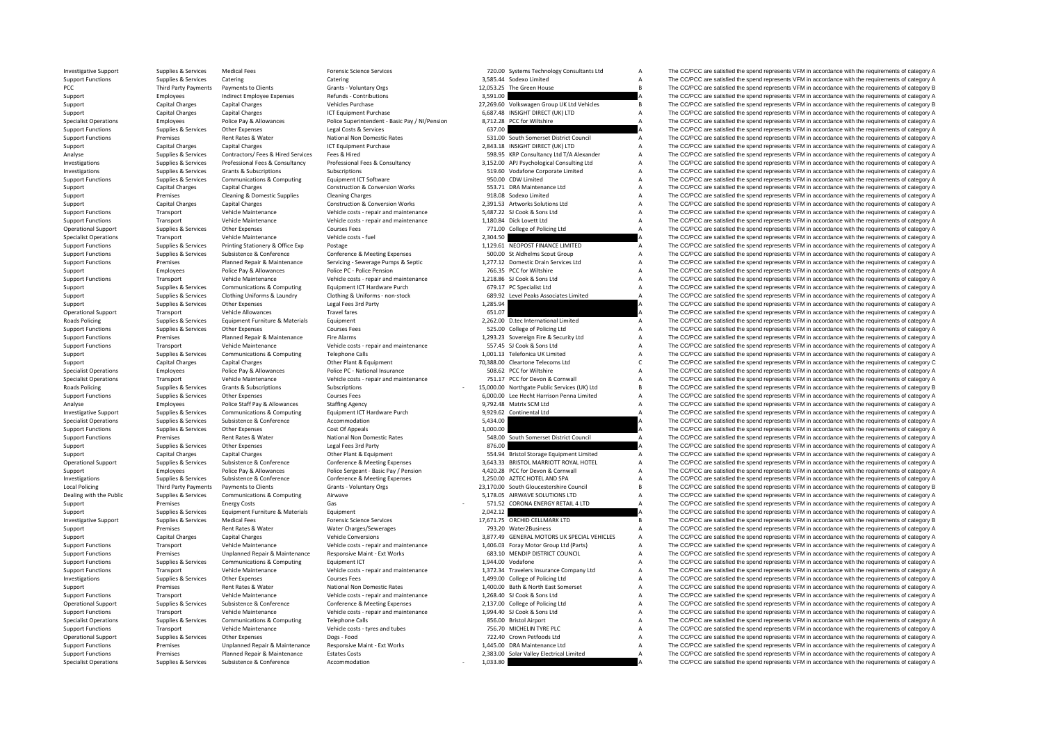PCC Third Party Payments **Roads Policing Roads Policing Local Policing** 

|                  | 720.00 Systems Technology Consultants Ltd                                             | A      |
|------------------|---------------------------------------------------------------------------------------|--------|
|                  | 3,585.44 Sodexo Limited                                                               | A      |
| 12,053.25        | The Green House                                                                       | B      |
| 3,591.00         |                                                                                       | A      |
|                  | 27,269.60 Volkswagen Group UK Ltd Vehicles                                            | B      |
|                  | 6,687.48 INSIGHT DIRECT (UK) LTD                                                      | A      |
|                  | 8,712.28 PCC for Wiltshire                                                            | A      |
| 637.00           |                                                                                       | A      |
| 531.00           | South Somerset District Council<br>2,843.18 INSIGHT DIRECT (UK) LTD                   | A      |
|                  |                                                                                       | A<br>A |
|                  | 598.95 KRP Consultancy Ltd T/A Alexander<br>3,152.00 APJ Psychological Consulting Ltd | A      |
| 519.60           | Vodafone Corporate Limited                                                            | A      |
|                  | 950.00 CDW Limited                                                                    | A      |
|                  | 553.71 DRA Maintenance Ltd                                                            | A      |
|                  | 918.08 Sodexo Limited                                                                 | A      |
|                  | 2,391.53 Artworks Solutions Ltd                                                       | A      |
|                  | 5,487.22 SJ Cook & Sons Ltd                                                           | A      |
|                  | 1,180.84 Dick Lovett Ltd                                                              | A      |
|                  | 771.00 College of Policing Ltd                                                        | A      |
| 2,304.50         |                                                                                       | A      |
|                  | 1,129.61 NEOPOST FINANCE LIMITED                                                      | A      |
|                  | 500.00 St Aldhelms Scout Group                                                        | A      |
|                  | 1,277.12 Domestic Drain Services Ltd                                                  | A      |
| 766.35           | PCC for Wiltshire                                                                     | A      |
| 1,218.86         | SJ Cook & Sons Ltd                                                                    | A      |
| 679.17           | PC Specialist Ltd                                                                     | A      |
|                  | 689.92 Level Peaks Associates Limited                                                 | A      |
| 1,285.94         |                                                                                       | A      |
| 651.07           |                                                                                       | A      |
|                  | 2,262.00 D.tec International Limited                                                  | A      |
|                  | 525.00 College of Policing Ltd                                                        | A      |
|                  | 1,293.23 Sovereign Fire & Security Ltd                                                | A<br>A |
|                  | 557.45 SJ Cook & Sons Ltd<br>1,001.13 Telefonica UK Limited                           | A      |
|                  | 70,388.00 Cleartone Telecoms Ltd                                                      | C      |
|                  | 508.62 PCC for Wiltshire                                                              | A      |
| 751.17           | PCC for Devon & Cornwall                                                              | А      |
| 15,000.00        | Northgate Public Services (UK) Ltd                                                    | B      |
| 6,000.00         | Lee Hecht Harrison Penna Limited                                                      | A      |
| 9,792.48         | Matrix SCM Ltd                                                                        | A      |
| 9,929.62         | Continental Ltd                                                                       | A      |
| 5,434.00         |                                                                                       | A      |
| 1,000.00         |                                                                                       | A      |
|                  | 548.00 South Somerset District Council                                                | A      |
| 876.00           |                                                                                       | A      |
|                  | 554.94 Bristol Storage Equipment Limited                                              | A      |
|                  | 3,643.33 BRISTOL MARRIOTT ROYAL HOTEL                                                 | A<br>A |
|                  | 4,420.28 PCC for Devon & Cornwall                                                     | A      |
|                  | 1,250.00 AZTEC HOTEL AND SPA<br>23,170.00 South Gloucestershire Council               | R      |
| 5,178.05         | AIRWAVE SOLUTIONS LTD                                                                 | A      |
| 571.52           | CORONA ENERGY RETAIL 4 LTD                                                            | A      |
| 2,042.12         |                                                                                       | A      |
| 17,671.75        | ORCHID CELLMARK LTD                                                                   | B      |
|                  | 793.20 Water2Business                                                                 | A      |
|                  | 3,877.49 GENERAL MOTORS UK SPECIAL VEHICLES                                           | A      |
|                  | 1,406.03 Foray Motor Group Ltd (Parts)                                                | A      |
|                  | 683.10 MENDIP DISTRICT COUNCIL                                                        | A      |
|                  | 1,944.00 Vodafone                                                                     | A      |
|                  | 1,372.34 Travelers Insurance Company Ltd                                              | A      |
|                  | 1,499.00 College of Policing Ltd                                                      | A      |
|                  | 1,400.00 Bath & North East Somerset                                                   | A      |
|                  | 1,268.40 SJ Cook & Sons Ltd                                                           | A      |
|                  | 2,137.00 College of Policing Ltd                                                      | A      |
| 1,994.40         | SJ Cook & Sons Ltd                                                                    | A<br>A |
| 856.00           | <b>Bristol Airport</b>                                                                | A      |
| 756.70<br>722.40 | MICHELIN TYRE PLC<br>Crown Petfoods Ltd                                               | A      |
| 1,445.00         | DRA Maintenance Ltd                                                                   | A      |
| 2,383.00         | Solar Valley Electrical Limited                                                       | A      |
| 1.033.80         |                                                                                       | A      |

Investigative Support Supplies & Services Medical Fees Forensic Science Services Forensic Science Services 720.00 Systems Technology Consultants Ltd A The CC/PCC are satisfied the spend represents VFM in accordance with th Support Functions Supplies & Services Catering Catering Catering Support Catering Catering Catering Catering Catering Catering Support Third Data are a Services Category A The CC/PCC are satisfied the spend represents VFM Party Payments Payments to Clients Grants - Voluntary Orgs 12,053.25 The Green House B The CC/PCC are satisfied the spend represents VFM in accordance with the requirements of category B and the spend represents VFM in acc Support Employees Indirect Employee Expenses Refunds Contributions 3,591.00 3,591.00 A The CC/PCC are satisfied the spend represents VFM in accordance with the requirements of category A Support Capital Charges Capital Charges Capital Charges Vehicles Purchase Vehicles 27,269.60 Volkswagen Group UK Ltd Vehicles B The CC/PCC are satisfied the spend represents VFM in accordance with the requirements of categ Support Capital Charges Capital Charges Capital Charges ICT Equipment Purchase 6,687.48 INSIGHT DIRECT (UK) LTD A The CC/PCC are satisfied the spend represents VFM in accordance with the requirements of category A Specialist Operations Employees Employees Police Pay & Allowances Police Superintendent - Basic Pay / NI/Pension 8.712.28 PCC for Willthire Assume A The CC/PCC are satisfied the spend represents VFM in accordance with the Support Functions Supplies & Services Other Expenses Legal Costs & Services (STO) 637.00 A The CC/PCC are satisfied the spend represents VFM in accordance with the requirements of category A Costs are apport of category A Premises Rent Rates & Water Mational Non Domestic Rates 531.00 South Somerset District Council A The CC/PCC are satisfied the spend represents VFM in accordance with the requirements of category A Support Capital Charges Capital Charges Capital Charges Capital Charges ICT Equipment Purchase 2,843.18 INSIGHT DIRECT (UK) LTD A The CC/PCC are satisfied the spend represents VFM in accordance with the requirements of cat Analyse Supplies & Services Contractors/ Fees & Hired Services Fees & Hired Services Fees & Hired Services Fees & Hired Services Fees & Hired Services Fees & Hired Services Fees & Hired Services Fees & Hired Services Pees Supplies & Services Professional Fees & Consultancy Professional Fees & Consultancy Professional Fees & Consultancy Professional Fees & Consultancy (3.152.00 AP) Psychological Consulting Ltd A The CC/PCC are satisfied the Investigations Supplies & Services Grants & Subscriptions Subscriptions Subscriptions Subscriptions Subscriptions Subscriptions Subscriptions Subscriptions Subscriptions Subscriptions Subscriptions Subscriptions Subscripti Support Functions Supplies & Services Communications & Computing Equipment ICT Software Equipment ICT Software 950.00 CDW Limited A The CC/PCC are satisfied the spend represents VFM in accordance with the requirements of c Support Capital Charges Capital Charges Capital Charges Capital Charges Construction & Conversion Works 553.71 DRA Maintenance Ltd A The CC/PCC are satisfied the spend represents VFM in accordance with the requirements of Support Premises Cleaning & Domestic Supplies Cleaning Charges Cleaning Charges Cleaning Charges Cleaning Charges Charges Category A The CC/PCC are satisfied the spend represents VFM in accordance with the requirements of Support Capital Charges Capital Charges Capital Charges Construction & Conversion Works 2,391.53 Artworks Solutions Ltd A The CC/PCC are satisfied the spend represents VFM in accordance with the requirements of category A Support Functions Transport Vehicle Maintenance Vehicle costs and maintenance 5,487.22 SJ Cook & Sons Ltd A The CC/PCC are satisfied the spend represents VFM in accordance with the requirements of category A The CC/PCC are Support Functions Transport Vehicle Maintenance Vehicle costs ‐ repair and maintenance 1,180.84 Dick Lovett Ltd A The CC/PCC are satisfied the spend represents VFM in accordance with the requirements of category A Courses The CC/PCC are satisfied the spend represents VFM in accordance with the requirements of category A Specialist Operations Transport Vehicle Maintenance Vehicle costs – fuel Vehicle costs – fuel Vehicle costs – fuel Vehicle costs – fuel Vehicle costs – fuel Vehicle costs – fuel Vehicle costs – fuel Vehicle costs – fuel Ve Support Functions Supplies & Services Printing Stationery & Office Exp Postage Printing Stationery and Designe Postage Printing Stationery and Postage Printing Stationery Printing Stationery A The CC/PCC are satisfied the in a second of the contract of the contract of the contract of the contract of the contract of the contract of the contract of the contract of the contract of the contract of the contract of the contract of the contract of Support Functions Franciscs Planned Repair & Maintenance Servicing - Servicing - Serverage Pumps & Septic 1,277.12 Domestic Drain Services Ltd A The CC/PCC are satisfied the spend represents VFM in accordance with the requ Support Employees Police Pay & Allowances Police PC - Police Pension 766.35 PCC for Wiltshire 766.35 PCC for Wiltshire A The CC/PCC are satisfied the spend represents VFM in accordance with the requirements of category A Support Functions Transport Vehicle Maintenance Vehicle costs ‐ repair and maintenance 1,218.86 SJ Cook & Sons Ltd A The CC/PCC are satisfied the spend represents VFM in accordance with the requirements of category A Suppo Supplies Supplies & Services Communications & Computing Equipment ICT Hardware Purch 679.17 PC Specialist Ltd A The CC/PCC are satisfied the spend represents VFM in accordance with the requirements of category A Support Co Contract the Contract China Defense of Contract China Defense of Contract China Property China Property China Property China Property Contract China Property China Property China Property China Property China Property Chin Support Supplies & Services Other Expenses Legal Fees 3rd Party Legal Fees 3rd Party 1,285.94 1,285.94 A The CC/PCC are satisfied the spend represents VFM in accordance with the requirements of category A Cherational Suppo Travel fares Travel fares Travel fares COPEC are satisfied the spend represents VFM in accordance with the requirements of category A The CC/PCC are satisfied the spend represents VFM in accordance with the requirements of Follower Furniture & Materials Followert Equipment 2,262.00 D.tec International Limited A The CC/PCC are satisfied the spend represents VFM in accordance with the requirements of category A Support Functions Supplies & Services Other Expenses Courses Fees Courses Fees 525.00 College of Policing Ltd A The CC/PCC are satisfied the spend represents VFM in accordance with the requirements of category A Support Fu Support Functions Premises Planned Repair & Maintenance Fire Alarms 1,293.23.33 Sovereign Fire & Security Ltd A The CC/PCC are satisfied the spend represents VFM in accordance with the requirements of category A Support Functions Transport Vehicle Maintenance Vehicle costs - repair and maintenance 557.45 SJ Cook & Sons Ltd A The CC/PCC are satisfied the spend represents VFM in accordance with the requirements of category A Support Support Supplies & Services Communications & Computing Telephone Calls Telefonica Limited 1,001.13 Telefonica UK Limited A The CC/PCC are satisfied the spend represents VFM in accordance with the requirements of category A Support Capital Charges Capital Charges Capital Charges Capital Charges Other Plant & Equipment 20,388.00 Cleartone Telecoms Ltd C The CC/PCC are satisfied the spend represents VFM in accordance with the requirements of ca Specialist Operations Employees Police Pay & Allowances Police PC - National Insurance 508.62 PCC for Wiltshire Specialist A The CC/PCC are satisfied the spend represents VFM in accordance with the requirements of category Specialist Operations Transport Vehicle Maintenance Vehicle costs • repair and maintenance 751.17 PCC for Devon & Cornwall A The CC/PCC are satisfied the spend represents VFM in accordance with the requirements of category Policing Supplies & Services Grants & Subscriptions Subscriptions Subscriptions 15,000.00 Northgate Public Services (UK) Ltd B The CC/PCC are satisfied the spend represents VFM in accordance with the requirements of catego Courses Fees **Support Functions Courses A COUCL** Courses Courses The CC/PCC are satisfied the spend represents VFM in accordance with the requirements of category A Analyse Employees Police Staff Pay & Allowances Staffing Agency Staffing Agency Staffing Agency 9,792.48 Matrix SCM Ltd A The CC/PCC are satisfied the spend represents VFM in accordance with the requirements of category A Investigative Support Supplies & Services Communications & Computing Equipment ICT Hardware Purch 9,929.62 Continental Ltd A The CC/PCC are satisfied the spend represents VFM in accordance with the requirements of category Specialist Operations Supplies & Services Subsistence Accommodation Accommodation 5,434.00 A The CC/PCC are satisfied the spend represents VFM in accordance with the requirements of category A Support Functions Supplies & Services Other Expenses Cost Of Appeals Cost Of Appeals 1,000.00 A The CC/PCC are satisfied the spend represents VFM in accordance with the requirements of category A Support Functions Premises Rent Rates & Water National Non Domestic Rates Service Rent Rates Rent Rates National Non Domestic Rates Services Rent Rates Rent Rent Rates Represents (Pategory A The CC/PCC are satisfied the sp Supplies & Services Other Expenses Legal Fees 3rd Party 876.00 876.00 A The CC/PCC are satisfied the spend represents VFM in accordance with the requirements of category A Support Capital Charges Capital Charges Capital Charges Other Plant & Equipment Support Capital Charges Capital Charges Capital Charges Capital Charges Capital Charges Capital Charges Capital Charges Capital Charges Capita Onerational Support Supplies & Services Subsistence & Conference Conference Conference Conference Conference Conference Conference Conference Subsistence Conference Conference Subsistence Conference Support 3.643.33 BRISTO Support Employees Police Pay & Allowances Police Sergeant - Basic Pay / Pension 4,420.28 PCC for Devon & Cornwall A The CC/PCC are satisfied the spend represents VFM in accordance with the requirements of category A Devon Investigations Supplies & Services Subsistence & Conference Conference Conference Conference Conference Conference & Meeting Expenses Supplies and the Service Conference Conference Conference Conference Conference and the The CC/PCC are satisfied the spend represents VFM in accordance with the requirements of category B Dealing with the Public Supplies & Services Communications & Computing Airwave Airwave 5,178.05 AIRWAVE SOLUTIONS LTD A The CC/PCC are satisfied the spend represents VFM in accordance with the requirements of category A Support Premises Energy Costs Gas Gas States Gas States Gas 571.52 CORONA ENERGY RETAIL 4 LTD A The CC/PCC are satisfied the spend represents VFM in accordance with the requirements of category A<br>Support Support Satisfact support Support Support Support Support Support Support Support Cupper Cupper 2,042.12 A The CC/PCC are satisfied the spend represents VFM in accordance with the requirements of category A Investigative Support Supplies & Services Medical Fees Forensic Science Services Forensic Science Services and the Services 17,671.75 ORCHID CELLMARK LTD B The CC/PCC are satisfied the spend represents VFM in accordance wi Support Premises Rent Rates & Water Water Charges/Sewerages 793.20 Water2Business A The CC/PCC are satisfied the spend represents VFM in accordance with the requirements of category A Support Capital Charges Capital Charges Vehicle Conversions Vehicle Conversions 3,877.49 GENERAL MOTORS UK SPECIAL VEHICLES A The CC/PCC are satisfied the spend represents VFM in accordance with the requirements of categor Transport Weblick Maintenance Vehicle costs repair and maintenance 1,406.03 Foray Motor Group Ltd (Parts) A The CC/PCC are satisfied the spend represents VFM in accordance with the requirements of category A respectively a Support Functions Premises Premises Unplanned Repair & Maintenance Responsive Maint - Ext Works 683.10 MENDIP DISTRICT COUNCIL A The CC/PCC are satisfied the spend represents VFM in accordance with the requirements of cate Support Functions Supplies & Services Communications & Computing Equipment ICT Equipment ICT 1,944.00 Vodafone A The CC/PCC are satisfied the spend represents VFM in accordance with the requirements of category A Vehicle M Vehicle Maintenance Vehicle costs - repair and maintenance 1.372.34 Travelers Insurance Company Ltd A The CC/PCC are satisfied the spend represents VFM in accordance with the requirements of category A Investigations Supplies & Services Other Expenses Courses Fees Courses Fees 1,499.00 College of Policing Ltd A The CC/PCC are satisfied the spend represents VFM in accordance with the requirements of category A Support Premises Rent Rates & Water National Non Domestic Rates 1,400.00 Bath & North East Somerset A The CC/PCC are satisfied the spend represents VFM in accordance with the requirements of category A Support Functions Transport Vehicle Maintenance Vehicle costs • repair and maintenance 1,268.40 SLOOK & Sons Ltd A The CC/PCC are satisfied the spend represents VFM in accordance with the requirements of category A The CC/ Operational Support Supplies & Services Subsistence & Conference Conference Conference Conference Conference Conference Conference Conference Conference Provide Conference 2,137.00 College of Policing Ltd Manuman A The CC/ Transport Vehicle Maintenance Vehicle costs ‐ repair and maintenance 1,994.40 SJ Cook & Sons Ltd A The CC/PCC are satisfied the spend represents VFM in accordance with the requirements of category A Specialist Operations Supplies & Services Communications & Computing Telephone Calls 856.00 Bristol Airport A The CC/PCC are satisfied the spend represents VFM in accordance with the requirements of category A Support Functions Transport Vehicle Maintenance Vehicle costs – tyres and tubes 756.70 MICHELIN TYRE PLC A The CC/PCC are satisfied the spend represents VFM in accordance with the requirements of category A Conserved a The Operational Support Supplies & Services Other Expenses Dogs - Enod 722.40 Crown Petfoods Ltd A The CC/PCC are satisfied the spend represents VFM in accordance with the requirements of category A Support Functions Premises Diplanned Repair & Maintenance Responsive Maint - Ext Works 1,445.00 DRA Maintenance Ltd A The CC/PCC are satisfied the spend represents VFM in accordance with the requirements of category A<br>A Th Premises Planned Repair & Maintenance Estates Costs 2,383.00 Solar Valley Electrical Limited A The CC/PCC are satisfied the spend represents VFM in accordance with the requirements of category A Specialist Operations Supplies & Services Subsistence  $\alpha$  Accommodation Accommodation 1,033.80 **Accommodation** 1,033.80 **Accommodation** 1,033.80 **Accommodation** 1,033.80 **Accommodation** 1,033.80 **Accommodation** 1,033.80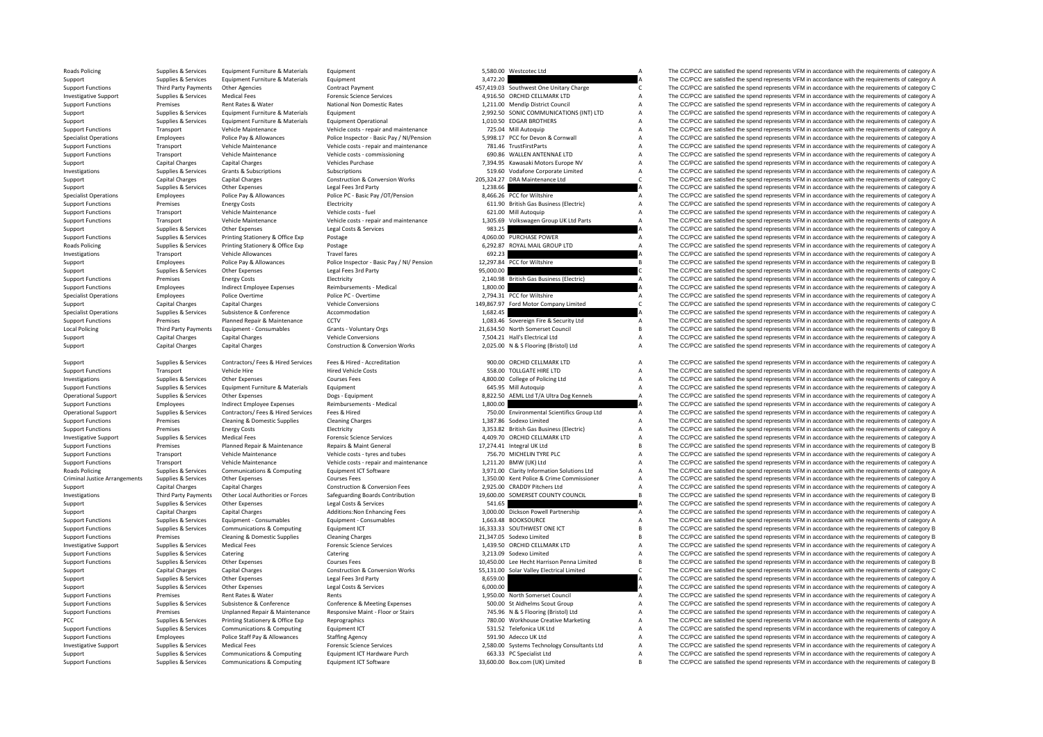| Roads Policing                       | Supplies & Services    | Equipment Furniture & Materials    | Equipment                                  |           | 5,580.00 Westcotec Ltd                      |                | The CC/PCC are satisfied the spend represents VFM in accordance with the requirements of category F |
|--------------------------------------|------------------------|------------------------------------|--------------------------------------------|-----------|---------------------------------------------|----------------|-----------------------------------------------------------------------------------------------------|
| Support                              | Supplies & Services    | Equipment Furniture & Materials    | Equipment                                  | 3,472.20  |                                             |                | The CC/PCC are satisfied the spend represents VFM in accordance with the requirements of category / |
| <b>Support Functions</b>             | Third Party Payments   | <b>Other Agencies</b>              | <b>Contract Payment</b>                    |           | 457,419.03 Southwest One Unitary Charge     | $\mathsf{C}$   | The CC/PCC are satisfied the spend represents VFM in accordance with the requirements of category ( |
|                                      |                        |                                    |                                            |           |                                             |                |                                                                                                     |
| <b>Investigative Support</b>         | Supplies & Services    | <b>Medical Fees</b>                | <b>Forensic Science Services</b>           |           | 4,916.50 ORCHID CELLMARK LTD                | $\overline{A}$ | The CC/PCC are satisfied the spend represents VFM in accordance with the requirements of category / |
| <b>Support Functions</b>             | Premises               | Rent Rates & Water                 | National Non Domestic Rates                |           | 1,211.00 Mendip District Council            | A              | The CC/PCC are satisfied the spend represents VFM in accordance with the requirements of category / |
| Support                              | Supplies & Services    | Equipment Furniture & Materials    | Equipment                                  |           | 2,992.50 SONIC COMMUNICATIONS (INT) LTD     | A              | The CC/PCC are satisfied the spend represents VFM in accordance with the requirements of category / |
| Support                              | Supplies & Services    | Equipment Furniture & Materials    | <b>Equipment Operational</b>               |           | 1,010.50 EDGAR BROTHERS                     | $\overline{A}$ | The CC/PCC are satisfied the spend represents VFM in accordance with the requirements of category / |
|                                      |                        |                                    |                                            |           |                                             |                |                                                                                                     |
| <b>Support Functions</b>             | Transport              | Vehicle Maintenance                | Vehicle costs - repair and maintenance     |           | 725.04 Mill Autoquip                        | $\overline{A}$ | The CC/PCC are satisfied the spend represents VFM in accordance with the requirements of category / |
| <b>Specialist Operations</b>         | Employees              | Police Pay & Allowances            | Police Inspector - Basic Pay / NI/Pension  |           | 5,998.17 PCC for Devon & Cornwall           | A              | The CC/PCC are satisfied the spend represents VFM in accordance with the requirements of category / |
| <b>Support Functions</b>             | Transport              | Vehicle Maintenance                | Vehicle costs - repair and maintenance     |           | 781.46 TrustFirstParts                      | $\overline{A}$ | The CC/PCC are satisfied the spend represents VFM in accordance with the requirements of category / |
|                                      |                        | Vehicle Maintenance                |                                            |           | 690.86 WALLEN ANTENNAE LTD                  | A              | The CC/PCC are satisfied the spend represents VFM in accordance with the requirements of category / |
| <b>Support Functions</b>             | Transport              |                                    | Vehicle costs - commissioning              |           |                                             |                |                                                                                                     |
| Support                              | Capital Charges        | <b>Capital Charges</b>             | Vehicles Purchase                          |           | 7,394.95 Kawasaki Motors Europe NV          | A              | The CC/PCC are satisfied the spend represents VFM in accordance with the requirements of category / |
| Investigations                       | Supplies & Services    | Grants & Subscriptions             | Subscriptions                              |           | 519.60 Vodafone Corporate Limited           | $\overline{A}$ | The CC/PCC are satisfied the spend represents VFM in accordance with the requirements of category / |
| Support                              | Capital Charges        | <b>Capital Charges</b>             | <b>Construction &amp; Conversion Works</b> |           | 205,324.27 DRA Maintenance Ltd              |                | The CC/PCC are satisfied the spend represents VFM in accordance with the requirements of category ( |
|                                      |                        |                                    |                                            |           |                                             |                |                                                                                                     |
| Support                              | Supplies & Services    | <b>Other Expenses</b>              | Legal Fees 3rd Party                       | 1,238.66  |                                             |                | The CC/PCC are satisfied the spend represents VFM in accordance with the requirements of category / |
| <b>Specialist Operations</b>         | Employees              | Police Pay & Allowances            | Police PC - Basic Pay /OT/Pension          |           | 8,466.26 PCC for Wiltshire                  |                | The CC/PCC are satisfied the spend represents VFM in accordance with the requirements of category / |
| <b>Support Functions</b>             | Premises               | <b>Energy Costs</b>                | Electricity                                |           | 611.90 British Gas Business (Electric)      | А              | The CC/PCC are satisfied the spend represents VFM in accordance with the requirements of category / |
| <b>Support Functions</b>             | Transport              | Vehicle Maintenance                | Vehicle costs - fuel                       |           | 621.00 Mill Autoquip                        | А              | The CC/PCC are satisfied the spend represents VFM in accordance with the requirements of category / |
|                                      |                        |                                    |                                            |           |                                             |                |                                                                                                     |
| <b>Support Functions</b>             | Transport              | Vehicle Maintenance                | Vehicle costs - repair and maintenance     |           | 1,305.69 Volkswagen Group UK Ltd Parts      |                | The CC/PCC are satisfied the spend represents VFM in accordance with the requirements of category / |
| Support                              | Supplies & Services    | Other Expenses                     | Legal Costs & Services                     | 983.25    |                                             |                | The CC/PCC are satisfied the spend represents VFM in accordance with the requirements of category / |
| <b>Support Functions</b>             | Supplies & Services    | Printing Stationery & Office Exp   | Postage                                    |           | 4.060.00 PURCHASE POWER                     | $\overline{A}$ | The CC/PCC are satisfied the spend represents VFM in accordance with the requirements of category / |
|                                      |                        |                                    |                                            |           |                                             |                |                                                                                                     |
| Roads Policing                       | Supplies & Services    | Printing Stationery & Office Exp   | Postage                                    |           | 6,292.87 ROYAL MAIL GROUP LTD               |                | The CC/PCC are satisfied the spend represents VFM in accordance with the requirements of category / |
| Investigations                       | Transport              | Vehicle Allowances                 | <b>Travel fares</b>                        | 692.23    |                                             |                | The CC/PCC are satisfied the spend represents VFM in accordance with the requirements of category / |
| Support                              | Employees              | Police Pay & Allowances            | Police Inspector - Basic Pay / NI/ Pension |           | 12,297.84 PCC for Wiltshire                 |                | The CC/PCC are satisfied the spend represents VFM in accordance with the requirements of category E |
|                                      | Supplies & Services    | <b>Other Expenses</b>              |                                            | 95,000.00 |                                             |                | The CC/PCC are satisfied the spend represents VFM in accordance with the requirements of category ( |
| Support                              |                        |                                    | Legal Fees 3rd Party                       |           |                                             |                |                                                                                                     |
| <b>Support Functions</b>             | Premises               | <b>Energy Costs</b>                | Electricity                                |           | 2,140.98 British Gas Business (Electric)    |                | The CC/PCC are satisfied the spend represents VFM in accordance with the requirements of category / |
| <b>Support Functions</b>             | Employees              | Indirect Employee Expenses         | Reimbursements - Medical                   | 1,800.00  |                                             |                | The CC/PCC are satisfied the spend represents VFM in accordance with the requirements of category / |
|                                      | Employees              |                                    | Police PC - Overtime                       |           | 2,794.31 PCC for Wiltshire                  |                | The CC/PCC are satisfied the spend represents VFM in accordance with the requirements of category / |
| <b>Specialist Operations</b>         |                        | Police Overtime                    |                                            |           |                                             | Α              |                                                                                                     |
| Support                              | <b>Capital Charges</b> | <b>Capital Charges</b>             | <b>Vehicle Conversions</b>                 |           | 149,867.97 Ford Motor Company Limited       |                | The CC/PCC are satisfied the spend represents VFM in accordance with the requirements of category ( |
| <b>Specialist Operations</b>         | Supplies & Services    | Subsistence & Conference           | Accommodation                              | 1,682.45  |                                             |                | The CC/PCC are satisfied the spend represents VFM in accordance with the requirements of category / |
| <b>Support Functions</b>             | Premises               | Planned Repair & Maintenance       | CCTV                                       |           | 1,083.46 Sovereign Fire & Security Ltd      | $\overline{A}$ | The CC/PCC are satisfied the spend represents VFM in accordance with the requirements of category / |
|                                      |                        |                                    |                                            |           |                                             | $\mathsf{B}$   |                                                                                                     |
| <b>Local Policing</b>                | Third Party Payments   | Equipment - Consumables            | Grants - Voluntary Orgs                    |           | 21,634.50 North Somerset Council            |                | The CC/PCC are satisfied the spend represents VFM in accordance with the requirements of category E |
| Support                              | Capital Charges        | Capital Charges                    | <b>Vehicle Conversions</b>                 |           | 7,504.21 Hall's Electrical Ltd              | A              | The CC/PCC are satisfied the spend represents VFM in accordance with the requirements of category / |
| Support                              | <b>Capital Charges</b> | Capital Charges                    | Construction & Conversion Works            |           | 2,025.00 N & S Flooring (Bristol) Ltd       | A              | The CC/PCC are satisfied the spend represents VFM in accordance with the requirements of category / |
|                                      |                        |                                    |                                            |           |                                             |                |                                                                                                     |
|                                      |                        |                                    |                                            |           |                                             |                |                                                                                                     |
| Support                              | Supplies & Services    | Contractors/ Fees & Hired Services | Fees & Hired - Accreditation               |           | 900.00 ORCHID CELLMARK LTD                  | $\overline{A}$ | The CC/PCC are satisfied the spend represents VFM in accordance with the requirements of category / |
| <b>Support Functions</b>             | Transport              | Vehicle Hire                       | <b>Hired Vehicle Costs</b>                 |           | 558.00 TOLLGATE HIRE LTD                    | $\overline{A}$ | The CC/PCC are satisfied the spend represents VFM in accordance with the requirements of category / |
| Investigations                       | Supplies & Services    | Other Expenses                     | <b>Courses Fees</b>                        |           | 4,800.00 College of Policing Ltd            | $\overline{A}$ | The CC/PCC are satisfied the spend represents VFM in accordance with the requirements of category / |
|                                      |                        |                                    |                                            |           |                                             |                |                                                                                                     |
| <b>Support Functions</b>             | Supplies & Services    | Equipment Furniture & Materials    | Equipment                                  |           | 645.95 Mill Autoquip                        | А              | The CC/PCC are satisfied the spend represents VFM in accordance with the requirements of category / |
| <b>Operational Support</b>           | Supplies & Services    | <b>Other Expenses</b>              | Dogs - Equipment                           |           | 8,822.50 AEML Ltd T/A Ultra Dog Kennels     |                | The CC/PCC are satisfied the spend represents VFM in accordance with the requirements of category / |
| <b>Support Functions</b>             | Employees              | <b>Indirect Employee Expenses</b>  | Reimbursements - Medical                   | 1,800.00  |                                             |                | The CC/PCC are satisfied the spend represents VFM in accordance with the requirements of category / |
| <b>Operational Support</b>           | Supplies & Services    | Contractors/ Fees & Hired Services | Fees & Hired                               |           | 750.00 Environmental Scientifics Group Ltd  |                | The CC/PCC are satisfied the spend represents VFM in accordance with the requirements of category / |
|                                      |                        |                                    |                                            |           |                                             |                |                                                                                                     |
| <b>Support Functions</b>             | Premises               | Cleaning & Domestic Supplies       | <b>Cleaning Charges</b>                    |           | 1,387.86 Sodexo Limited                     | A              | The CC/PCC are satisfied the spend represents VFM in accordance with the requirements of category / |
| <b>Support Functions</b>             | Premises               | <b>Energy Costs</b>                | Electricity                                |           | 3,353.82 British Gas Business (Electric)    | A              | The CC/PCC are satisfied the spend represents VFM in accordance with the requirements of category / |
| <b>Investigative Support</b>         | Supplies & Services    | <b>Medical Fees</b>                | <b>Forensic Science Services</b>           |           | 4,409.70 ORCHID CELLMARK LTD                | А              | The CC/PCC are satisfied the spend represents VFM in accordance with the requirements of category / |
|                                      |                        |                                    |                                            |           |                                             |                |                                                                                                     |
| <b>Support Functions</b>             | Premises               | Planned Repair & Maintenance       | Repairs & Maint General                    |           | 17,274.41 Integral UK Ltd                   | B              | The CC/PCC are satisfied the spend represents VFM in accordance with the requirements of category E |
| <b>Support Functions</b>             | Transport              | Vehicle Maintenance                | Vehicle costs - tyres and tubes            |           | 756.70 MICHELIN TYRE PLC                    | $\overline{A}$ | The CC/PCC are satisfied the spend represents VFM in accordance with the requirements of category / |
| <b>Support Functions</b>             | Transport              | Vehicle Maintenance                | Vehicle costs - repair and maintenance     |           | 1,211.20 BMW (UK) Ltd                       | $\overline{A}$ | The CC/PCC are satisfied the spend represents VFM in accordance with the requirements of category / |
|                                      |                        |                                    |                                            |           |                                             |                |                                                                                                     |
| Roads Policing                       | Supplies & Services    | Communications & Computing         | Equipment ICT Software                     |           | 3,971.00 Clarity Information Solutions Ltd  | А              | The CC/PCC are satisfied the spend represents VFM in accordance with the requirements of category / |
| <b>Criminal Justice Arrangements</b> | Supplies & Services    | Other Expenses                     | Courses Fees                               |           | 1,350.00 Kent Police & Crime Commissioner   | A              | The CC/PCC are satisfied the spend represents VFM in accordance with the requirements of category / |
| Support                              | Capital Charges        | <b>Capital Charges</b>             | Construction & Conversion Fees             |           | 2,925.00 CRADDY Pitchers Ltd                | А              | The CC/PCC are satisfied the spend represents VFM in accordance with the requirements of category / |
| Investigations                       | Third Party Payments   | Other Local Authorities or Forces  | Safeguarding Boards Contribution           |           | 19,600.00 SOMERSET COUNTY COUNCIL           |                | The CC/PCC are satisfied the spend represents VFM in accordance with the requirements of category E |
|                                      |                        |                                    |                                            |           |                                             |                |                                                                                                     |
| Support                              | Supplies & Services    | Other Expenses                     | Legal Costs & Services                     | 541.65    |                                             |                | The CC/PCC are satisfied the spend represents VFM in accordance with the requirements of category / |
| Support                              | Capital Charges        | <b>Capital Charges</b>             | Additions: Non Enhancing Fees              |           | 3,000.00 Dickson Powell Partnership         |                | The CC/PCC are satisfied the spend represents VFM in accordance with the requirements of category / |
| <b>Support Functions</b>             | Supplies & Services    | Equipment - Consumables            | Equipment - Consumables                    |           | 1,663.48 BOOKSOURCE                         | A              | The CC/PCC are satisfied the spend represents VFM in accordance with the requirements of category / |
|                                      |                        |                                    |                                            |           |                                             | $\mathsf{B}$   |                                                                                                     |
| <b>Support Functions</b>             | Supplies & Services    | Communications & Computing         | Equipment ICT                              |           | 16,333.33 SOUTHWEST ONE ICT                 |                | The CC/PCC are satisfied the spend represents VFM in accordance with the requirements of category E |
| <b>Support Functions</b>             | Premises               | Cleaning & Domestic Supplies       | <b>Cleaning Charges</b>                    |           | 21,347.05 Sodexo Limited                    | B              | The CC/PCC are satisfied the spend represents VFM in accordance with the requirements of category E |
| <b>Investigative Support</b>         | Supplies & Services    | <b>Medical Fees</b>                | <b>Forensic Science Services</b>           |           | 1,439.50 ORCHID CELLMARK LTD                | $\overline{A}$ | The CC/PCC are satisfied the spend represents VFM in accordance with the requirements of category / |
| <b>Support Functions</b>             | Supplies & Services    | Catering                           | Catering                                   |           | 3,213.09 Sodexo Limited                     | $\overline{A}$ | The CC/PCC are satisfied the spend represents VFM in accordance with the requirements of category / |
|                                      |                        |                                    |                                            |           |                                             |                |                                                                                                     |
| <b>Support Functions</b>             | Supplies & Services    | Other Expenses                     | <b>Courses Fees</b>                        |           | 10,450.00 Lee Hecht Harrison Penna Limited  | B              | The CC/PCC are satisfied the spend represents VFM in accordance with the requirements of category E |
| Support                              | Capital Charges        | <b>Capital Charges</b>             | <b>Construction &amp; Conversion Works</b> |           | 55,131.00 Solar Valley Electrical Limited   | $\epsilon$     | The CC/PCC are satisfied the spend represents VFM in accordance with the requirements of category ( |
| Support                              | Supplies & Services    | Other Expenses                     | Legal Fees 3rd Party                       | 8,659.00  |                                             |                | The CC/PCC are satisfied the spend represents VFM in accordance with the requirements of category / |
|                                      |                        |                                    |                                            |           |                                             |                |                                                                                                     |
| Support                              | Supplies & Services    | <b>Other Expenses</b>              | Legal Costs & Services                     | 6,000.00  |                                             |                | The CC/PCC are satisfied the spend represents VFM in accordance with the requirements of category / |
| <b>Support Functions</b>             | Premises               | Rent Rates & Water                 | Rents                                      |           | 1,950.00 North Somerset Council             |                | The CC/PCC are satisfied the spend represents VFM in accordance with the requirements of category / |
| <b>Support Functions</b>             | Supplies & Services    | Subsistence & Conference           | Conference & Meeting Expenses              |           | 500.00 St Aldhelms Scout Group              | $\overline{A}$ | The CC/PCC are satisfied the spend represents VFM in accordance with the requirements of category / |
|                                      | Premises               | Unplanned Repair & Maintenance     | Responsive Maint - Floor or Stairs         |           | 745.96 N & S Flooring (Bristol) Ltd         | A              | The CC/PCC are satisfied the spend represents VFM in accordance with the requirements of category / |
| <b>Support Functions</b>             |                        |                                    |                                            |           |                                             |                |                                                                                                     |
| PCC.                                 | Supplies & Services    | Printing Stationery & Office Exp   | Reprographics                              |           | 780.00 Workhouse Creative Marketing         | A              | The CC/PCC are satisfied the spend represents VFM in accordance with the requirements of category / |
| <b>Support Functions</b>             | Supplies & Services    | Communications & Computing         | Equipment ICT                              |           | 531.52 Telefonica UK Ltd                    | $\overline{A}$ | The CC/PCC are satisfied the spend represents VFM in accordance with the requirements of category / |
| <b>Support Functions</b>             | Employees              | Police Staff Pay & Allowances      | <b>Staffing Agency</b>                     |           | 591.90 Adecco UK Ltd                        | А              | The CC/PCC are satisfied the spend represents VFM in accordance with the requirements of category / |
|                                      |                        |                                    |                                            |           |                                             |                |                                                                                                     |
| <b>Investigative Support</b>         | Supplies & Services    | <b>Medical Fees</b>                | <b>Forensic Science Services</b>           |           | 2,580.00 Systems Technology Consultants Ltd | А              | The CC/PCC are satisfied the spend represents VFM in accordance with the requirements of category / |
| Support                              | Supplies & Services    | Communications & Computing         | Equipment ICT Hardware Purch               |           | 663.33 PC Specialist Ltd                    | A              | The CC/PCC are satisfied the spend represents VFM in accordance with the requirements of category / |
| <b>Support Functions</b>             | Supplies & Services    | Communications & Computing         | Equipment ICT Software                     |           | 33,600.00 Box.com (UK) Limited              |                | The CC/PCC are satisfied the spend represents VFM in accordance with the requirements of category E |
|                                      |                        |                                    |                                            |           |                                             |                |                                                                                                     |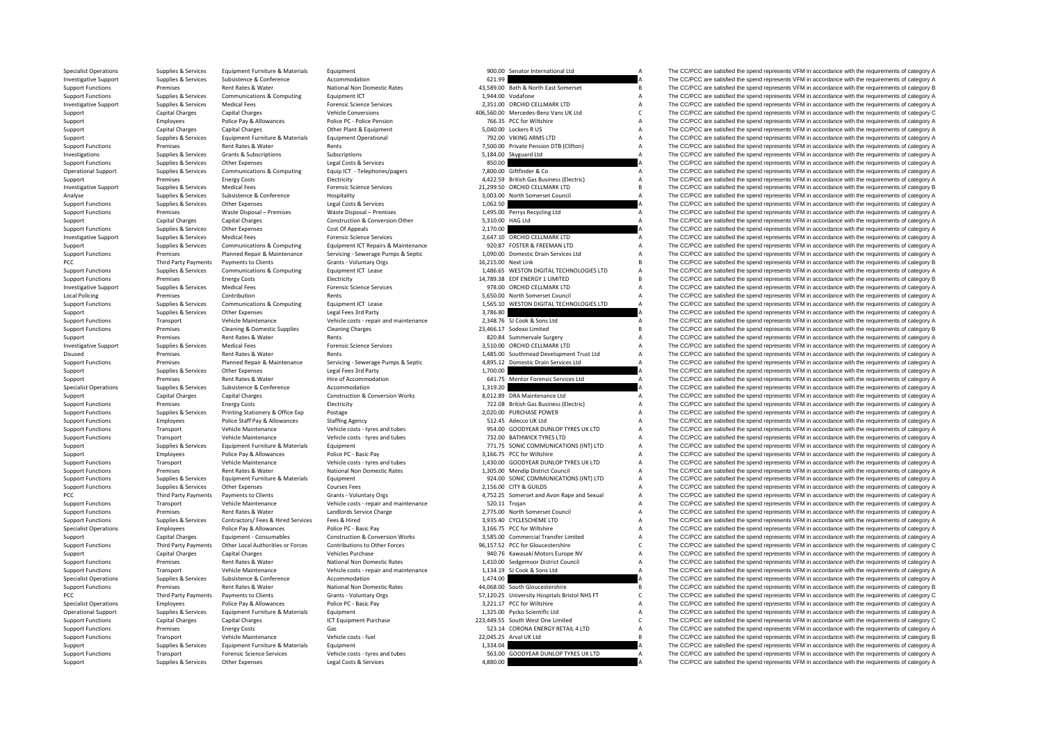PCC Third Party Payments Local Policing Disused **Premises PCC Third Party Payments PCC** Third Party Payments

Rates &

| 621.99<br>43,589.00 Bath & North East Somerset<br>1,944.00 Vodafone<br>2,351.00 ORCHID CELLMARK LTD<br>406,560.00 Mercedes-Benz Vans UK Ltd<br>766.35 PCC for Wiltshire<br>5,040.00 Lockers R US<br>792.00 VIKING ARMS LTD<br>7,500.00 Private Pension DTB (Clifton)<br>5,184.00 Skyguard Ltd<br>850.00<br>7,800.00 Giftfinder & Co<br>4,422.59 British Gas Business (Electric)<br>21,299.50 ORCHID CELLMARK LTD<br>3.003.00<br>North Somerset Council<br>1,062.50<br>Perrys Recycling Ltd<br>1,495.00<br><b>HAG Ltd</b><br>5,310.00<br>2,170.00<br>2,647.10 ORCHID CELLMARK LTD<br>920.87 FOSTER & FREEMAN LTD<br>1,090.00 Domestic Drain Services Ltd<br>16,215.00 Next Link<br>1,486.65 WESTON DIGITAL TECHNOLOGIES LTD<br>14,789.38 EDF ENERGY 1 LIMITED<br>978.00 ORCHID CELLMARK LTD<br>5,650.00 North Somerset Council<br>1,565.10 WESTON DIGITAL TECHNOLOGIES LTD<br>3,786.80<br>2,348.76 SJ Cook & Sons Ltd<br>23,466.17 Sodexo Limited<br>820.84 Summervale Surgery<br>3,510.00 ORCHID CELLMARK LTD<br>1,485.00 Southmead Development Trust Ltd<br>4,895.12<br>Domestic Drain Services Ltd<br>1,700.00<br>Mentor Forensic Services Ltd<br>641.75<br>1,319.20<br>8,012.89 DRA Maintenance Ltd<br>722.08 British Gas Business (Electric)<br>2,020.00 PURCHASE POWER<br>512.45 Adecco UK Ltd<br>954.00 GOODYEAR DUNLOP TYRES UK LTD<br>732.00 BATHWICK TYRES LTD<br>771.75 SONIC COMMUNICATIONS (INT) LTD<br>3,166.75 PCC for Wiltshire<br>1,430.00 GOODYEAR DUNLOP TYRES UK LTD<br>1,305.00 Mendip District Council<br>924.00 SONIC COMMUNICATIONS (INT) LTD<br>2,156.00 CITY & GUILDS<br>4,752.25 Somerset and Avon Rape and Sexual<br>520.11 Trojan<br>2,775.00 North Somerset Council<br>3,935.40 CYCLESCHEME LTD<br>3,166.75 PCC for Wiltshire<br>3,585.00 Commercial Transfer Limited<br>96,157.52 PCC for Gloucestershire<br>940.76 Kawasaki Motors Europe NV<br>1,410.00 Sedgemoor District Council<br>1,134.19 SJ Cook & Sons Ltd<br>1,474.00<br>44,068.00 South Gloucestershire<br>57,120.25 University Hospitals Bristol NHS FT<br>3,221.17 PCC for Wiltshire<br>1,325.00 Pycko Scientific Ltd<br>223,449.55 South West One Limited<br>523.14 CORONA ENERGY RETAIL 4 LTD<br>22,045.25<br>Arval UK Ltd<br>1,334.04<br>GOODYEAR DUNLOP TYRES UK LTD<br>563.00<br>Δ<br>4.880.00 | 900.00 Senator International Ltd | А      |
|------------------------------------------------------------------------------------------------------------------------------------------------------------------------------------------------------------------------------------------------------------------------------------------------------------------------------------------------------------------------------------------------------------------------------------------------------------------------------------------------------------------------------------------------------------------------------------------------------------------------------------------------------------------------------------------------------------------------------------------------------------------------------------------------------------------------------------------------------------------------------------------------------------------------------------------------------------------------------------------------------------------------------------------------------------------------------------------------------------------------------------------------------------------------------------------------------------------------------------------------------------------------------------------------------------------------------------------------------------------------------------------------------------------------------------------------------------------------------------------------------------------------------------------------------------------------------------------------------------------------------------------------------------------------------------------------------------------------------------------------------------------------------------------------------------------------------------------------------------------------------------------------------------------------------------------------------------------------------------------------------------------------------------------------------------------------------------------------------------------------------------------------------------------------------------------------------------------------------------------------------------------------------------------------|----------------------------------|--------|
|                                                                                                                                                                                                                                                                                                                                                                                                                                                                                                                                                                                                                                                                                                                                                                                                                                                                                                                                                                                                                                                                                                                                                                                                                                                                                                                                                                                                                                                                                                                                                                                                                                                                                                                                                                                                                                                                                                                                                                                                                                                                                                                                                                                                                                                                                                |                                  | A      |
|                                                                                                                                                                                                                                                                                                                                                                                                                                                                                                                                                                                                                                                                                                                                                                                                                                                                                                                                                                                                                                                                                                                                                                                                                                                                                                                                                                                                                                                                                                                                                                                                                                                                                                                                                                                                                                                                                                                                                                                                                                                                                                                                                                                                                                                                                                |                                  | B      |
|                                                                                                                                                                                                                                                                                                                                                                                                                                                                                                                                                                                                                                                                                                                                                                                                                                                                                                                                                                                                                                                                                                                                                                                                                                                                                                                                                                                                                                                                                                                                                                                                                                                                                                                                                                                                                                                                                                                                                                                                                                                                                                                                                                                                                                                                                                |                                  | Α<br>A |
|                                                                                                                                                                                                                                                                                                                                                                                                                                                                                                                                                                                                                                                                                                                                                                                                                                                                                                                                                                                                                                                                                                                                                                                                                                                                                                                                                                                                                                                                                                                                                                                                                                                                                                                                                                                                                                                                                                                                                                                                                                                                                                                                                                                                                                                                                                |                                  | Ċ      |
|                                                                                                                                                                                                                                                                                                                                                                                                                                                                                                                                                                                                                                                                                                                                                                                                                                                                                                                                                                                                                                                                                                                                                                                                                                                                                                                                                                                                                                                                                                                                                                                                                                                                                                                                                                                                                                                                                                                                                                                                                                                                                                                                                                                                                                                                                                |                                  | A      |
|                                                                                                                                                                                                                                                                                                                                                                                                                                                                                                                                                                                                                                                                                                                                                                                                                                                                                                                                                                                                                                                                                                                                                                                                                                                                                                                                                                                                                                                                                                                                                                                                                                                                                                                                                                                                                                                                                                                                                                                                                                                                                                                                                                                                                                                                                                |                                  | A      |
|                                                                                                                                                                                                                                                                                                                                                                                                                                                                                                                                                                                                                                                                                                                                                                                                                                                                                                                                                                                                                                                                                                                                                                                                                                                                                                                                                                                                                                                                                                                                                                                                                                                                                                                                                                                                                                                                                                                                                                                                                                                                                                                                                                                                                                                                                                |                                  | A      |
|                                                                                                                                                                                                                                                                                                                                                                                                                                                                                                                                                                                                                                                                                                                                                                                                                                                                                                                                                                                                                                                                                                                                                                                                                                                                                                                                                                                                                                                                                                                                                                                                                                                                                                                                                                                                                                                                                                                                                                                                                                                                                                                                                                                                                                                                                                |                                  | A      |
|                                                                                                                                                                                                                                                                                                                                                                                                                                                                                                                                                                                                                                                                                                                                                                                                                                                                                                                                                                                                                                                                                                                                                                                                                                                                                                                                                                                                                                                                                                                                                                                                                                                                                                                                                                                                                                                                                                                                                                                                                                                                                                                                                                                                                                                                                                |                                  | Α      |
|                                                                                                                                                                                                                                                                                                                                                                                                                                                                                                                                                                                                                                                                                                                                                                                                                                                                                                                                                                                                                                                                                                                                                                                                                                                                                                                                                                                                                                                                                                                                                                                                                                                                                                                                                                                                                                                                                                                                                                                                                                                                                                                                                                                                                                                                                                |                                  | A      |
|                                                                                                                                                                                                                                                                                                                                                                                                                                                                                                                                                                                                                                                                                                                                                                                                                                                                                                                                                                                                                                                                                                                                                                                                                                                                                                                                                                                                                                                                                                                                                                                                                                                                                                                                                                                                                                                                                                                                                                                                                                                                                                                                                                                                                                                                                                |                                  | A      |
|                                                                                                                                                                                                                                                                                                                                                                                                                                                                                                                                                                                                                                                                                                                                                                                                                                                                                                                                                                                                                                                                                                                                                                                                                                                                                                                                                                                                                                                                                                                                                                                                                                                                                                                                                                                                                                                                                                                                                                                                                                                                                                                                                                                                                                                                                                |                                  | A      |
|                                                                                                                                                                                                                                                                                                                                                                                                                                                                                                                                                                                                                                                                                                                                                                                                                                                                                                                                                                                                                                                                                                                                                                                                                                                                                                                                                                                                                                                                                                                                                                                                                                                                                                                                                                                                                                                                                                                                                                                                                                                                                                                                                                                                                                                                                                |                                  | B      |
|                                                                                                                                                                                                                                                                                                                                                                                                                                                                                                                                                                                                                                                                                                                                                                                                                                                                                                                                                                                                                                                                                                                                                                                                                                                                                                                                                                                                                                                                                                                                                                                                                                                                                                                                                                                                                                                                                                                                                                                                                                                                                                                                                                                                                                                                                                |                                  | A      |
|                                                                                                                                                                                                                                                                                                                                                                                                                                                                                                                                                                                                                                                                                                                                                                                                                                                                                                                                                                                                                                                                                                                                                                                                                                                                                                                                                                                                                                                                                                                                                                                                                                                                                                                                                                                                                                                                                                                                                                                                                                                                                                                                                                                                                                                                                                |                                  | A      |
|                                                                                                                                                                                                                                                                                                                                                                                                                                                                                                                                                                                                                                                                                                                                                                                                                                                                                                                                                                                                                                                                                                                                                                                                                                                                                                                                                                                                                                                                                                                                                                                                                                                                                                                                                                                                                                                                                                                                                                                                                                                                                                                                                                                                                                                                                                |                                  | A      |
|                                                                                                                                                                                                                                                                                                                                                                                                                                                                                                                                                                                                                                                                                                                                                                                                                                                                                                                                                                                                                                                                                                                                                                                                                                                                                                                                                                                                                                                                                                                                                                                                                                                                                                                                                                                                                                                                                                                                                                                                                                                                                                                                                                                                                                                                                                |                                  | A      |
|                                                                                                                                                                                                                                                                                                                                                                                                                                                                                                                                                                                                                                                                                                                                                                                                                                                                                                                                                                                                                                                                                                                                                                                                                                                                                                                                                                                                                                                                                                                                                                                                                                                                                                                                                                                                                                                                                                                                                                                                                                                                                                                                                                                                                                                                                                |                                  | A      |
|                                                                                                                                                                                                                                                                                                                                                                                                                                                                                                                                                                                                                                                                                                                                                                                                                                                                                                                                                                                                                                                                                                                                                                                                                                                                                                                                                                                                                                                                                                                                                                                                                                                                                                                                                                                                                                                                                                                                                                                                                                                                                                                                                                                                                                                                                                |                                  | A      |
|                                                                                                                                                                                                                                                                                                                                                                                                                                                                                                                                                                                                                                                                                                                                                                                                                                                                                                                                                                                                                                                                                                                                                                                                                                                                                                                                                                                                                                                                                                                                                                                                                                                                                                                                                                                                                                                                                                                                                                                                                                                                                                                                                                                                                                                                                                |                                  | A      |
|                                                                                                                                                                                                                                                                                                                                                                                                                                                                                                                                                                                                                                                                                                                                                                                                                                                                                                                                                                                                                                                                                                                                                                                                                                                                                                                                                                                                                                                                                                                                                                                                                                                                                                                                                                                                                                                                                                                                                                                                                                                                                                                                                                                                                                                                                                |                                  | A<br>B |
|                                                                                                                                                                                                                                                                                                                                                                                                                                                                                                                                                                                                                                                                                                                                                                                                                                                                                                                                                                                                                                                                                                                                                                                                                                                                                                                                                                                                                                                                                                                                                                                                                                                                                                                                                                                                                                                                                                                                                                                                                                                                                                                                                                                                                                                                                                |                                  | A      |
|                                                                                                                                                                                                                                                                                                                                                                                                                                                                                                                                                                                                                                                                                                                                                                                                                                                                                                                                                                                                                                                                                                                                                                                                                                                                                                                                                                                                                                                                                                                                                                                                                                                                                                                                                                                                                                                                                                                                                                                                                                                                                                                                                                                                                                                                                                |                                  | B      |
|                                                                                                                                                                                                                                                                                                                                                                                                                                                                                                                                                                                                                                                                                                                                                                                                                                                                                                                                                                                                                                                                                                                                                                                                                                                                                                                                                                                                                                                                                                                                                                                                                                                                                                                                                                                                                                                                                                                                                                                                                                                                                                                                                                                                                                                                                                |                                  | Α      |
|                                                                                                                                                                                                                                                                                                                                                                                                                                                                                                                                                                                                                                                                                                                                                                                                                                                                                                                                                                                                                                                                                                                                                                                                                                                                                                                                                                                                                                                                                                                                                                                                                                                                                                                                                                                                                                                                                                                                                                                                                                                                                                                                                                                                                                                                                                |                                  | A      |
|                                                                                                                                                                                                                                                                                                                                                                                                                                                                                                                                                                                                                                                                                                                                                                                                                                                                                                                                                                                                                                                                                                                                                                                                                                                                                                                                                                                                                                                                                                                                                                                                                                                                                                                                                                                                                                                                                                                                                                                                                                                                                                                                                                                                                                                                                                |                                  | A      |
|                                                                                                                                                                                                                                                                                                                                                                                                                                                                                                                                                                                                                                                                                                                                                                                                                                                                                                                                                                                                                                                                                                                                                                                                                                                                                                                                                                                                                                                                                                                                                                                                                                                                                                                                                                                                                                                                                                                                                                                                                                                                                                                                                                                                                                                                                                |                                  | A      |
|                                                                                                                                                                                                                                                                                                                                                                                                                                                                                                                                                                                                                                                                                                                                                                                                                                                                                                                                                                                                                                                                                                                                                                                                                                                                                                                                                                                                                                                                                                                                                                                                                                                                                                                                                                                                                                                                                                                                                                                                                                                                                                                                                                                                                                                                                                |                                  | A      |
|                                                                                                                                                                                                                                                                                                                                                                                                                                                                                                                                                                                                                                                                                                                                                                                                                                                                                                                                                                                                                                                                                                                                                                                                                                                                                                                                                                                                                                                                                                                                                                                                                                                                                                                                                                                                                                                                                                                                                                                                                                                                                                                                                                                                                                                                                                |                                  | B      |
|                                                                                                                                                                                                                                                                                                                                                                                                                                                                                                                                                                                                                                                                                                                                                                                                                                                                                                                                                                                                                                                                                                                                                                                                                                                                                                                                                                                                                                                                                                                                                                                                                                                                                                                                                                                                                                                                                                                                                                                                                                                                                                                                                                                                                                                                                                |                                  | A      |
|                                                                                                                                                                                                                                                                                                                                                                                                                                                                                                                                                                                                                                                                                                                                                                                                                                                                                                                                                                                                                                                                                                                                                                                                                                                                                                                                                                                                                                                                                                                                                                                                                                                                                                                                                                                                                                                                                                                                                                                                                                                                                                                                                                                                                                                                                                |                                  | A      |
|                                                                                                                                                                                                                                                                                                                                                                                                                                                                                                                                                                                                                                                                                                                                                                                                                                                                                                                                                                                                                                                                                                                                                                                                                                                                                                                                                                                                                                                                                                                                                                                                                                                                                                                                                                                                                                                                                                                                                                                                                                                                                                                                                                                                                                                                                                |                                  | A      |
|                                                                                                                                                                                                                                                                                                                                                                                                                                                                                                                                                                                                                                                                                                                                                                                                                                                                                                                                                                                                                                                                                                                                                                                                                                                                                                                                                                                                                                                                                                                                                                                                                                                                                                                                                                                                                                                                                                                                                                                                                                                                                                                                                                                                                                                                                                |                                  | Α      |
|                                                                                                                                                                                                                                                                                                                                                                                                                                                                                                                                                                                                                                                                                                                                                                                                                                                                                                                                                                                                                                                                                                                                                                                                                                                                                                                                                                                                                                                                                                                                                                                                                                                                                                                                                                                                                                                                                                                                                                                                                                                                                                                                                                                                                                                                                                |                                  | A      |
|                                                                                                                                                                                                                                                                                                                                                                                                                                                                                                                                                                                                                                                                                                                                                                                                                                                                                                                                                                                                                                                                                                                                                                                                                                                                                                                                                                                                                                                                                                                                                                                                                                                                                                                                                                                                                                                                                                                                                                                                                                                                                                                                                                                                                                                                                                |                                  | A      |
|                                                                                                                                                                                                                                                                                                                                                                                                                                                                                                                                                                                                                                                                                                                                                                                                                                                                                                                                                                                                                                                                                                                                                                                                                                                                                                                                                                                                                                                                                                                                                                                                                                                                                                                                                                                                                                                                                                                                                                                                                                                                                                                                                                                                                                                                                                |                                  | A      |
|                                                                                                                                                                                                                                                                                                                                                                                                                                                                                                                                                                                                                                                                                                                                                                                                                                                                                                                                                                                                                                                                                                                                                                                                                                                                                                                                                                                                                                                                                                                                                                                                                                                                                                                                                                                                                                                                                                                                                                                                                                                                                                                                                                                                                                                                                                |                                  | A      |
|                                                                                                                                                                                                                                                                                                                                                                                                                                                                                                                                                                                                                                                                                                                                                                                                                                                                                                                                                                                                                                                                                                                                                                                                                                                                                                                                                                                                                                                                                                                                                                                                                                                                                                                                                                                                                                                                                                                                                                                                                                                                                                                                                                                                                                                                                                |                                  | A      |
|                                                                                                                                                                                                                                                                                                                                                                                                                                                                                                                                                                                                                                                                                                                                                                                                                                                                                                                                                                                                                                                                                                                                                                                                                                                                                                                                                                                                                                                                                                                                                                                                                                                                                                                                                                                                                                                                                                                                                                                                                                                                                                                                                                                                                                                                                                |                                  | A      |
|                                                                                                                                                                                                                                                                                                                                                                                                                                                                                                                                                                                                                                                                                                                                                                                                                                                                                                                                                                                                                                                                                                                                                                                                                                                                                                                                                                                                                                                                                                                                                                                                                                                                                                                                                                                                                                                                                                                                                                                                                                                                                                                                                                                                                                                                                                |                                  | A      |
|                                                                                                                                                                                                                                                                                                                                                                                                                                                                                                                                                                                                                                                                                                                                                                                                                                                                                                                                                                                                                                                                                                                                                                                                                                                                                                                                                                                                                                                                                                                                                                                                                                                                                                                                                                                                                                                                                                                                                                                                                                                                                                                                                                                                                                                                                                |                                  | A<br>A |
|                                                                                                                                                                                                                                                                                                                                                                                                                                                                                                                                                                                                                                                                                                                                                                                                                                                                                                                                                                                                                                                                                                                                                                                                                                                                                                                                                                                                                                                                                                                                                                                                                                                                                                                                                                                                                                                                                                                                                                                                                                                                                                                                                                                                                                                                                                |                                  |        |
|                                                                                                                                                                                                                                                                                                                                                                                                                                                                                                                                                                                                                                                                                                                                                                                                                                                                                                                                                                                                                                                                                                                                                                                                                                                                                                                                                                                                                                                                                                                                                                                                                                                                                                                                                                                                                                                                                                                                                                                                                                                                                                                                                                                                                                                                                                |                                  |        |
|                                                                                                                                                                                                                                                                                                                                                                                                                                                                                                                                                                                                                                                                                                                                                                                                                                                                                                                                                                                                                                                                                                                                                                                                                                                                                                                                                                                                                                                                                                                                                                                                                                                                                                                                                                                                                                                                                                                                                                                                                                                                                                                                                                                                                                                                                                |                                  | A      |
|                                                                                                                                                                                                                                                                                                                                                                                                                                                                                                                                                                                                                                                                                                                                                                                                                                                                                                                                                                                                                                                                                                                                                                                                                                                                                                                                                                                                                                                                                                                                                                                                                                                                                                                                                                                                                                                                                                                                                                                                                                                                                                                                                                                                                                                                                                |                                  | A      |
|                                                                                                                                                                                                                                                                                                                                                                                                                                                                                                                                                                                                                                                                                                                                                                                                                                                                                                                                                                                                                                                                                                                                                                                                                                                                                                                                                                                                                                                                                                                                                                                                                                                                                                                                                                                                                                                                                                                                                                                                                                                                                                                                                                                                                                                                                                |                                  | A      |
|                                                                                                                                                                                                                                                                                                                                                                                                                                                                                                                                                                                                                                                                                                                                                                                                                                                                                                                                                                                                                                                                                                                                                                                                                                                                                                                                                                                                                                                                                                                                                                                                                                                                                                                                                                                                                                                                                                                                                                                                                                                                                                                                                                                                                                                                                                |                                  | A      |
|                                                                                                                                                                                                                                                                                                                                                                                                                                                                                                                                                                                                                                                                                                                                                                                                                                                                                                                                                                                                                                                                                                                                                                                                                                                                                                                                                                                                                                                                                                                                                                                                                                                                                                                                                                                                                                                                                                                                                                                                                                                                                                                                                                                                                                                                                                |                                  | A      |
|                                                                                                                                                                                                                                                                                                                                                                                                                                                                                                                                                                                                                                                                                                                                                                                                                                                                                                                                                                                                                                                                                                                                                                                                                                                                                                                                                                                                                                                                                                                                                                                                                                                                                                                                                                                                                                                                                                                                                                                                                                                                                                                                                                                                                                                                                                |                                  | A<br>Α |
|                                                                                                                                                                                                                                                                                                                                                                                                                                                                                                                                                                                                                                                                                                                                                                                                                                                                                                                                                                                                                                                                                                                                                                                                                                                                                                                                                                                                                                                                                                                                                                                                                                                                                                                                                                                                                                                                                                                                                                                                                                                                                                                                                                                                                                                                                                |                                  | A      |
|                                                                                                                                                                                                                                                                                                                                                                                                                                                                                                                                                                                                                                                                                                                                                                                                                                                                                                                                                                                                                                                                                                                                                                                                                                                                                                                                                                                                                                                                                                                                                                                                                                                                                                                                                                                                                                                                                                                                                                                                                                                                                                                                                                                                                                                                                                |                                  | Α      |
|                                                                                                                                                                                                                                                                                                                                                                                                                                                                                                                                                                                                                                                                                                                                                                                                                                                                                                                                                                                                                                                                                                                                                                                                                                                                                                                                                                                                                                                                                                                                                                                                                                                                                                                                                                                                                                                                                                                                                                                                                                                                                                                                                                                                                                                                                                |                                  | Α      |
|                                                                                                                                                                                                                                                                                                                                                                                                                                                                                                                                                                                                                                                                                                                                                                                                                                                                                                                                                                                                                                                                                                                                                                                                                                                                                                                                                                                                                                                                                                                                                                                                                                                                                                                                                                                                                                                                                                                                                                                                                                                                                                                                                                                                                                                                                                |                                  | Α      |
|                                                                                                                                                                                                                                                                                                                                                                                                                                                                                                                                                                                                                                                                                                                                                                                                                                                                                                                                                                                                                                                                                                                                                                                                                                                                                                                                                                                                                                                                                                                                                                                                                                                                                                                                                                                                                                                                                                                                                                                                                                                                                                                                                                                                                                                                                                |                                  | A      |
|                                                                                                                                                                                                                                                                                                                                                                                                                                                                                                                                                                                                                                                                                                                                                                                                                                                                                                                                                                                                                                                                                                                                                                                                                                                                                                                                                                                                                                                                                                                                                                                                                                                                                                                                                                                                                                                                                                                                                                                                                                                                                                                                                                                                                                                                                                |                                  | C      |
|                                                                                                                                                                                                                                                                                                                                                                                                                                                                                                                                                                                                                                                                                                                                                                                                                                                                                                                                                                                                                                                                                                                                                                                                                                                                                                                                                                                                                                                                                                                                                                                                                                                                                                                                                                                                                                                                                                                                                                                                                                                                                                                                                                                                                                                                                                |                                  | A      |
|                                                                                                                                                                                                                                                                                                                                                                                                                                                                                                                                                                                                                                                                                                                                                                                                                                                                                                                                                                                                                                                                                                                                                                                                                                                                                                                                                                                                                                                                                                                                                                                                                                                                                                                                                                                                                                                                                                                                                                                                                                                                                                                                                                                                                                                                                                |                                  | A      |
|                                                                                                                                                                                                                                                                                                                                                                                                                                                                                                                                                                                                                                                                                                                                                                                                                                                                                                                                                                                                                                                                                                                                                                                                                                                                                                                                                                                                                                                                                                                                                                                                                                                                                                                                                                                                                                                                                                                                                                                                                                                                                                                                                                                                                                                                                                |                                  | Α      |
|                                                                                                                                                                                                                                                                                                                                                                                                                                                                                                                                                                                                                                                                                                                                                                                                                                                                                                                                                                                                                                                                                                                                                                                                                                                                                                                                                                                                                                                                                                                                                                                                                                                                                                                                                                                                                                                                                                                                                                                                                                                                                                                                                                                                                                                                                                |                                  | A      |
|                                                                                                                                                                                                                                                                                                                                                                                                                                                                                                                                                                                                                                                                                                                                                                                                                                                                                                                                                                                                                                                                                                                                                                                                                                                                                                                                                                                                                                                                                                                                                                                                                                                                                                                                                                                                                                                                                                                                                                                                                                                                                                                                                                                                                                                                                                |                                  | B      |
|                                                                                                                                                                                                                                                                                                                                                                                                                                                                                                                                                                                                                                                                                                                                                                                                                                                                                                                                                                                                                                                                                                                                                                                                                                                                                                                                                                                                                                                                                                                                                                                                                                                                                                                                                                                                                                                                                                                                                                                                                                                                                                                                                                                                                                                                                                |                                  | C      |
|                                                                                                                                                                                                                                                                                                                                                                                                                                                                                                                                                                                                                                                                                                                                                                                                                                                                                                                                                                                                                                                                                                                                                                                                                                                                                                                                                                                                                                                                                                                                                                                                                                                                                                                                                                                                                                                                                                                                                                                                                                                                                                                                                                                                                                                                                                |                                  | A      |
|                                                                                                                                                                                                                                                                                                                                                                                                                                                                                                                                                                                                                                                                                                                                                                                                                                                                                                                                                                                                                                                                                                                                                                                                                                                                                                                                                                                                                                                                                                                                                                                                                                                                                                                                                                                                                                                                                                                                                                                                                                                                                                                                                                                                                                                                                                |                                  | A      |
|                                                                                                                                                                                                                                                                                                                                                                                                                                                                                                                                                                                                                                                                                                                                                                                                                                                                                                                                                                                                                                                                                                                                                                                                                                                                                                                                                                                                                                                                                                                                                                                                                                                                                                                                                                                                                                                                                                                                                                                                                                                                                                                                                                                                                                                                                                |                                  | C      |
|                                                                                                                                                                                                                                                                                                                                                                                                                                                                                                                                                                                                                                                                                                                                                                                                                                                                                                                                                                                                                                                                                                                                                                                                                                                                                                                                                                                                                                                                                                                                                                                                                                                                                                                                                                                                                                                                                                                                                                                                                                                                                                                                                                                                                                                                                                |                                  | A      |
|                                                                                                                                                                                                                                                                                                                                                                                                                                                                                                                                                                                                                                                                                                                                                                                                                                                                                                                                                                                                                                                                                                                                                                                                                                                                                                                                                                                                                                                                                                                                                                                                                                                                                                                                                                                                                                                                                                                                                                                                                                                                                                                                                                                                                                                                                                |                                  | B      |
|                                                                                                                                                                                                                                                                                                                                                                                                                                                                                                                                                                                                                                                                                                                                                                                                                                                                                                                                                                                                                                                                                                                                                                                                                                                                                                                                                                                                                                                                                                                                                                                                                                                                                                                                                                                                                                                                                                                                                                                                                                                                                                                                                                                                                                                                                                |                                  | A<br>A |

Specialist Operations Supplies & Services Equipment Furniture & Materials Equipment Equipment Equipment equirement experiment are a service are applied to the spend represents very are satisfied the spend represents VFM in Investigative Support Support Support Support Subsistence  $\alpha$  Accommodation 621.99 A The CC/PCC are satisfied the spend represents VFM in accordance with the requirements of category A Support Functions Premises Rent Rates & Water National Non Domestic Rates 43,589.00 Bath & North East Somerset B The CC/PCC are satisfied the spend represents VFM in accordance with the requirements of category B<br>Support F Supplies & Services Communications & Computing Equipment ICT equipment ICT and the services and the services of the COMPON CELLMARK ITD A The CC/PCC are satisfied the spend represents VFM in accordance with the requirement Investigative Support Supplies & Services Medical Fees Forensic Science Services Forensic Science Services 2,351.00 ORCHID CELLMARK LTD A The CC/PCC are satisfied the spend represents VFM in accordance with the requirement Support Capital Charges Capital Charges Capital Charges Vehicle Conversions 406,560.00 Mercedes-Benz Vans UK Ltd C The CC/PCC are satisfied the spend represents VFM in accordance with the requirements of category C Device Support Employees Police Pay & Allowances Police PC - Police Pension 766.35 PCC for Wiltshire A The CC/PCC are satisfied the spend represents VFM in accordance with the requirements of category A Support Capital Charges Capital Charges Capital Charges Category A Cher Plant & Equipment Charles Capital Charges Other Plant & Equipment Characters R US A The CC/PCC are satisfied the spend represents VFM in accordance wi Supplies & Services Equipment Furniture & Materials Equipment Operational 792.00 VIKING ARMS LTD A The CC/PCC are satisfied the spend represents VFM in accordance with the requirements of category A Support Functions Premises Rent Rates & Water Rents Rents Rents Rents Rents Rents Rents Rents Rents Rents Rents Rents Rents Rents Rents Rents Provide Pension DTB (Clifton) A The CC/PCC are satisfied the spend represents VF Investigations Supplies & Services Grants & Subscriptions Subscriptions Subscriptions Subscriptions Subscriptions Subscriptions Subscriptions Subscriptions Subscriptions Subscriptions Subscriptions Subscriptions Subscripti Support Functions Supplies & Services Other Expenses Legal Costs & Services 850.00 BSD.00 A The CC/PCC are satisfied the spend represents VFM in accordance with the requirements of category A Operational Support Supplies & Services Communications & Computing Equip ICT - Telephones/pagers 7,800.00 Giftfinder & Co A The CC/PCC are satisfied the spend represents VFM in accordance with the requirements of category Support Premises Energy Costs Energy Costs Electricity Electricity and the Electricity and the Support A The CC/PCC are satisfied the spend represents VFM in accordance with the requirements of category A The CC/PCC are sa Nedical Fees Forensic Science Services Medical Fees Forensic Science Services 21,299.50 ORCHID CELLMARK LTD B The CC/PCC are satisfied the spend represents VFM in accordance with the requirements of category B C/PCC are sa Analyse Supplies & Services Subsistence Subsistence Hospitality Hospitality and the spend of the Services Subsistence Hospitality and the spend of the spend represents VFM in accordance with the requirements of category A<br> Support Functions Supplies & Services Other Expenses Legal Costs & Services Legal Costs & Services Legal Costs & Services 1,062.50 A The CC/PCC are satisfied the spend represents VFM in accordance with the requirements of Support Functions Premises Waste Disposal – Premises Waste Disposal – Premises 1,495.00 Perrys Recycling Ltd A The CC/PCC are satisfied the spend represents VFM in accordance with the requirements of category A The CC/PCC Support Capital Charges Capital Charges Capital Charges Capital Charges Capital Charges Construction & Conversion Other 5,310.00 HAG Ltd A The CC/PCC are satisfied the spend represents VFM in accordance with the requiremen The CC/PCC are satisfied the spend represents VFM in accordance with the requirements of category A Investigative Support Support Support Supporters Medical Fees Forensic Science Services Forensic Science Services 2,647.10 ORCHID CELLMARK LTD A The CC/PCC are satisfied the spend represents VFM in accordance with the requ Support Supplies & Services Communications & Computing Equipment ICT Repairs & Maintenance 920.87 FOSTER & FREEMAN LTD A The CC/PCC are satisfied the spend represents VFM in accordance with the requirements of category A D on the property of the contract the contract the contract of the contract the contract of the contract the contract the contract of the contract the contract the contract of the contract the contract of capacity of the con Party Payments Payments to Clients of category B Crants Voluntary Orgs 16,215.00 Next Link B The CC/PCC are satisfied the spend represents VFM in accordance with the requirements of category B 16,215.00 Next Link B 16,215. Support Functions Supplies & Services Communications & Computing Equipment ICT Lease 1,486.65 WESTON DIGITAL TECHNOLOGIES LTD A The CC/PCC are satisfied the spend represents VFM in accordance with the requirements of categ Support Functions Premises Energy Costs Electricity Electricity 14,789.38 EDF ENERGY 1 LIMITED B The CC/PCC are satisfied the spend represents VFM in accordance with the requirements of category B Investigative Support Supplies & Services Medical Fees Forensic Science Services Forensic Science Services 978.00 ORCHID CELLMARK LTD A The CC/PCC are satisfied the spend represents VFM in accordance with the requirements Premises Contribution Contribution Rents Council Category A The CC/PCC are satisfied the spend represents VFM in accordance with the requirements of category A The CC/PCC are satisfied the spend represents VFM in accordanc Supplies & Services Communications & Computing Equipment ICT Lease 1,565.10 WESTON DIGITAL TECHNOLOGIES LTD A The CC/PCC are satisfied the spend represents VFM in accordance with the requirements of category A category A S Support Supplies & Services Other Expenses Legal Fees 3rd Party and the spend represents VFM in accordance with the requirements of category A Cup in the Support Support Support Support Support Support Support Support Supp Support Functions Transport Vehicle Maintenance Vehicle costs ‐ repair and maintenance 2,348.76 SLCook & Sons Ltd A The CC/PCC are satisfied the spend represents VFM in accordance with the requirements of category A Support Functions Premises Cleaning & Domestic Supplies Cleaning Charges Cleaning Charges Cleaning Charges Cleaning Charges 23,466.17 Sodexo Limited B The CC/PCC are satisfied the spend represents VFM in accordance with th Support Rent Rates Rent Rates Rents Rents Rents Rents 820.84 Summervale Surgery A The CC/PCC are satisfied the spend represents VFM in accordance with the requirements of category A The CC/PCC are satisfied the spend repre Investigative Support Supplies & Services Medical Fees Forensic Science Services Forensic Science Services 3,510.00 ORCHID CELLMARK LTD A The CC/PCC are satisfied the spend represents VFM in accordance with the requirement Rents 1,485.00 Southmead Development Trust Ltd A The CC/PCC are satisfied the spend represents VFM in accordance with the requirements of category A Support Functions Premises Premises Planned Repair & Maintenance Servicing - Servicing - Servicing - Servicing - Servicing - Servicing - Servicing - Servicing & Septic 4.895.12 Domestic Drain Services Ltd A The CC/PCC are Supplies Supplies & Services Other Expenses Legal Fees 3rd Party Legal Fees 3rd Party 1,700.00 A The CC/PCC are satisfied the spend represents VFM in accordance with the requirements of category A Support of category A Sup Support Premises Rent Rates & Water Hire of Accommodation Hire of Accommodation 641.75 Mentor Forensic Services Ltd A The CC/PCC are satisfied the spend represents VFM in accordance with the requirements of category A Supp Specialist Operations Supplies & Services Subsistence Subsistence Accommodation Accommodation Accommodation Accommodation 1,319.20 A The CC/PCC are satisfied the spend represents VFM in accordance with the requirements of Support Capital Charges Capital Charges Capital Charges Construction & Conversion Works 8,012.89 DRA Maintenance Ltd A The CC/PCC are satisfied the spend represents VFM in accordance with the requirements of category A Support Functions Premises Energy Costs Electricity Electricity **Electricity Electricity Functions** Electricity **22.08** British Gas Business (Electric) A The CC/PCC are satisfied the spend represents VFM in accordance Support Functions Supplies & Services Printing Stationery & Office Exp Postage 2,020.00 PURCHASE POWER 2,020.00 PURCHASE POWER A The CC/PCC are satisfied the spend represents VFM in accordance with the requirements of cate Support Functions Functions Employees Police Staff Pay & Allowances Staffing Agency 512.45 Adecco UK Ltd A The CC/PCC are satisfied the spend represents VFM in accordance with the requirements of category A The CC/PCC are Support Functions Transport Vehicle Maintenance Vehicle costs - tyres and tubes 954.00 GOODYEAR DUNLOP TYRES UK LTD A The CC/PCC are satisfied the spend represents VFM in accordance with the requirements of category A Support Functions Transport Vehicle Maintenance Vehicle costs - tyres and tubes 732.00 BATHWICK TYRES LTD A The CC/PCC are satisfied the spend represents VFM in accordance with the requirements of category A Support Functi Supplies & Services Equipment Furniture & Materials Equipment 771.75 SONIC COMMUNICATIONS (INT) LTD A The CC/PCC are satisfied the spend represents VFM in accordance with the requirements of category A Support Employees Police Pay & Allowances Police PC - Basic Pay 3,166.75 PCC for Wiltshire A The CC/PCC are satisfied the spend represents VFM in accordance with the requirements of category A Support Functions Transport Vehicle Maintenance Vehicle costs – tyres and tubes 1,430.00 GOODYEAR DUNLOP TYRES UK LTD A The CC/PCC are satisfied the spend represents VFM in accordance with the requirements of category A Su Support Functions Premises Rent Rates & Water National Non Domestic Rates National Non Domestic Rates 1,305.00 Mendip District Council A The CC/PCC are satisfied the spend represents VFM in accordance with the requirements Support Functions Supplies & Services Equipment Furniture & Materials Equipment Equipment equipment equipment equipment equipment equipment equipment equipment equipment equipment expend the spend represents VFM in accorda Supplies & Services Other Expenses Courses Fees Courses Fees 2,156.00 CITY & GUILDS A The CC/PCC are satisfied the spend represents VFM in accordance with the requirements of category A Payments to Clients **A The Columbus Crants Journal Avoid Avoid A** The CC/PCC are satisfied the spend represents VFM in accordance with the requirements of category A The CC/PCC are satisfied the spend represents VFM in acc Support Functions Transport Vehicle Maintenance Vehicle costs - repair and maintenance S20.11 Trojan A The CC/PCC are satisfied the spend represents VFM in accordance with the requirements of category A Support Functions Premises Rent Rates & Water Landlords Service Charge 2,775.00 North Somerset Council A The CC/PCC are satisfied the spend represents VFM in accordance with the requirements of category A Support Functions Supplies & Services Contractors/ Fees & Hired Services Fees & Hired Services Fees & Hired 3,935.40 CYCLESCHEME LTD A The CC/PCC are satisfied the spend represents VFM in accordance with the requirements o Employees Police Pay & Allowances Police PC - Basic Pay 3,166.75 PCC for Wiltshire A The CC/PCC are satisfied the spend represents VFM in accordance with the requirements of category A Support Capital Charges Foulument - Consumables Construction & Conversion Works 3,585.00 Commercial Transfer Limited A The CC/PCC are satisfied the spend represents VFM in accordance with the requirements of category A Contributions of the Local Authorities or Forces Contributions to Other Forces of the CONNECT SUPPORT CONNECT CONNECT CONNECT CONNECT CONNECT CONNECT CONNECT CONNECT CONNECT CONNECT CONNECT CONNECT AND A CONNECT CARRENT CO Support Capital Charges Capital Charges Vehicles Purchase 940.76 Kawasaki Motors Europe NV A The CC/PCC are satisfied the spend represents VFM in accordance with the requirements of category A Support Functions Premises Rent Rates & Water National Non Domestic Rates National Non Domestic Rates National Non Domestic Rates 1,410.00 Sedgemoor District Council A The CC/PCC are satisfied the spend represents VFM in a Transport Vehicle Maintenance Vehicle costs ‐ repair and maintenance 1,134.19 SJ Cook & Sons Ltd A The CC/PCC are satisfied the spend represents VFM in accordance with the requirements of category A Specialist Operations Supplies & Services Subsistence  $\alpha$  Accommodation Accommodation 1,474.00 A The CC/PCC are satisfied the spend represents VFM in accordance with the requirements of category A Support Functions Premises Rent Rates & Water National Non Domestic Rates 44,068.00 South Gloucestershire B The CC/PCC are satisfied the spend represents VFM in accordance with the requirements of category B Payments to Clients Crants - Voluntary Orgs 6. 2000 Caracters Constants Crants Constants Crants Constants Crants Organization C C The CC/PCC are satisfied the spend represents VFM in accordance with the requirements of cat Specialist Operations Employees Police Pay & Allowances Police PC - Basic Pay Police PC - Basic Pay 3,221.17 PCC for Willshire A The CC/PCC are satisfied the spend represents VFM in accordance with the requirements of cate Equipment Computer Support Support Support Supplies A The CC/PCC are satisfied the spend represents VFM in accordance with the requirements of category A The CC/PCC are satisfied the spend represents VFM in accordance with Support Functions Capital Charges Capital Charges ICT Equipment Purchase 223,449.55 South West One Limited C The CC/PCC are satisfied the spend represents VFM in accordance with the requirements of category C Support Functions Premises Energy Costs Gas Gas Gas Gas Sases Content Content Content Content Content Content Content Content Content Content Content Content Content Content Content Content Content Content Content Content Support Functions Transport Vehicle Maintenance Vehicle costs – fuel 22,045.25 Arval UK Ltd B The CC/PCC are satisfied the spend represents VFM in accordance with the requirements of category B Support Supplies & Services Equipment Furniture & Materials Equipment Equipment Equipment Equipment Equipment Equipment Equipment 1,334.04 A The CC/PCC are satisfied the spend represents VFM in accordance with the requirem Transport Forensic Science Services Vehicle costs - tyres and tubes 563.00 GOODYEAR DUNLOP TYRES UK LTD A The CC/PCC are satisfied the spend represents VFM in accordance with the requirements of category A Support Supplies & Services Other Expenses Legal Costs & Services 4,880.00 4,880.00 A The CC/PCC are satisfied the spend represents VFM in accordance with the requirements of category A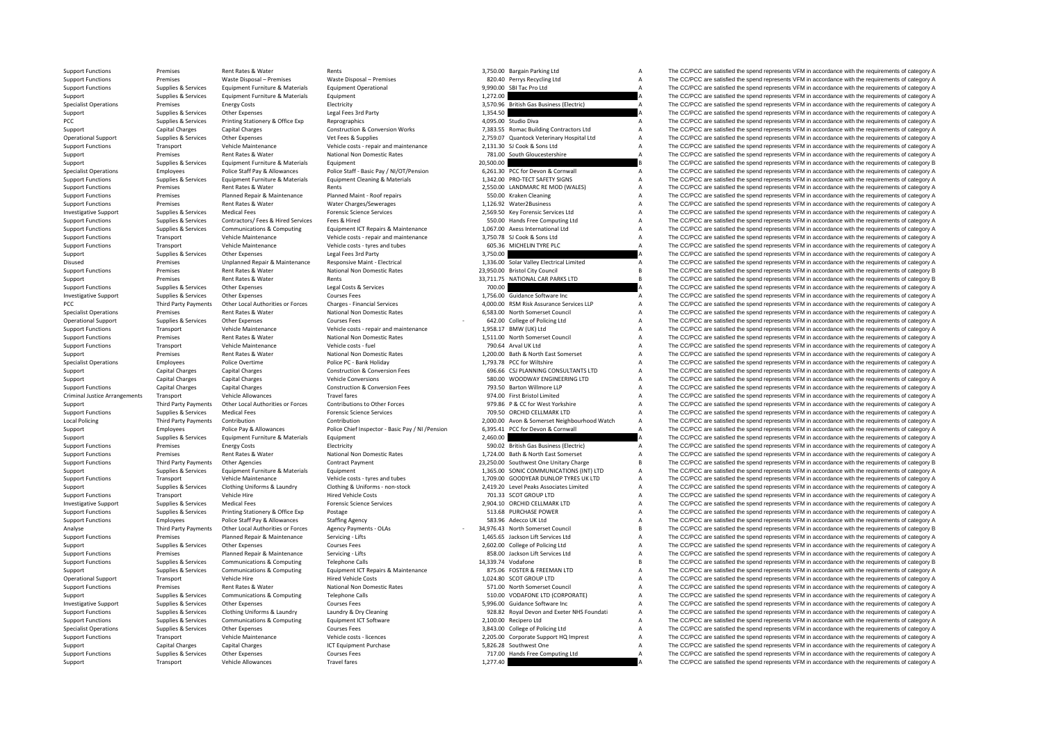PCC Third Party Payments Criminal Justice**Local Policing** 

|           | 3,750.00 Bargain Parking Ltd               | A |
|-----------|--------------------------------------------|---|
|           | 820.40 Perrys Recycling Ltd                | A |
|           | 9,990.00 SBI Tac Pro Ltd                   | A |
| 1,272.00  |                                            | A |
| 3,570.96  | <b>British Gas Business (Electric)</b>     | A |
| 1,354.50  |                                            | A |
|           | 4,095.00 Studio Diva                       | A |
|           | 7,383.55 Romac Building Contractors Ltd    | A |
| 2,759.07  | Quantock Veterinary Hospital Ltd           | A |
|           | 2,131.30 SJ Cook & Sons Ltd                | A |
| 781.00    | South Gloucestershire                      | A |
| 20,500.00 |                                            | B |
|           | 6,261.30 PCC for Devon & Cornwall          | A |
|           | 1,342.00 PRO-TECT SAFETY SIGNS             | А |
|           | 2,550.00 LANDMARC RE MOD (WALES)           | A |
|           | 550.00 Kraken Cleaning                     | A |
|           | 1.126.92 Water2Business                    | A |
|           | 2,569.50 Key Forensic Services Ltd         | A |
|           | 550.00 Hands Free Computing Ltd            | A |
|           | 1,067.00 Axess International Ltd           | A |
|           | 3,750.78 SJ Cook & Sons Ltd                | A |
|           | 605.36 MICHELIN TYRE PLC                   | A |
| 3,750.00  |                                            | A |
|           | 1,336.00 Solar Valley Electrical Limited   | A |
|           | 23,950.00 Bristol City Council             | B |
|           | 33,711.75 NATIONAL CAR PARKS LTD           | B |
| 700.00    |                                            | A |
|           | 1,756.00 Guidance Software Inc             | A |
|           | 4,000.00 RSM Risk Assurance Services LLP   | A |
|           | 6,583.00 North Somerset Council            | А |
|           | 642.00 College of Policing Ltd             | A |
| 1,958.17  | BMW (UK) Ltd                               | A |
|           | 1,511.00 North Somerset Council            | A |
|           | 790.64 Arval UK Ltd                        | A |
|           | 1,200.00 Bath & North East Somerset        | A |
|           | 1,793.78 PCC for Wiltshire                 | A |
|           | 696.66 CSJ PLANNING CONSULTANTS LTD        | A |
|           | 580.00 WOODWAY ENGINEERING LTD             | A |
|           | 793.50 Barton Willmore LLP                 | A |
|           | 974.00 First Bristol Limited               | A |
|           | 979.86 P & CC for West Yorkshire           | A |
|           | 709.50 ORCHID CELLMARK LTD                 | A |
| 2,000.00  | Avon & Somerset Neighbourhood Watch        | A |
| 6,395.41  | PCC for Devon & Cornwall                   | A |
| 2,460.00  |                                            | A |
|           | 590.02 British Gas Business (Electric)     | A |
|           | 1,724.00 Bath & North East Somerset        | A |
|           | 23,250.00 Southwest One Unitary Charge     | B |
|           | 1,365.00 SONIC COMMUNICATIONS (INT) LTD    | A |
|           | 1,709.00 GOODYEAR DUNLOP TYRES UK LTD      | A |
|           | 2,419.20 Level Peaks Associates Limited    | A |
|           | 701.33 SCOT GROUP LTD                      | A |
|           | 2,904.10 ORCHID CELLMARK LTD               | A |
|           |                                            | A |
|           | 513.68 PURCHASE POWER                      |   |
|           | 583.96 Adecco UK Ltd                       | A |
|           | 34,976.43 North Somerset Council           | R |
|           | 1,465.65 Jackson Lift Services Ltd         | A |
|           | 2,602.00 College of Policing Ltd           | A |
|           | 858.00 Jackson Lift Services Ltd           | A |
|           | 14,339.74 Vodafone                         | B |
|           | 875.06 FOSTER & FREEMAN LTD                | A |
|           | 1,024.80 SCOT GROUP LTD                    | A |
|           | 571.00 North Somerset Council              | A |
|           | 510.00 VODAFONE LTD (CORPORATE)            | A |
|           | 5,996.00 Guidance Software Inc             | A |
|           | 928.82 Royal Devon and Exeter NHS Foundati | A |
|           | 2,100.00 Recipero Ltd                      | A |
|           | 3,843.00 College of Policing Ltd           | A |
|           | 2,205.00 Corporate Support HQ Imprest      | A |
|           | 5,826.28 Southwest One                     | A |
|           | 717.00 Hands Free Computing Ltd            | A |
| 277.40    |                                            | Δ |

Support Functions Premises Rent Rates & Water Rents Rents Rents and States Rent Rent Rents 3,750.00 Bargain Parking Ltd A The CC/PCC are satisfied the spend represents VFM in accordance with the requirements of category A Support Functions Premises Waste Disposal – Premises Waste Disposal – Premises Waste Disposal – Premises 820.40 Perrys Recycling Ltd A The CC/PCC are satisfied the spend represents VFM in accordance with the requirements o Support Functions Supplies & Services Equipment Furniture & Materials Equipment Operational Equipment Operational examples and the Support of the Support of the CC/PCC are satisfied the spend represents VFM in accordance w Support Supplies & Services Equipment Furniture & Materials Equipment 1,272.00 A The CC/PCC are satisfied the spend represents VFM in accordance with the requirements of category A Specialist Operations Premises Energy Costs Electricity Electricity and Electricity 3,570.96 British Gas Business (Electric) A The CC/PCC are satisfied the spend represents VFM in accordance with the requirements of catego Support Supplies & Services Other Expenses Legal Fees 3rd Party Legal Fees 3rd Party 1,354.50 A The CC/PCC are satisfied the spend represents VFM in accordance with the requirements of category A CC/PCC are satisfied the s Supplies & Services Printing Stationery & Office Exp Reprographics expendition accordance with the requirements of category A The CC/PCC are satisfied the spend represents VFM in accordance with the requirements of categor Support Capital Charges Capital Charges Capital Charges Capital Charges Construction & Conversion Works 7,383.55 Romac Building Contractors Ltd A The CC/PCC are satisfied the spend represents VFM in accordance with the req The CC/PCC are satisfied the spend represents VFM in accordance with the requirements of category A Support Functions Transport Vehicle Maintenance Vehicle costs ‐ repair and maintenance 2,131.30 SJ Cook & Sons Ltd A The CC/PCC are satisfied the spend represents VFM in accordance with the requirements of category A Suppo Support Premises Rent Rates & Water National Non Domestic Rates 781.00 South Gloucestershire A The CC/PCC are satisfied the spend represents VFM in accordance with the requirements of category A Support Supplies & Services Equipment Furniture & Materials Equipment and the support and the spend represent of category B The CC/PCC are satisfied the spend represents VFM in accordance with the requirements of category Specialist Operations Employees Police Staff Pay & Allowances Police Staff - Basic Pay / NI/OT/Pension 6.261.30 PCC for Devon & Cornwall A The CC/PCC are satisfied the spend represents VFM in accordance with the requiremen Supplies & Services Equipment Furniture & Materials Equipment Cleaning & Materials and the materials and the COMEC SAFETY SIGNS And The COMPC are satisfied the spend represents VFM in accordance with the requirements of ca Support Functions Premises Rent Rates & Water Rents Rents Rents 2,550.00 LANDMARC RE MOD (WALES) A The CC/PCC are satisfied the spend represents VFM in accordance with the requirements of category A Support Functions Premises Planned Repair & Maintenance Planned Maint - Roof repairs 550.00 Kraken Cleaning A The CC/PCC are satisfied the spend represents VFM in accordance with the requirements of category A Support Func Support Functions Premises Rent Rates & Water Water Charges/Sewerages 1,126.92 Water2Business A The CC/PCC are satisfied the spend represents VFM in accordance with the requirements of category A Investigative Support Supplies & Services Medical Fees Medical Fees Forensic Science Services 2,569.50 Key Forensic Services Ltd A The CC/PCC are satisfied the spend represents VFM in accordance with the requirements of ca Support Functions Supplies & Services Contractors/ Fees & Hired Services Fees & Hired Services Fees & Hired Services Fees & Hired 561.06 Hands Free Computing Ltd Support Functions VFM in accordance with the requirements of The CC/PCC are satisfied the spend represents VFM in accordance with the requirements of category A Support Functions Transport Vehicle Maintenance Vehicle costs ‐ repair and maintenance 3,750.78 SJ Cook & Sons Ltd A The CC/PCC are satisfied the spend represents VFM in accordance with the requirements of category A Support Functions Transport Vehicle Maintenance Vehicle costs – tyres and tubes 605.36 MICHELIN TYRE PLC A The CC/PCC are satisfied the spend represents VFM in accordance with the requirements of category A The Crime of th Support Support Support Other Expenses Legal Fees 3rd Party 3,750.00 3,750.00 A The CC/PCC are satisfied the spend represents VFM in accordance with the requirements of category A Disused Premises Diplanned Repair & Maintenance Responsive Maint - Electrical 1,336.00 Solar Valley Electrical Limited A The CC/PCC are satisfied the spend represents VFM in accordance with the requirements of category A N Premises Rent Rates & Water Mational Non Domestic Rates 23,950.00 Bristol City Council 28 The CC/PCC are satisfied the spend represents VFM in accordance with the requirements of category B Support Premises Rent Rates & Water Rents Rents Rents Rents Rents Rents Rents Rents Rents Rents Rents Rents Rents Rents and the Support B The CC/PCC are satisfied the spend represents VFM in accordance with the requirement Support Functions Supplies & Services Other Expenses Legal Costs & Services 700.00 700.00 A The CC/PCC are satisfied the spend represents VFM in accordance with the requirements of category A Investigative Supplies Courses Courses Courses Courses Courses Courses Courses Courses Fees 1,756.00 Guidance Software Inc A The CC/PCC are satisfied the spend represents VFM in accordance with the requirements of category Party Party Party Payments Other Local Authorities or Forces Charges - Financial Services Charges Forces And A The CC/PCC are satisfied the spend represents VFM in accordance with the requirements of category A Rent Rates Specialist Operations Premises Rent Rates & Water National Non Domestic Rates 6,583.00 North Somerset Council A The CC/PCC are satisfied the spend represents VFM in accordance with the requirements of category A Operational Support Supplies & Services Other Expenses Courses Fees Courses Fees Courses Fees Courses Fees Courses Fees 642.00 College of Policing Ltd A The CC/PCC are satisfied the spend represents VFM in accordance with Support Functions Transport Vehicle Maintenance Vehicle costs ‐ repair and maintenance 1,958.17 BMW (UK) Ltd A The CC/PCC are satisfied the spend represents VFM in accordance with the requirements of category A The CC/PCC Support Functions Premises Rent Rates Rulater National Non Domestic Rates 1,511.00 North Somerset Council A The CC/PCC are satisfied the spend represents VFM in accordance with the requirements of category A Support Functions Transport Vehicle Maintenance Vehicle costs - fuel Vehicle costs - fuel 790.64 Arval UK Ltd 790.64 Arval UK Ltd A The CC/PCC are satisfied the spend represents VFM in accordance with the requirements of c Support Premises Rent Rates & Water National Non Domestic Rates 1,200.00 Bath & North East Somerset A The CC/PCC are satisfied the spend represents VFM in accordance with the requirements of category A Specialist Operations Employees Police Overtime Police PC - Bank Holiday Police PC - Bank Holiday 1,793.78 PCC for Willshire A The CC/PCC are satisfied the spend represents VFM in accordance with the requirements of catego Support Capital Charges Capital Charges Construction & Construction & Conversion Fees 696.66 CSJ PLANNING CONSULTANTS LTD A The CC/PCC are satisfied the spend represents VFM in accordance with the requirements of category Support Capital Charges Capital Charges Capital Charges Same Vehicle Conversions SB0.00 WOODWAY ENGINEERING LTD A The CC/PCC are satisfied the spend represents VFM in accordance with the requirements of category A Support Support Functions Construction & Conversion Fees Travel The Support Function Construction & Conversion Fees 793.50 Barton Willmore LLP A The CC/PCC are satisfied the spend represents VFM in accordance with the requirements Transport Vehicle Allowances Travel fares Travel fares and the spend represents VFM in accordance with the requirements of category A The CC/PCC are satisfied the spend represents VFM in accordance with the requirements of Third Party Payments Other Local Authorities or Forces Contributions to Other Forces Serves 1979.86 P & CC for West Yorkshire A The CC/PCC are satisfied the spend represents VFM in accordance with the requirements of categ Support Functions Supplies & Services Medical Fees Forensic Science Services Forensic Science Services 709.50 ORCHID CELLMARK LTD A The CC/PCC are satisfied the spend represents VFM in accordance with the requirements of c Policing Party Payments Contribution 2,000,000 Contribution 2,000,000 Avon & Somerset Neighbourhood Watch A The CC/PCC are satisfied the spend represents VFM in accordance with the requirements of category A Employees Police Pay & Allowances Police Chief Inspector - Basic Pay / NI / Pension 6,395.41 PCC for Devon & Cornwall ALLO A The CC/PCC are satisfied the spend represents VFM in accordance with the requirements of category Support Supplies & Services Equipment Furniture & Materials Equipment Equipment 2,460.00 A The CC/PCC are satisfied the spend represents VFM in accordance with the requirements of category A<br>Support Functions Premises Ener Premises Energy Costs Electricity Electricity 590.02 British Gas Business (Electricity A The CC/PCC are satisfied the spend represents VFM in accordance with the requirements of category A Support Functions Premises Rent Rates & Water National Non Domestic Rates 1,724.00 Bath & North East Somerset A The CC/PCC are satisfied the spend represents VFM in accordance with the requirements of category A Support Functions Third Party Payments Other Agencies Contract Payment Contract Payment 23,250.00 Southwest One Unitary Charge B The CC/PCC are satisfied the spend represents VFM in accordance with the requirements of cate Support Support Support Services Equipment Furniture & Materials Equipment 1, 1,365.00 SONIC COMMUNICATIONS (INT) TD A The CC/PCC are satisfied the spend represents VFM in accordance with the requirements of category A Support Functions Transport Vehicle Maintenance Vehicle costs – tyres and tubes 1,709.00 GOODYEAR DUNLOP TYRES UK LTD A The CC/PCC are satisfied the spend represents VFM in accordance with the requirements of category A<br>Su Supplies & Services Clothing Uniforms & Laundry Clothing & Uniforms - non-stock 2,419.20 Level Peaks Associates Limited A The CC/PCC are satisfied the spend represents VFM in accordance with the requirements of category A Support Functions Transport Vehicle Hire Hired Vehicle Costs 701.33 SCOT GROUP LTD A The CC/PCC are satisfied the spend represents VFM in accordance with the requirements of category A Investigative Support Supplies & Services Medical Fees Forensic Science Services Forensic Science Services 2,904.10 ORCHID CELLMARK LTD A The CC/PCC are satisfied the spend represents VFM in accordance with the requirement Support Functions Support Functions Support Printing Stationery & Office Exp Postage 513.68 PURCHASE POWER A The CC/PCC are satisfied the spend represents VFM in accordance with the requirements of category A Stationery A Support Functions Employees Police Staff Pay & Allowances Staffing Agency Staff Pay and the Agency Staff Pay and A The CC/PCC are satisfied the spend represents VFM in accordance with the requirements of category A Analyse Analyse Third Party Payments Other Local Authorities or Forces Agency Payments ‐ OLAs 34,976.43 ‐ North Somerset Council B The CC/PCC are satisfied the spend represents VFM in accordance with the requirements of category B Support Functions Premises Planned Repair & Maintenance Servicing - Lifts 1,465.65 Jackson Lift Services Ltd A The CC/PCC are satisfied the spend represents VFM in accordance with the requirements of category A The CC/PCC Supplies Supplies & Services Other Expenses Courses Fees 2,602.00 College of Policing Ltd A The CC/PCC are satisfied the spend represents VFM in accordance with the requirements of category A Courses Fees 2,602.00 College Support Functions Premises Planned Repair & Maintenance Servicing - Lifts 858.00 Jackson Lift Services Ltd A The CC/PCC are satisfied the spend represents VFM in accordance with the requirements of category A Support Functions Supplies & Services Communications & Computing Telephone Calls Telephone Calls 14,339.74 Vodafone B The CC/PCC are satisfied the spend represents VFM in accordance with the requirements of category B<br>Supp Support Supplies & Services Communications & Computing Equipment ICT Repairs & Maintenance 875.06 FOSTER & FREEMAN LTD A The CC/PCC are satisfied the spend represents VFM in accordance with the requirements of category A Operational Support Transport Vehicle Hire Hired Vehicle Costs Hired Vehicle Costs 1,024.80 SCOT GROUP LTD A The CC/PCC are satisfied the spend represents VFM in accordance with the requirements of category A Support Functions Premises Rent Rates & Water National Non Domestic Rates 571.00 North Somerset Council A The CC/PCC are satisfied the spend represents VFM in accordance with the requirements of category A Support Supplies & Services Communications & Computing Telephone Calls 510.00 VODAFONE LTD (CORPORATE) A The CC/PCC are satisfied the spend represents VFM in accordance with the requirements of category A category A course Investigative Support Supplies & Services Other Expenses Courses Fees Courses Fees Courses Fees Support Courses Fees Courses Fees Support Support Support Support Support Support Other Expenses Contine Uniforms & Laundry A Clothing Uniforms & Laundry Manuforms and Manuforms and States of Cleaning and States of Danis and Exercise of the School and Exercises of the CCPCC are satisfied the spend represents VFM in accordance with the requirement Support Functions Supplies & Services Communications & Computing Equipment ICT Software 2,100.00 Recipero Ltd A The CC/PCC are satisfied the spend represents VFM in accordance with the requirements of category A Specialist Operations Supplies & Services Other Expenses Courses Fees Courses Fees Courses Fees Supplies and Courses Fees Specialist Operations and the movement of the CC/PCC are satisfied the spend represents VFM in accor Support Functions Transport Vehicle Maintenance Vehicle costs - licences Vehicle costs - licences Vehicle costs - licences Vehicle costs - licences 2,205.00 Corporate Support HQ Imprest A The CC/PCC are satisfied the spend Support Capital Charges Capital Charges Capital Charges Support Purchase ICT Equipment Purchase Support Charges Capital Charges Capital Charges Category A Charges ICT Equipment Purchase Support Functions A The CC/PCC are s The CC/PCC are satisfied the spend represents VFM in accordance with the requirements of category A Support Transport Vehicle Allowances Travel fares Travel fares 1,277.40 A The CC/PCC are satisfied the spend represents VFM in accordance with the requirements of category A